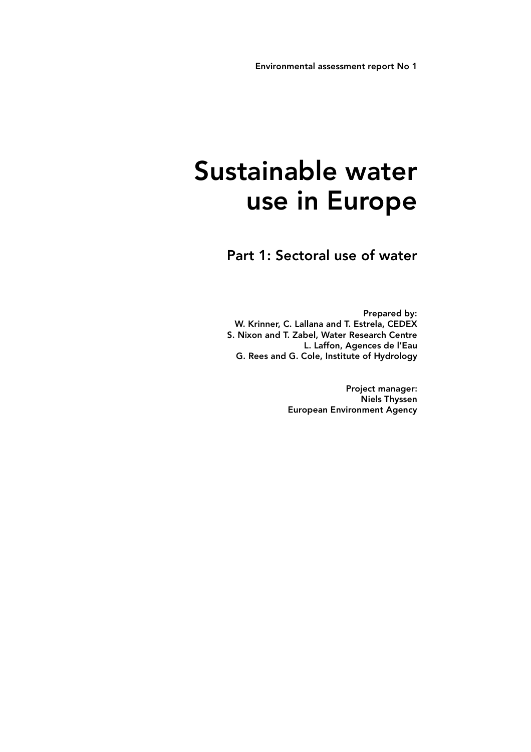# Sustainable water use in Europe

Part 1: Sectoral use of water

Prepared by: W. Krinner, C. Lallana and T. Estrela, CEDEX S. Nixon and T. Zabel, Water Research Centre L. Laffon, Agences de l'Eau G. Rees and G. Cole, Institute of Hydrology

> Project manager: Niels Thyssen European Environment Agency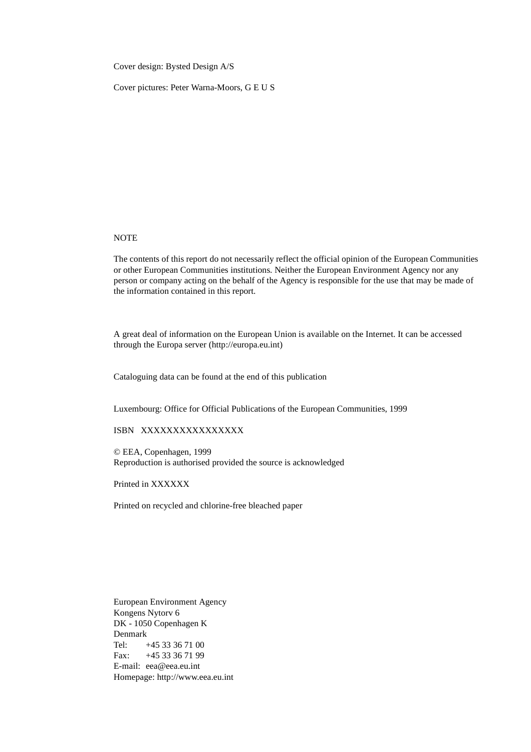Cover design: Bysted Design A/S

Cover pictures: Peter Warna-Moors, G E U S

#### **NOTE**

The contents of this report do not necessarily reflect the official opinion of the European Communities or other European Communities institutions. Neither the European Environment Agency nor any person or company acting on the behalf of the Agency is responsible for the use that may be made of the information contained in this report.

A great deal of information on the European Union is available on the Internet. It can be accessed through the Europa server (http://europa.eu.int)

Cataloguing data can be found at the end of this publication

Luxembourg: Office for Official Publications of the European Communities, 1999

# ISBN XXXXXXXXXXXXXXXX

© EEA, Copenhagen, 1999 Reproduction is authorised provided the source is acknowledged

Printed in XXXXXX

Printed on recycled and chlorine-free bleached paper

European Environment Agency Kongens Nytorv 6 DK - 1050 Copenhagen K Denmark Tel: +45 33 36 71 00 Fax: +45 33 36 71 99 E-mail: eea@eea.eu.int Homepage: http://www.eea.eu.int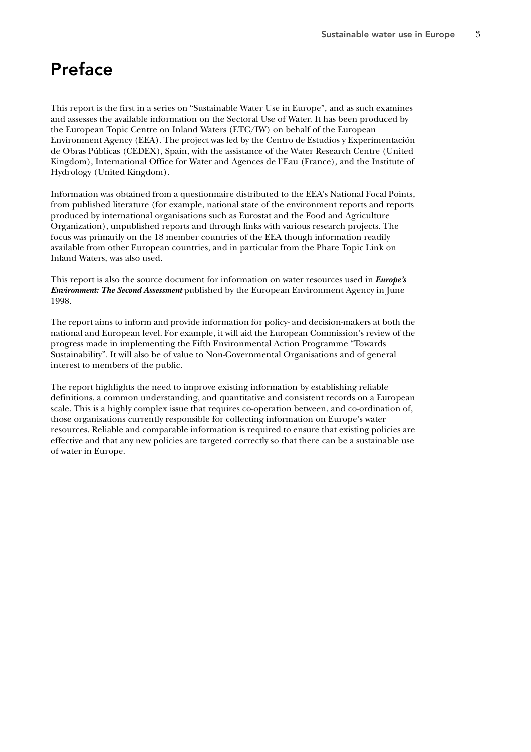# Preface

This report is the first in a series on "Sustainable Water Use in Europe", and as such examines and assesses the available information on the Sectoral Use of Water. It has been produced by the European Topic Centre on Inland Waters (ETC/IW) on behalf of the European Environment Agency (EEA). The project was led by the Centro de Estudios y Experimentación de Obras Públicas (CEDEX), Spain, with the assistance of the Water Research Centre (United Kingdom), International Office for Water and Agences de l'Eau (France), and the Institute of Hydrology (United Kingdom).

Information was obtained from a questionnaire distributed to the EEA's National Focal Points, from published literature (for example, national state of the environment reports and reports produced by international organisations such as Eurostat and the Food and Agriculture Organization), unpublished reports and through links with various research projects. The focus was primarily on the 18 member countries of the EEA though information readily available from other European countries, and in particular from the Phare Topic Link on Inland Waters, was also used.

This report is also the source document for information on water resources used in *Europe's Environment: The Second Assessment* published by the European Environment Agency in June 1998.

The report aims to inform and provide information for policy- and decision-makers at both the national and European level. For example, it will aid the European Commission's review of the progress made in implementing the Fifth Environmental Action Programme "Towards Sustainability". It will also be of value to Non-Governmental Organisations and of general interest to members of the public.

The report highlights the need to improve existing information by establishing reliable definitions, a common understanding, and quantitative and consistent records on a European scale. This is a highly complex issue that requires co-operation between, and co-ordination of, those organisations currently responsible for collecting information on Europe's water resources. Reliable and comparable information is required to ensure that existing policies are effective and that any new policies are targeted correctly so that there can be a sustainable use of water in Europe.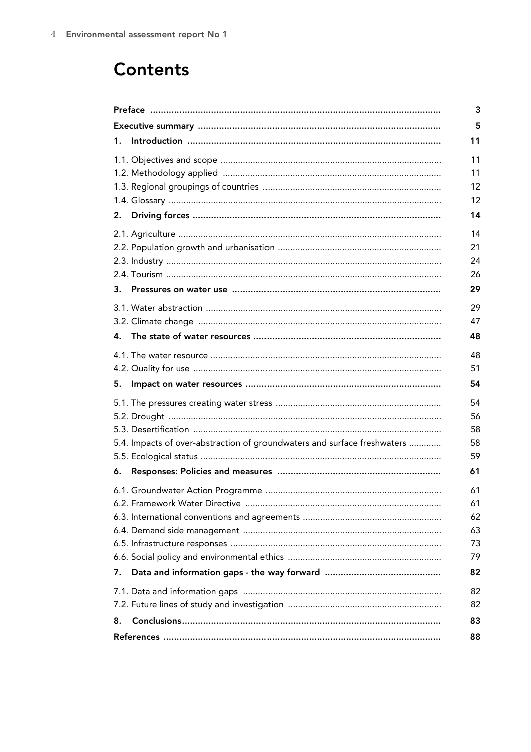# **Contents**

|    |                                                                          | 3                                |
|----|--------------------------------------------------------------------------|----------------------------------|
|    |                                                                          | 5                                |
| 1. |                                                                          | 11                               |
| 2. |                                                                          | 11<br>11<br>12<br>12<br>14       |
| 3. |                                                                          | 14<br>21<br>24<br>26<br>29       |
|    |                                                                          | 29                               |
|    |                                                                          | 47                               |
| 4. |                                                                          | 48                               |
|    |                                                                          | 48                               |
| 5. |                                                                          | 51<br>54                         |
|    |                                                                          | 54                               |
|    | 5.4. Impacts of over-abstraction of groundwaters and surface freshwaters | 56<br>58<br>58<br>59             |
| 6. |                                                                          | 61                               |
|    |                                                                          | 61<br>61<br>62<br>63<br>73<br>79 |
| 7. |                                                                          | 82                               |
|    |                                                                          | 82<br>82                         |
| 8. |                                                                          | 83                               |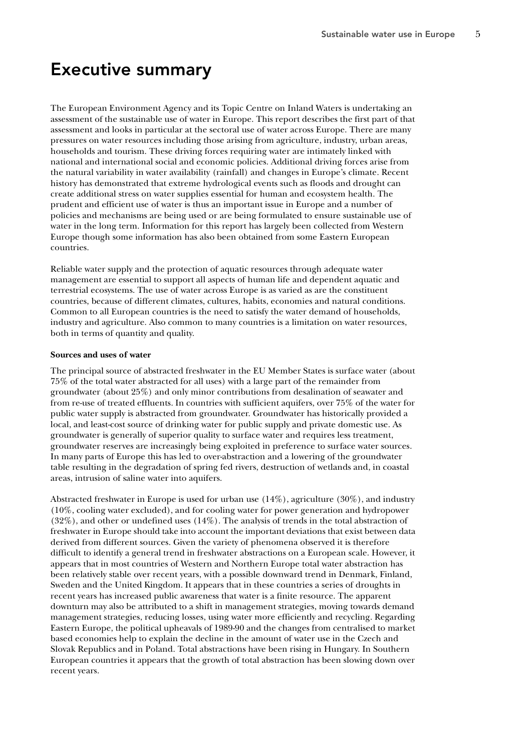# Executive summary

The European Environment Agency and its Topic Centre on Inland Waters is undertaking an assessment of the sustainable use of water in Europe. This report describes the first part of that assessment and looks in particular at the sectoral use of water across Europe. There are many pressures on water resources including those arising from agriculture, industry, urban areas, households and tourism. These driving forces requiring water are intimately linked with national and international social and economic policies. Additional driving forces arise from the natural variability in water availability (rainfall) and changes in Europe's climate. Recent history has demonstrated that extreme hydrological events such as floods and drought can create additional stress on water supplies essential for human and ecosystem health. The prudent and efficient use of water is thus an important issue in Europe and a number of policies and mechanisms are being used or are being formulated to ensure sustainable use of water in the long term. Information for this report has largely been collected from Western Europe though some information has also been obtained from some Eastern European countries.

Reliable water supply and the protection of aquatic resources through adequate water management are essential to support all aspects of human life and dependent aquatic and terrestrial ecosystems. The use of water across Europe is as varied as are the constituent countries, because of different climates, cultures, habits, economies and natural conditions. Common to all European countries is the need to satisfy the water demand of households, industry and agriculture. Also common to many countries is a limitation on water resources, both in terms of quantity and quality.

#### **Sources and uses of water**

The principal source of abstracted freshwater in the EU Member States is surface water (about 75% of the total water abstracted for all uses) with a large part of the remainder from groundwater (about 25%) and only minor contributions from desalination of seawater and from re-use of treated effluents. In countries with sufficient aquifers, over 75% of the water for public water supply is abstracted from groundwater. Groundwater has historically provided a local, and least-cost source of drinking water for public supply and private domestic use. As groundwater is generally of superior quality to surface water and requires less treatment, groundwater reserves are increasingly being exploited in preference to surface water sources. In many parts of Europe this has led to over-abstraction and a lowering of the groundwater table resulting in the degradation of spring fed rivers, destruction of wetlands and, in coastal areas, intrusion of saline water into aquifers.

Abstracted freshwater in Europe is used for urban use (14%), agriculture (30%), and industry (10%, cooling water excluded), and for cooling water for power generation and hydropower (32%), and other or undefined uses (14%). The analysis of trends in the total abstraction of freshwater in Europe should take into account the important deviations that exist between data derived from different sources. Given the variety of phenomena observed it is therefore difficult to identify a general trend in freshwater abstractions on a European scale. However, it appears that in most countries of Western and Northern Europe total water abstraction has been relatively stable over recent years, with a possible downward trend in Denmark, Finland, Sweden and the United Kingdom. It appears that in these countries a series of droughts in recent years has increased public awareness that water is a finite resource. The apparent downturn may also be attributed to a shift in management strategies, moving towards demand management strategies, reducing losses, using water more efficiently and recycling. Regarding Eastern Europe, the political upheavals of 1989-90 and the changes from centralised to market based economies help to explain the decline in the amount of water use in the Czech and Slovak Republics and in Poland. Total abstractions have been rising in Hungary. In Southern European countries it appears that the growth of total abstraction has been slowing down over recent years.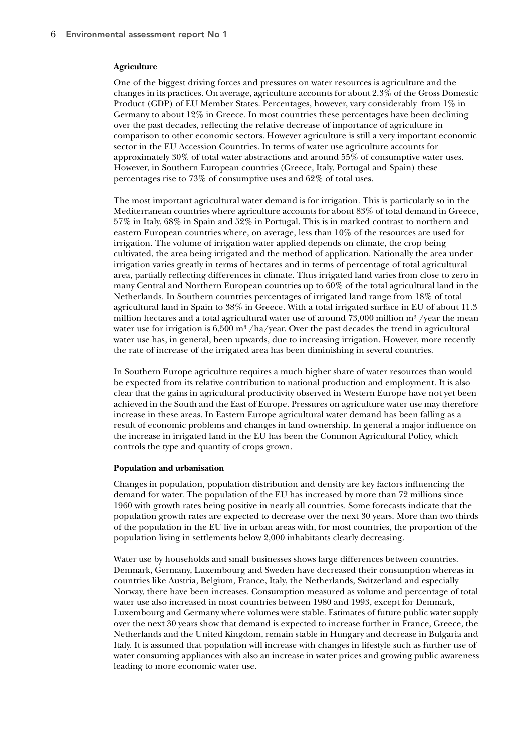#### **Agriculture**

One of the biggest driving forces and pressures on water resources is agriculture and the changes in its practices. On average, agriculture accounts for about 2.3% of the Gross Domestic Product (GDP) of EU Member States. Percentages, however, vary considerably from 1% in Germany to about  $12\%$  in Greece. In most countries these percentages have been declining over the past decades, reflecting the relative decrease of importance of agriculture in comparison to other economic sectors. However agriculture is still a very important economic sector in the EU Accession Countries. In terms of water use agriculture accounts for approximately 30% of total water abstractions and around 55% of consumptive water uses. However, in Southern European countries (Greece, Italy, Portugal and Spain) these percentages rise to 73% of consumptive uses and 62% of total uses.

The most important agricultural water demand is for irrigation. This is particularly so in the Mediterranean countries where agriculture accounts for about 83% of total demand in Greece, 57% in Italy, 68% in Spain and 52% in Portugal. This is in marked contrast to northern and eastern European countries where, on average, less than 10% of the resources are used for irrigation. The volume of irrigation water applied depends on climate, the crop being cultivated, the area being irrigated and the method of application. Nationally the area under irrigation varies greatly in terms of hectares and in terms of percentage of total agricultural area, partially reflecting differences in climate. Thus irrigated land varies from close to zero in many Central and Northern European countries up to 60% of the total agricultural land in the Netherlands. In Southern countries percentages of irrigated land range from 18% of total agricultural land in Spain to 38% in Greece. With a total irrigated surface in EU of about 11.3 million hectares and a total agricultural water use of around 73,000 million  $m^3$  /year the mean water use for irrigation is 6,500 m<sup>3</sup>/ha/year. Over the past decades the trend in agricultural water use has, in general, been upwards, due to increasing irrigation. However, more recently the rate of increase of the irrigated area has been diminishing in several countries.

In Southern Europe agriculture requires a much higher share of water resources than would be expected from its relative contribution to national production and employment. It is also clear that the gains in agricultural productivity observed in Western Europe have not yet been achieved in the South and the East of Europe. Pressures on agriculture water use may therefore increase in these areas. In Eastern Europe agricultural water demand has been falling as a result of economic problems and changes in land ownership. In general a major influence on the increase in irrigated land in the EU has been the Common Agricultural Policy, which controls the type and quantity of crops grown.

#### **Population and urbanisation**

Changes in population, population distribution and density are key factors influencing the demand for water. The population of the EU has increased by more than 72 millions since 1960 with growth rates being positive in nearly all countries. Some forecasts indicate that the population growth rates are expected to decrease over the next 30 years. More than two thirds of the population in the EU live in urban areas with, for most countries, the proportion of the population living in settlements below 2,000 inhabitants clearly decreasing.

Water use by households and small businesses shows large differences between countries. Denmark, Germany, Luxembourg and Sweden have decreased their consumption whereas in countries like Austria, Belgium, France, Italy, the Netherlands, Switzerland and especially Norway, there have been increases. Consumption measured as volume and percentage of total water use also increased in most countries between 1980 and 1993, except for Denmark, Luxembourg and Germany where volumes were stable. Estimates of future public water supply over the next 30 years show that demand is expected to increase further in France, Greece, the Netherlands and the United Kingdom, remain stable in Hungary and decrease in Bulgaria and Italy. It is assumed that population will increase with changes in lifestyle such as further use of water consuming appliances with also an increase in water prices and growing public awareness leading to more economic water use.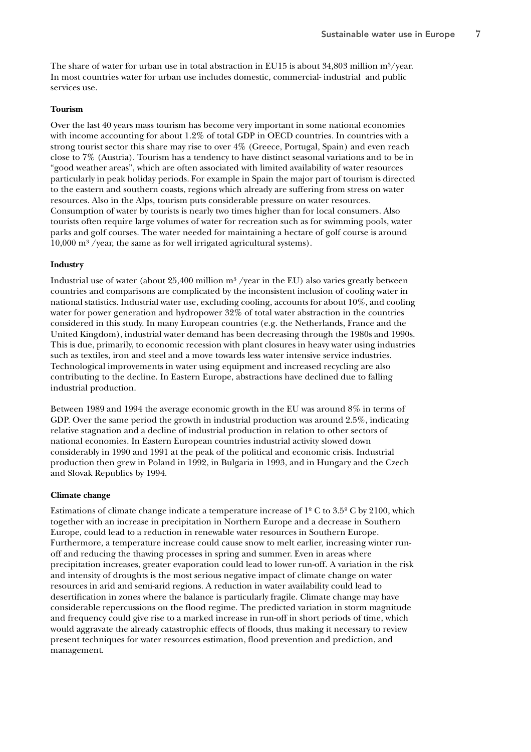The share of water for urban use in total abstraction in EU15 is about 34,803 million  $m^3$ /year. In most countries water for urban use includes domestic, commercial- industrial and public services use.

#### **Tourism**

Over the last 40 years mass tourism has become very important in some national economies with income accounting for about 1.2% of total GDP in OECD countries. In countries with a strong tourist sector this share may rise to over 4% (Greece, Portugal, Spain) and even reach close to 7% (Austria). Tourism has a tendency to have distinct seasonal variations and to be in "good weather areas", which are often associated with limited availability of water resources particularly in peak holiday periods. For example in Spain the major part of tourism is directed to the eastern and southern coasts, regions which already are suffering from stress on water resources. Also in the Alps, tourism puts considerable pressure on water resources. Consumption of water by tourists is nearly two times higher than for local consumers. Also tourists often require large volumes of water for recreation such as for swimming pools, water parks and golf courses. The water needed for maintaining a hectare of golf course is around 10,000 m³ /year, the same as for well irrigated agricultural systems).

#### **Industry**

Industrial use of water (about 25,400 million  $m<sup>3</sup>$  /year in the EU) also varies greatly between countries and comparisons are complicated by the inconsistent inclusion of cooling water in national statistics. Industrial water use, excluding cooling, accounts for about 10%, and cooling water for power generation and hydropower 32% of total water abstraction in the countries considered in this study. In many European countries (e.g. the Netherlands, France and the United Kingdom), industrial water demand has been decreasing through the 1980s and 1990s. This is due, primarily, to economic recession with plant closures in heavy water using industries such as textiles, iron and steel and a move towards less water intensive service industries. Technological improvements in water using equipment and increased recycling are also contributing to the decline. In Eastern Europe, abstractions have declined due to falling industrial production.

Between 1989 and 1994 the average economic growth in the EU was around 8% in terms of GDP. Over the same period the growth in industrial production was around 2.5%, indicating relative stagnation and a decline of industrial production in relation to other sectors of national economies. In Eastern European countries industrial activity slowed down considerably in 1990 and 1991 at the peak of the political and economic crisis. Industrial production then grew in Poland in 1992, in Bulgaria in 1993, and in Hungary and the Czech and Slovak Republics by 1994.

#### **Climate change**

Estimations of climate change indicate a temperature increase of  $1^{\circ}$  C to  $3.5^{\circ}$  C by 2100, which together with an increase in precipitation in Northern Europe and a decrease in Southern Europe, could lead to a reduction in renewable water resources in Southern Europe. Furthermore, a temperature increase could cause snow to melt earlier, increasing winter runoff and reducing the thawing processes in spring and summer. Even in areas where precipitation increases, greater evaporation could lead to lower run-off. A variation in the risk and intensity of droughts is the most serious negative impact of climate change on water resources in arid and semi-arid regions. A reduction in water availability could lead to desertification in zones where the balance is particularly fragile. Climate change may have considerable repercussions on the flood regime. The predicted variation in storm magnitude and frequency could give rise to a marked increase in run-off in short periods of time, which would aggravate the already catastrophic effects of floods, thus making it necessary to review present techniques for water resources estimation, flood prevention and prediction, and management.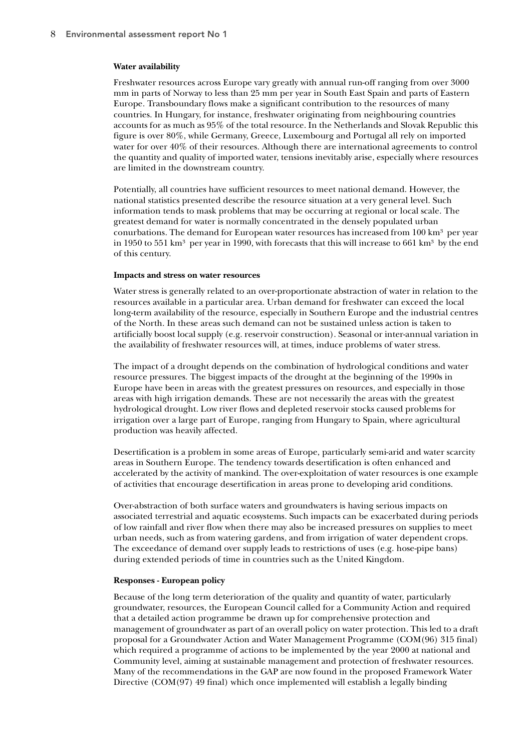#### **Water availability**

Freshwater resources across Europe vary greatly with annual run-off ranging from over 3000 mm in parts of Norway to less than 25 mm per year in South East Spain and parts of Eastern Europe. Transboundary flows make a significant contribution to the resources of many countries. In Hungary, for instance, freshwater originating from neighbouring countries accounts for as much as 95% of the total resource. In the Netherlands and Slovak Republic this figure is over 80%, while Germany, Greece, Luxembourg and Portugal all rely on imported water for over 40% of their resources. Although there are international agreements to control the quantity and quality of imported water, tensions inevitably arise, especially where resources are limited in the downstream country.

Potentially, all countries have sufficient resources to meet national demand. However, the national statistics presented describe the resource situation at a very general level. Such information tends to mask problems that may be occurring at regional or local scale. The greatest demand for water is normally concentrated in the densely populated urban conurbations. The demand for European water resources has increased from  $100 \text{ km}^3$  per year in 1950 to 551 km<sup>3</sup> per year in 1990, with forecasts that this will increase to 661 km<sup>3</sup> by the end of this century.

#### **Impacts and stress on water resources**

Water stress is generally related to an over-proportionate abstraction of water in relation to the resources available in a particular area. Urban demand for freshwater can exceed the local long-term availability of the resource, especially in Southern Europe and the industrial centres of the North. In these areas such demand can not be sustained unless action is taken to artificially boost local supply (e.g. reservoir construction). Seasonal or inter-annual variation in the availability of freshwater resources will, at times, induce problems of water stress.

The impact of a drought depends on the combination of hydrological conditions and water resource pressures. The biggest impacts of the drought at the beginning of the 1990s in Europe have been in areas with the greatest pressures on resources, and especially in those areas with high irrigation demands. These are not necessarily the areas with the greatest hydrological drought. Low river flows and depleted reservoir stocks caused problems for irrigation over a large part of Europe, ranging from Hungary to Spain, where agricultural production was heavily affected.

Desertification is a problem in some areas of Europe, particularly semi-arid and water scarcity areas in Southern Europe. The tendency towards desertification is often enhanced and accelerated by the activity of mankind. The over-exploitation of water resources is one example of activities that encourage desertification in areas prone to developing arid conditions.

Over-abstraction of both surface waters and groundwaters is having serious impacts on associated terrestrial and aquatic ecosystems. Such impacts can be exacerbated during periods of low rainfall and river flow when there may also be increased pressures on supplies to meet urban needs, such as from watering gardens, and from irrigation of water dependent crops. The exceedance of demand over supply leads to restrictions of uses (e.g. hose-pipe bans) during extended periods of time in countries such as the United Kingdom.

#### **Responses - European policy**

Because of the long term deterioration of the quality and quantity of water, particularly groundwater, resources, the European Council called for a Community Action and required that a detailed action programme be drawn up for comprehensive protection and management of groundwater as part of an overall policy on water protection. This led to a draft proposal for a Groundwater Action and Water Management Programme (COM(96) 315 final) which required a programme of actions to be implemented by the year 2000 at national and Community level, aiming at sustainable management and protection of freshwater resources. Many of the recommendations in the GAP are now found in the proposed Framework Water Directive (COM(97) 49 final) which once implemented will establish a legally binding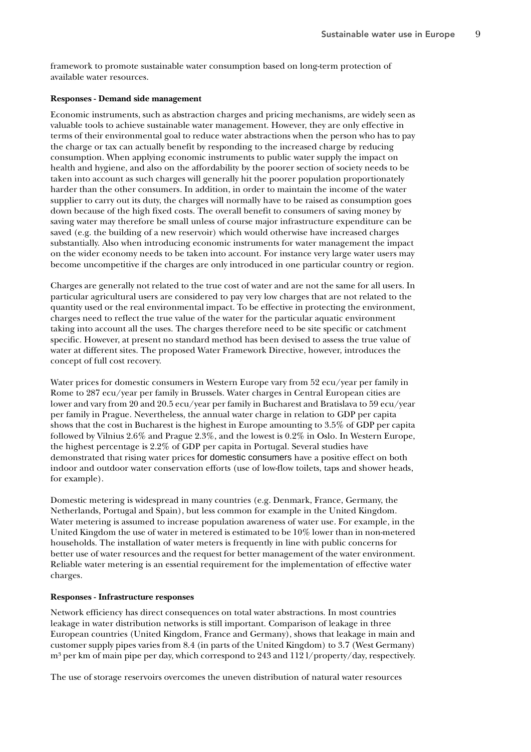framework to promote sustainable water consumption based on long-term protection of available water resources.

#### **Responses - Demand side management**

Economic instruments, such as abstraction charges and pricing mechanisms, are widely seen as valuable tools to achieve sustainable water management. However, they are only effective in terms of their environmental goal to reduce water abstractions when the person who has to pay the charge or tax can actually benefit by responding to the increased charge by reducing consumption. When applying economic instruments to public water supply the impact on health and hygiene, and also on the affordability by the poorer section of society needs to be taken into account as such charges will generally hit the poorer population proportionately harder than the other consumers. In addition, in order to maintain the income of the water supplier to carry out its duty, the charges will normally have to be raised as consumption goes down because of the high fixed costs. The overall benefit to consumers of saving money by saving water may therefore be small unless of course major infrastructure expenditure can be saved (e.g. the building of a new reservoir) which would otherwise have increased charges substantially. Also when introducing economic instruments for water management the impact on the wider economy needs to be taken into account. For instance very large water users may become uncompetitive if the charges are only introduced in one particular country or region.

Charges are generally not related to the true cost of water and are not the same for all users. In particular agricultural users are considered to pay very low charges that are not related to the quantity used or the real environmental impact. To be effective in protecting the environment, charges need to reflect the true value of the water for the particular aquatic environment taking into account all the uses. The charges therefore need to be site specific or catchment specific. However, at present no standard method has been devised to assess the true value of water at different sites. The proposed Water Framework Directive, however, introduces the concept of full cost recovery.

Water prices for domestic consumers in Western Europe vary from 52 ecu/year per family in Rome to 287 ecu/year per family in Brussels. Water charges in Central European cities are lower and vary from 20 and 20.5 ecu/year per family in Bucharest and Bratislava to 59 ecu/year per family in Prague. Nevertheless, the annual water charge in relation to GDP per capita shows that the cost in Bucharest is the highest in Europe amounting to 3.5% of GDP per capita followed by Vilnius 2.6% and Prague 2.3%, and the lowest is 0.2% in Oslo. In Western Europe, the highest percentage is 2.2% of GDP per capita in Portugal. Several studies have demonstrated that rising water prices for domestic consumers have a positive effect on both indoor and outdoor water conservation efforts (use of low-flow toilets, taps and shower heads, for example).

Domestic metering is widespread in many countries (e.g. Denmark, France, Germany, the Netherlands, Portugal and Spain), but less common for example in the United Kingdom. Water metering is assumed to increase population awareness of water use. For example, in the United Kingdom the use of water in metered is estimated to be 10% lower than in non-metered households. The installation of water meters is frequently in line with public concerns for better use of water resources and the request for better management of the water environment. Reliable water metering is an essential requirement for the implementation of effective water charges.

#### **Responses - Infrastructure responses**

Network efficiency has direct consequences on total water abstractions. In most countries leakage in water distribution networks is still important. Comparison of leakage in three European countries (United Kingdom, France and Germany), shows that leakage in main and customer supply pipes varies from 8.4 (in parts of the United Kingdom) to 3.7 (West Germany)  $m<sup>3</sup>$  per km of main pipe per day, which correspond to 243 and 112 l/property/day, respectively.

The use of storage reservoirs overcomes the uneven distribution of natural water resources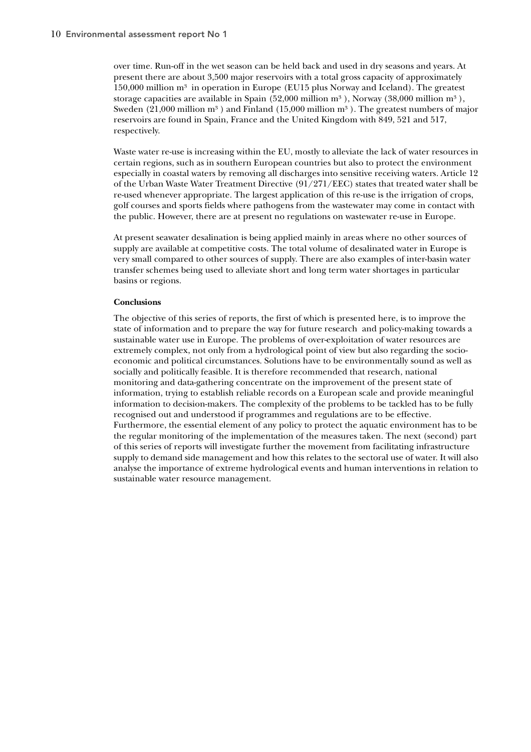over time. Run-off in the wet season can be held back and used in dry seasons and years. At present there are about 3,500 major reservoirs with a total gross capacity of approximately  $150,000$  million m<sup>3</sup> in operation in Europe (EU15 plus Norway and Iceland). The greatest storage capacities are available in Spain  $(52,000 \text{ million m}^3)$ , Norway  $(38,000 \text{ million m}^3)$ , Sweden  $(21,000$  million m<sup>3</sup>) and Finland  $(15,000$  million m<sup>3</sup>). The greatest numbers of major reservoirs are found in Spain, France and the United Kingdom with 849, 521 and 517, respectively.

Waste water re-use is increasing within the EU, mostly to alleviate the lack of water resources in certain regions, such as in southern European countries but also to protect the environment especially in coastal waters by removing all discharges into sensitive receiving waters. Article 12 of the Urban Waste Water Treatment Directive (91/271/EEC) states that treated water shall be re-used whenever appropriate. The largest application of this re-use is the irrigation of crops, golf courses and sports fields where pathogens from the wastewater may come in contact with the public. However, there are at present no regulations on wastewater re-use in Europe.

At present seawater desalination is being applied mainly in areas where no other sources of supply are available at competitive costs. The total volume of desalinated water in Europe is very small compared to other sources of supply. There are also examples of inter-basin water transfer schemes being used to alleviate short and long term water shortages in particular basins or regions.

#### **Conclusions**

The objective of this series of reports, the first of which is presented here, is to improve the state of information and to prepare the way for future research and policy-making towards a sustainable water use in Europe. The problems of over-exploitation of water resources are extremely complex, not only from a hydrological point of view but also regarding the socioeconomic and political circumstances. Solutions have to be environmentally sound as well as socially and politically feasible. It is therefore recommended that research, national monitoring and data-gathering concentrate on the improvement of the present state of information, trying to establish reliable records on a European scale and provide meaningful information to decision-makers. The complexity of the problems to be tackled has to be fully recognised out and understood if programmes and regulations are to be effective. Furthermore, the essential element of any policy to protect the aquatic environment has to be the regular monitoring of the implementation of the measures taken. The next (second) part of this series of reports will investigate further the movement from facilitating infrastructure supply to demand side management and how this relates to the sectoral use of water. It will also analyse the importance of extreme hydrological events and human interventions in relation to sustainable water resource management.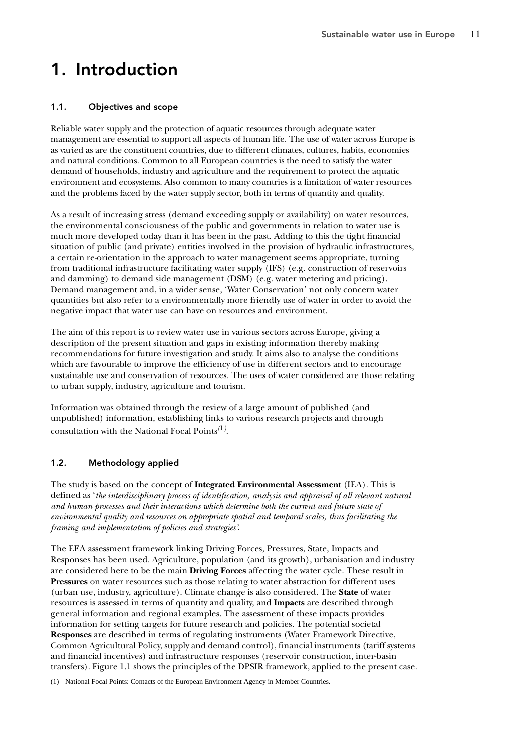# 1. Introduction

# 1.1. Objectives and scope

Reliable water supply and the protection of aquatic resources through adequate water management are essential to support all aspects of human life. The use of water across Europe is as varied as are the constituent countries, due to different climates, cultures, habits, economies and natural conditions. Common to all European countries is the need to satisfy the water demand of households, industry and agriculture and the requirement to protect the aquatic environment and ecosystems. Also common to many countries is a limitation of water resources and the problems faced by the water supply sector, both in terms of quantity and quality.

As a result of increasing stress (demand exceeding supply or availability) on water resources, the environmental consciousness of the public and governments in relation to water use is much more developed today than it has been in the past. Adding to this the tight financial situation of public (and private) entities involved in the provision of hydraulic infrastructures, a certain re-orientation in the approach to water management seems appropriate, turning from traditional infrastructure facilitating water supply (IFS) (e.g. construction of reservoirs and damming) to demand side management (DSM) (e.g. water metering and pricing). Demand management and, in a wider sense, 'Water Conservation' not only concern water quantities but also refer to a environmentally more friendly use of water in order to avoid the negative impact that water use can have on resources and environment.

The aim of this report is to review water use in various sectors across Europe, giving a description of the present situation and gaps in existing information thereby making recommendations for future investigation and study. It aims also to analyse the conditions which are favourable to improve the efficiency of use in different sectors and to encourage sustainable use and conservation of resources. The uses of water considered are those relating to urban supply, industry, agriculture and tourism.

Information was obtained through the review of a large amount of published (and unpublished) information, establishing links to various research projects and through consultation with the National Focal Points*(*1*)* .

# 1.2. Methodology applied

The study is based on the concept of **Integrated Environmental Assessment** (IEA). This is defined as '*the interdisciplinary process of identification, analysis and appraisal of all relevant natural and human processes and their interactions which determine both the current and future state of environmental quality and resources on appropriate spatial and temporal scales, thus facilitating the framing and implementation of policies and strategies'*.

The EEA assessment framework linking Driving Forces, Pressures, State, Impacts and Responses has been used. Agriculture, population (and its growth), urbanisation and industry are considered here to be the main **Driving Forces** affecting the water cycle. These result in **Pressures** on water resources such as those relating to water abstraction for different uses (urban use, industry, agriculture). Climate change is also considered. The **State** of water resources is assessed in terms of quantity and quality, and **Impacts** are described through general information and regional examples. The assessment of these impacts provides information for setting targets for future research and policies. The potential societal **Responses** are described in terms of regulating instruments (Water Framework Directive, Common Agricultural Policy, supply and demand control), financial instruments (tariff systems and financial incentives) and infrastructure responses (reservoir construction, inter-basin transfers). Figure 1.1 shows the principles of the DPSIR framework, applied to the present case.

(1) National Focal Points: Contacts of the European Environment Agency in Member Countries.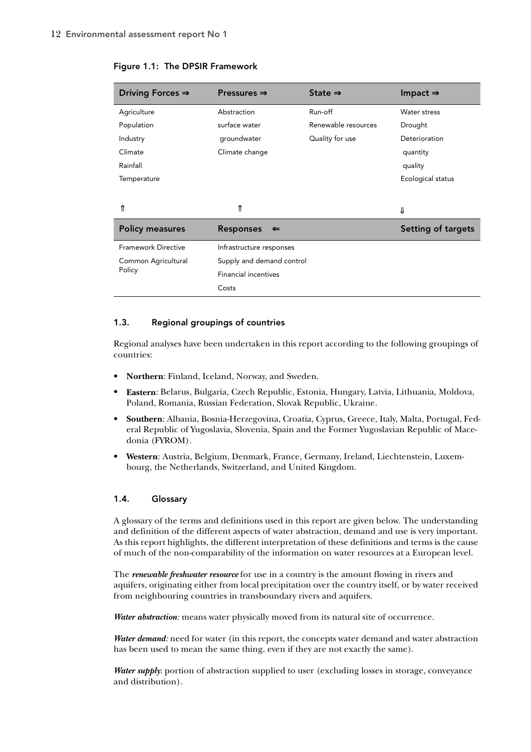| Driving Forces $\Rightarrow$ | Pressures $\Rightarrow$          | State $\Rightarrow$ | Impact $\Rightarrow$ |  |
|------------------------------|----------------------------------|---------------------|----------------------|--|
| Agriculture                  | Abstraction                      | Run-off             | Water stress         |  |
| Population                   | surface water                    | Renewable resources | Drought              |  |
| Industry                     | groundwater                      | Quality for use     | Deterioration        |  |
| Climate                      | Climate change                   |                     | quantity             |  |
| Rainfall                     |                                  |                     | quality              |  |
| Temperature                  |                                  |                     | Ecological status    |  |
|                              |                                  |                     |                      |  |
|                              | ⇑                                |                     | ⇓                    |  |
| <b>Policy measures</b>       | <b>Responses</b><br>$\leftarrow$ |                     | Setting of targets   |  |
| <b>Framework Directive</b>   | Infrastructure responses         |                     |                      |  |
| Common Agricultural          | Supply and demand control        |                     |                      |  |
| Policy                       | <b>Financial incentives</b>      |                     |                      |  |
|                              | Costs                            |                     |                      |  |

Figure 1.1: The DPSIR Framework

#### 1.3. Regional groupings of countries

Regional analyses have been undertaken in this report according to the following groupings of countries:

- **Northern**: Finland, Iceland, Norway, and Sweden.
- **Eastern**: Belarus, Bulgaria, Czech Republic, Estonia, Hungary, Latvia, Lithuania, Moldova, Poland, Romania, Russian Federation, Slovak Republic, Ukraine.
- **Southern**: Albania, Bosnia-Herzegovina, Croatia, Cyprus, Greece, Italy, Malta, Portugal, Federal Republic of Yugoslavia, Slovenia, Spain and the Former Yugoslavian Republic of Macedonia (FYROM).
- **Western**: Austria, Belgium, Denmark, France, Germany, Ireland, Liechtenstein, Luxembourg, the Netherlands, Switzerland, and United Kingdom.

#### 1.4. Glossary

A glossary of the terms and definitions used in this report are given below. The understanding and definition of the different aspects of water abstraction, demand and use is very important. As this report highlights, the different interpretation of these definitions and terms is the cause of much of the non-comparability of the information on water resources at a European level.

The *renewable freshwater resource* for use in a country is the amount flowing in rivers and aquifers, originating either from local precipitation over the country itself, or by water received from neighbouring countries in transboundary rivers and aquifers.

*Water abstraction:* means water physically moved from its natural site of occurrence.

*Water demand:* need for water (in this report, the concepts water demand and water abstraction has been used to mean the same thing, even if they are not exactly the same).

*Water supply:* portion of abstraction supplied to user (excluding losses in storage, conveyance and distribution).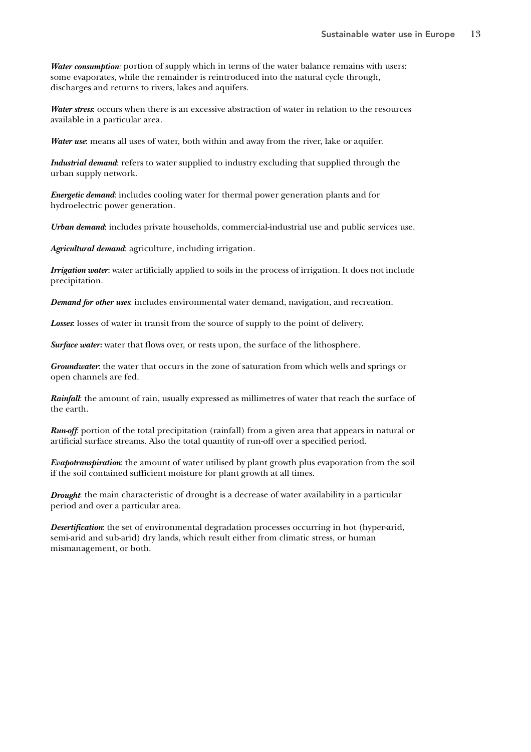*Water consumption:* portion of supply which in terms of the water balance remains with users: some evaporates, while the remainder is reintroduced into the natural cycle through, discharges and returns to rivers, lakes and aquifers.

*Water stress*: occurs when there is an excessive abstraction of water in relation to the resources available in a particular area.

*Water use*: means all uses of water, both within and away from the river, lake or aquifer.

*Industrial demand*: refers to water supplied to industry excluding that supplied through the urban supply network.

*Energetic demand*: includes cooling water for thermal power generation plants and for hydroelectric power generation.

*Urban demand*: includes private households, commercial-industrial use and public services use.

*Agricultural demand*: agriculture, including irrigation.

*Irrigation water*: water artificially applied to soils in the process of irrigation. It does not include precipitation.

*Demand for other uses*: includes environmental water demand, navigation, and recreation.

*Losses*: losses of water in transit from the source of supply to the point of delivery.

*Surface water:* water that flows over, or rests upon, the surface of the lithosphere.

*Groundwater*: the water that occurs in the zone of saturation from which wells and springs or open channels are fed.

*Rainfall*: the amount of rain, usually expressed as millimetres of water that reach the surface of the earth.

*Run-off*: portion of the total precipitation (rainfall) from a given area that appears in natural or artificial surface streams. Also the total quantity of run-off over a specified period.

*Evapotranspiration*: the amount of water utilised by plant growth plus evaporation from the soil if the soil contained sufficient moisture for plant growth at all times.

*Drought*: the main characteristic of drought is a decrease of water availability in a particular period and over a particular area.

*Desertification*: the set of environmental degradation processes occurring in hot (hyper-arid, semi-arid and sub-arid) dry lands, which result either from climatic stress, or human mismanagement, or both.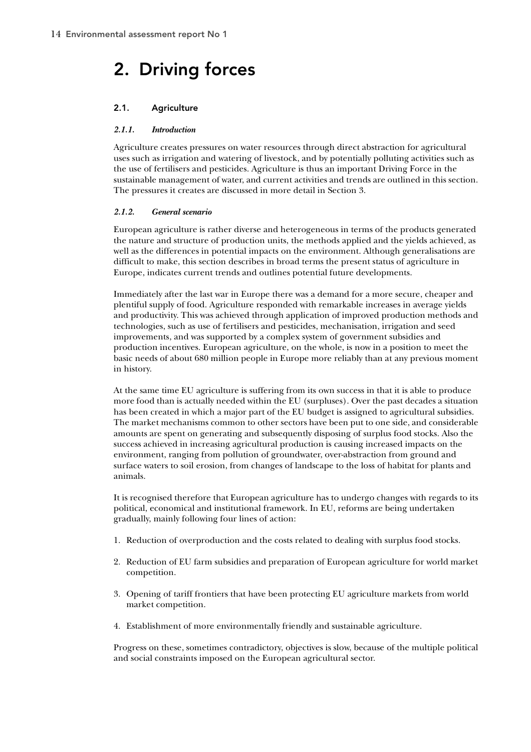# 2. Driving forces

# 2.1. Agriculture

### *2.1.1. Introduction*

Agriculture creates pressures on water resources through direct abstraction for agricultural uses such as irrigation and watering of livestock, and by potentially polluting activities such as the use of fertilisers and pesticides. Agriculture is thus an important Driving Force in the sustainable management of water, and current activities and trends are outlined in this section. The pressures it creates are discussed in more detail in Section 3.

#### *2.1.2. General scenario*

European agriculture is rather diverse and heterogeneous in terms of the products generated the nature and structure of production units, the methods applied and the yields achieved, as well as the differences in potential impacts on the environment. Although generalisations are difficult to make, this section describes in broad terms the present status of agriculture in Europe, indicates current trends and outlines potential future developments.

Immediately after the last war in Europe there was a demand for a more secure, cheaper and plentiful supply of food. Agriculture responded with remarkable increases in average yields and productivity. This was achieved through application of improved production methods and technologies, such as use of fertilisers and pesticides, mechanisation, irrigation and seed improvements, and was supported by a complex system of government subsidies and production incentives. European agriculture, on the whole, is now in a position to meet the basic needs of about 680 million people in Europe more reliably than at any previous moment in history.

At the same time EU agriculture is suffering from its own success in that it is able to produce more food than is actually needed within the EU (surpluses). Over the past decades a situation has been created in which a major part of the EU budget is assigned to agricultural subsidies. The market mechanisms common to other sectors have been put to one side, and considerable amounts are spent on generating and subsequently disposing of surplus food stocks. Also the success achieved in increasing agricultural production is causing increased impacts on the environment, ranging from pollution of groundwater, over-abstraction from ground and surface waters to soil erosion, from changes of landscape to the loss of habitat for plants and animals.

It is recognised therefore that European agriculture has to undergo changes with regards to its political, economical and institutional framework. In EU, reforms are being undertaken gradually, mainly following four lines of action:

- 1. Reduction of overproduction and the costs related to dealing with surplus food stocks.
- 2. Reduction of EU farm subsidies and preparation of European agriculture for world market competition.
- 3. Opening of tariff frontiers that have been protecting EU agriculture markets from world market competition.
- 4. Establishment of more environmentally friendly and sustainable agriculture.

Progress on these, sometimes contradictory, objectives is slow, because of the multiple political and social constraints imposed on the European agricultural sector.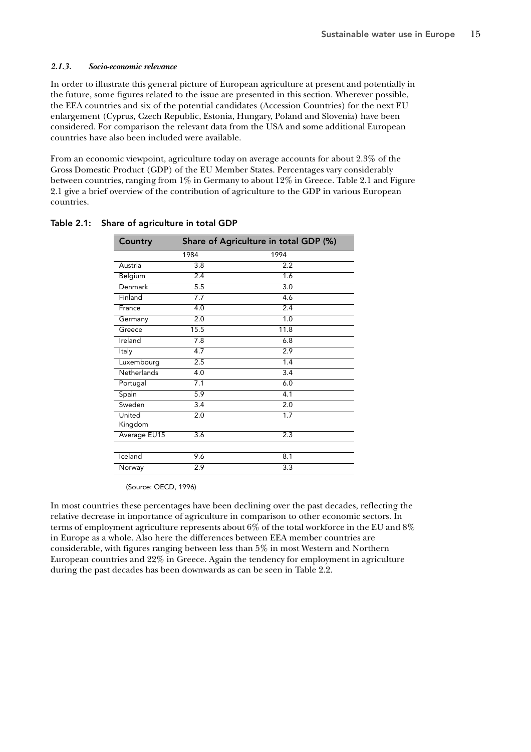#### *2.1.3. Socio-economic relevance*

In order to illustrate this general picture of European agriculture at present and potentially in the future, some figures related to the issue are presented in this section. Wherever possible, the EEA countries and six of the potential candidates (Accession Countries) for the next EU enlargement (Cyprus, Czech Republic, Estonia, Hungary, Poland and Slovenia) have been considered. For comparison the relevant data from the USA and some additional European countries have also been included were available.

From an economic viewpoint, agriculture today on average accounts for about 2.3% of the Gross Domestic Product (GDP) of the EU Member States. Percentages vary considerably between countries, ranging from 1% in Germany to about 12% in Greece. Table 2.1 and Figure 2.1 give a brief overview of the contribution of agriculture to the GDP in various European countries.

| Country            | Share of Agriculture in total GDP (%) |                  |  |  |  |
|--------------------|---------------------------------------|------------------|--|--|--|
|                    | 1984                                  | 1994             |  |  |  |
| Austria            | 3.8                                   | 2.2              |  |  |  |
| Belgium            | 2.4                                   | 1.6              |  |  |  |
| Denmark            | $\overline{5.5}$                      | $\overline{3.0}$ |  |  |  |
| Finland            | 7.7                                   | 4.6              |  |  |  |
| France             | 4.0                                   | 2.4              |  |  |  |
| Germany            | $\overline{2.0}$                      | 1.0              |  |  |  |
| Greece             | 15.5                                  | 11.8             |  |  |  |
| Ireland            | 7.8                                   | 6.8              |  |  |  |
| Italy              | 4.7                                   | 2.9              |  |  |  |
| Luxembourg         | 2.5                                   | 1.4              |  |  |  |
| <b>Netherlands</b> | 4.0                                   | $\overline{3.4}$ |  |  |  |
| Portugal           | 7.1                                   | 6.0              |  |  |  |
| Spain              | 5.9                                   | $\overline{4.1}$ |  |  |  |
| Sweden             | 3.4                                   | 2.0              |  |  |  |
| United             | 2.0                                   | 1.7              |  |  |  |
| Kingdom            |                                       |                  |  |  |  |
| Average EU15       | $\overline{3.6}$                      | 2.3              |  |  |  |
|                    |                                       |                  |  |  |  |
| Iceland            | 9.6                                   | 8.1              |  |  |  |
| Norway             | 2.9                                   | 3.3              |  |  |  |

#### Table 2.1: Share of agriculture in total GDP

(Source: OECD, 1996)

In most countries these percentages have been declining over the past decades, reflecting the relative decrease in importance of agriculture in comparison to other economic sectors. In terms of employment agriculture represents about 6% of the total workforce in the EU and 8% in Europe as a whole. Also here the differences between EEA member countries are considerable, with figures ranging between less than 5% in most Western and Northern European countries and 22% in Greece. Again the tendency for employment in agriculture during the past decades has been downwards as can be seen in Table 2.2.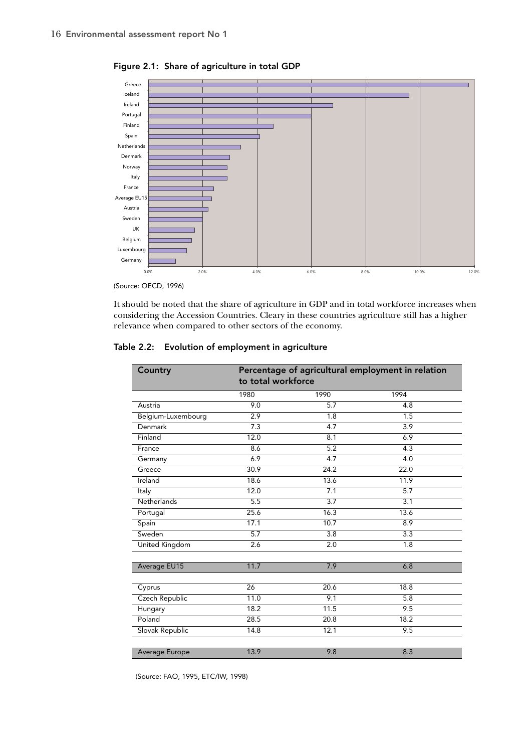

Figure 2.1: Share of agriculture in total GDP

It should be noted that the share of agriculture in GDP and in total workforce increases when considering the Accession Countries. Cleary in these countries agriculture still has a higher relevance when compared to other sectors of the economy.

| Table 2.2: Evolution of employment in agriculture |  |  |
|---------------------------------------------------|--|--|
|                                                   |  |  |

| Country            | Percentage of agricultural employment in relation<br>to total workforce |                  |                  |  |  |
|--------------------|-------------------------------------------------------------------------|------------------|------------------|--|--|
|                    | 1980                                                                    | 1990             | 1994             |  |  |
| Austria            | 9.0                                                                     | 5.7              | 4.8              |  |  |
| Belgium-Luxembourg | $\overline{2.9}$                                                        | 1.8              | 1.5              |  |  |
| Denmark            | 7.3                                                                     | 4.7              | 3.9              |  |  |
| Finland            | 12.0                                                                    | 8.1              | 6.9              |  |  |
| France             | 8.6                                                                     | 5.2              | 4.3              |  |  |
| Germany            | 6.9                                                                     | 4.7              | $\overline{4.0}$ |  |  |
| Greece             | 30.9                                                                    | 24.2             | 22.0             |  |  |
| Ireland            | 18.6                                                                    | 13.6             | 11.9             |  |  |
| Italy              | 12.0                                                                    | 7.1              | 5.7              |  |  |
| Netherlands        | 5.5                                                                     | $\overline{3.7}$ | 3.1              |  |  |
| Portugal           | 25.6                                                                    | 16.3             | 13.6             |  |  |
| Spain              | 17.1                                                                    | 10.7             | 8.9              |  |  |
| Sweden             | 5.7                                                                     | 3.8              | 3.3              |  |  |
| United Kingdom     | 2.6                                                                     | 2.0              | $\overline{1.8}$ |  |  |
|                    |                                                                         |                  |                  |  |  |
| Average EU15       | 11.7                                                                    | 7.9              | 6.8              |  |  |
|                    |                                                                         |                  |                  |  |  |
| Cyprus             | $\overline{26}$                                                         | 20.6             | 18.8             |  |  |
| Czech Republic     | 11.0                                                                    | 9.1              | 5.8              |  |  |
| Hungary            | 18.2                                                                    | 11.5             | 9.5              |  |  |
| Poland             | 28.5                                                                    | 20.8             | 18.2             |  |  |
| Slovak Republic    | 14.8                                                                    | 12.1             | 9.5              |  |  |
|                    |                                                                         |                  |                  |  |  |
| Average Europe     | 13.9                                                                    | 9.8              | 8.3              |  |  |

(Source: FAO, 1995, ETC/IW, 1998)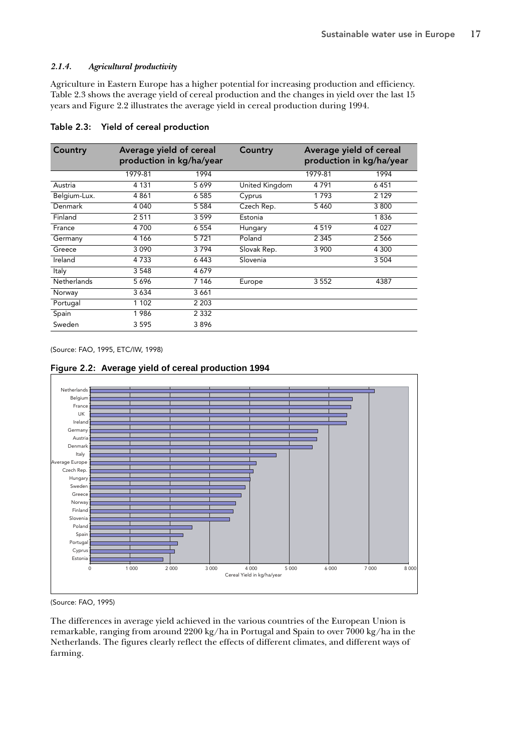# *2.1.4. Agricultural productivity*

Agriculture in Eastern Europe has a higher potential for increasing production and efficiency. Table 2.3 shows the average yield of cereal production and the changes in yield over the last 15 years and Figure 2.2 illustrates the average yield in cereal production during 1994.

| Country      | Average yield of cereal<br>production in kg/ha/year |         | Country        |         | Average yield of cereal<br>production in kg/ha/year |
|--------------|-----------------------------------------------------|---------|----------------|---------|-----------------------------------------------------|
|              | 1979-81                                             | 1994    |                | 1979-81 | 1994                                                |
| Austria      | 4 1 3 1                                             | 5699    | United Kingdom | 4791    | 6451                                                |
| Belgium-Lux. | 4861                                                | 6 5 8 5 | Cyprus         | 1793    | 2 1 2 9                                             |
| Denmark      | 4 0 4 0                                             | 5 5 8 4 | Czech Rep.     | 5460    | 3 8 0 0                                             |
| Finland      | 2511                                                | 3599    | Estonia        |         | 1836                                                |
| France       | 4 700                                               | 6 5 5 4 | Hungary        | 4519    | 4 0 2 7                                             |
| Germany      | 4 1 6 6                                             | 5721    | Poland         | 2 3 4 5 | 2566                                                |
| Greece       | 3 0 9 0                                             | 3794    | Slovak Rep.    | 3 900   | 4 300                                               |
| Ireland      | 4 7 3 3                                             | 6443    | Slovenia       |         | 3 5 0 4                                             |
| Italy        | 3 5 4 8                                             | 4679    |                |         |                                                     |
| Netherlands  | 5696                                                | 7 1 4 6 | Europe         | 3552    | 4387                                                |
| Norway       | 3634                                                | 3661    |                |         |                                                     |
| Portugal     | 1 1 0 2                                             | 2 2 0 3 |                |         |                                                     |
| Spain        | 1986                                                | 2 3 3 2 |                |         |                                                     |
| Sweden       | 3 5 9 5                                             | 3896    |                |         |                                                     |

### Table 2.3: Yield of cereal production

(Source: FAO, 1995, ETC/IW, 1998)



# Figure 2.2: **Average yield of cereal production 1994**

(Source: FAO, 1995)

Estonia Cyprus Portuga Spain Poland Slovenia Finland Norway Greece Sweden Hungary Czech Rep.

The differences in average yield achieved in the various countries of the European Union is remarkable, ranging from around 2200 kg/ha in Portugal and Spain to over 7000 kg/ha in the Netherlands. The figures clearly reflect the effects of different climates, and different ways of farming.

0 1 000 2 000 3 000 4 000 5 000 6 000 7 000 8 000

Cereal Yield in kg/ha/year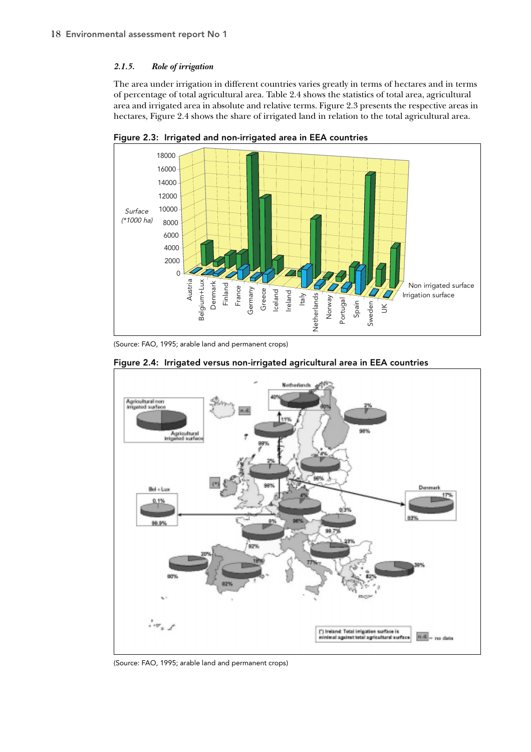## *2.1.5. Role of irrigation*

The area under irrigation in different countries varies greatly in terms of hectares and in terms of percentage of total agricultural area. Table 2.4 shows the statistics of total area, agricultural area and irrigated area in absolute and relative terms. Figure 2.3 presents the respective areas in hectares, Figure 2.4 shows the share of irrigated land in relation to the total agricultural area.



Figure 2.3: Irrigated and non-irrigated area in EEA countries

(Source: FAO, 1995; arable land and permanent crops)



Figure 2.4: Irrigated versus non-irrigated agricultural area in EEA countries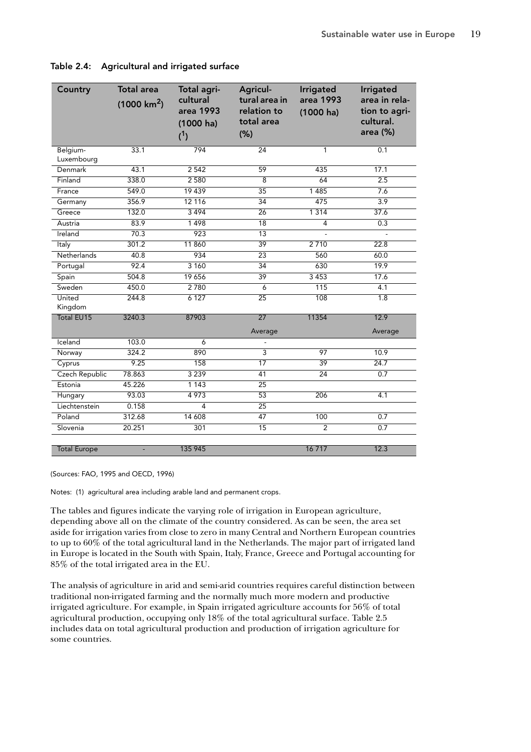| Country                | <b>Total area</b><br>$(1000 \text{ km}^2)$ | Total agri-<br>cultural<br>area 1993<br>$(1000)$ ha)<br>$(^{1})$ | Agricul-<br>tural area in<br>relation to<br>total area<br>(% ) | <b>Irrigated</b><br>area 1993<br>$(1000)$ ha) | Irrigated<br>area in rela-<br>tion to agri-<br>cultural.<br>area (%) |
|------------------------|--------------------------------------------|------------------------------------------------------------------|----------------------------------------------------------------|-----------------------------------------------|----------------------------------------------------------------------|
| Belgium-<br>Luxembourg | 33.1                                       | 794                                                              | $\overline{24}$                                                | 1                                             | 0.1                                                                  |
| Denmark                | 43.1                                       | 2 5 4 2                                                          | 59                                                             | 435                                           | 17.1                                                                 |
| Finland                | 338.0                                      | 2580                                                             | $\overline{8}$                                                 | 64                                            | 2.5                                                                  |
| France                 | 549.0                                      | 19 439                                                           | $\overline{35}$                                                | 1485                                          | 7.6                                                                  |
| Germany                | 356.9                                      | 12 116                                                           | 34                                                             | 475                                           | 3.9                                                                  |
| Greece                 | 132.0                                      | 3494                                                             | 26                                                             | 1 3 1 4                                       | 37.6                                                                 |
| Austria                | 83.9                                       | 1498                                                             | 18                                                             | $\overline{4}$                                | 0.3                                                                  |
| Ireland                | 70.3                                       | 923                                                              | $\overline{13}$                                                |                                               |                                                                      |
| Italy                  | 301.2                                      | 11 860                                                           | 39                                                             | 2710                                          | 22.8                                                                 |
| Netherlands            | 40.8                                       | 934                                                              | 23                                                             | 560                                           | 60.0                                                                 |
| Portugal               | 92.4                                       | 3 1 6 0                                                          | 34                                                             | 630                                           | 19.9                                                                 |
| Spain                  | 504.8                                      | 19 656                                                           | 39                                                             | 3 4 5 3                                       | 17.6                                                                 |
| Sweden                 | 450.0                                      | 2780                                                             | $\overline{6}$                                                 | 115                                           | 4.1                                                                  |
| United<br>Kingdom      | 244.8                                      | 6 1 2 7                                                          | $\overline{25}$                                                | 108                                           | 1.8                                                                  |
| <b>Total EU15</b>      | 3240.3                                     | 87903                                                            | 27                                                             | 11354                                         | 12.9                                                                 |
|                        |                                            |                                                                  | Average                                                        |                                               | Average                                                              |
| Iceland                | 103.0                                      | 6                                                                |                                                                |                                               |                                                                      |
| Norway                 | 324.2                                      | 890                                                              | $\overline{3}$                                                 | 97                                            | 10.9                                                                 |
| Cyprus                 | 9.25                                       | 158                                                              | 17                                                             | 39                                            | 24.7                                                                 |
| Czech Republic         | 78.863                                     | 3 2 3 9                                                          | 41                                                             | 24                                            | $\overline{0.7}$                                                     |
| Estonia                | 45.226                                     | 1 1 4 3                                                          | 25                                                             |                                               |                                                                      |
| Hungary                | 93.03                                      | 4973                                                             | $\overline{53}$                                                | 206                                           | $\overline{4.1}$                                                     |
| Liechtenstein          | 0.158                                      | 4                                                                | 25                                                             |                                               |                                                                      |
| Poland                 | 312.68                                     | 14 608                                                           | 47                                                             | 100                                           | 0.7                                                                  |
| Slovenia               | 20.251                                     | 301                                                              | 15                                                             | $\overline{2}$                                | 0.7                                                                  |
| <b>Total Europe</b>    |                                            | 135 945                                                          |                                                                | 16 717                                        | 12.3                                                                 |

Table 2.4: Agricultural and irrigated surface

(Sources: FAO, 1995 and OECD, 1996)

Notes: (1) agricultural area including arable land and permanent crops.

The tables and figures indicate the varying role of irrigation in European agriculture, depending above all on the climate of the country considered. As can be seen, the area set aside for irrigation varies from close to zero in many Central and Northern European countries to up to 60% of the total agricultural land in the Netherlands. The major part of irrigated land in Europe is located in the South with Spain, Italy, France, Greece and Portugal accounting for 85% of the total irrigated area in the EU.

The analysis of agriculture in arid and semi-arid countries requires careful distinction between traditional non-irrigated farming and the normally much more modern and productive irrigated agriculture. For example, in Spain irrigated agriculture accounts for 56% of total agricultural production, occupying only 18% of the total agricultural surface. Table 2.5 includes data on total agricultural production and production of irrigation agriculture for some countries.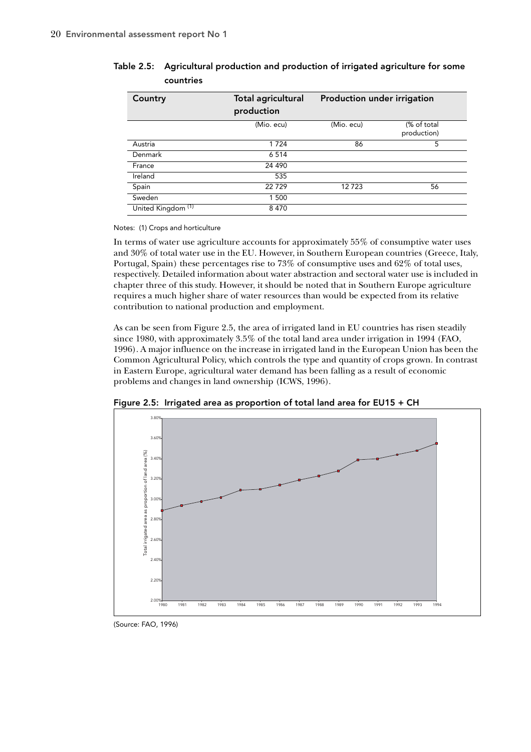| Country                       | <b>Total agricultural</b><br>production | Production under irrigation |                            |
|-------------------------------|-----------------------------------------|-----------------------------|----------------------------|
|                               | (Mio. ecu)                              | (Mio. ecu)                  | (% of total<br>production) |
| Austria                       | 1 7 2 4                                 | 86                          | 5                          |
| Denmark                       | 6 5 1 4                                 |                             |                            |
| France                        | 24 4 9 0                                |                             |                            |
| Ireland                       | 535                                     |                             |                            |
| Spain                         | 22729                                   | 12723                       | 56                         |
| Sweden                        | 1 500                                   |                             |                            |
| United Kingdom <sup>(1)</sup> | 8470                                    |                             |                            |

# Table 2.5: Agricultural production and production of irrigated agriculture for some countries

Notes: (1) Crops and horticulture

In terms of water use agriculture accounts for approximately 55% of consumptive water uses and 30% of total water use in the EU. However, in Southern European countries (Greece, Italy, Portugal, Spain) these percentages rise to 73% of consumptive uses and 62% of total uses, respectively. Detailed information about water abstraction and sectoral water use is included in chapter three of this study. However, it should be noted that in Southern Europe agriculture requires a much higher share of water resources than would be expected from its relative contribution to national production and employment.

As can be seen from Figure 2.5, the area of irrigated land in EU countries has risen steadily since 1980, with approximately 3.5% of the total land area under irrigation in 1994 (FAO, 1996). A major influence on the increase in irrigated land in the European Union has been the Common Agricultural Policy, which controls the type and quantity of crops grown. In contrast in Eastern Europe, agricultural water demand has been falling as a result of economic problems and changes in land ownership (ICWS, 1996).



Figure 2.5: Irrigated area as proportion of total land area for EU15 + CH

(Source: FAO, 1996)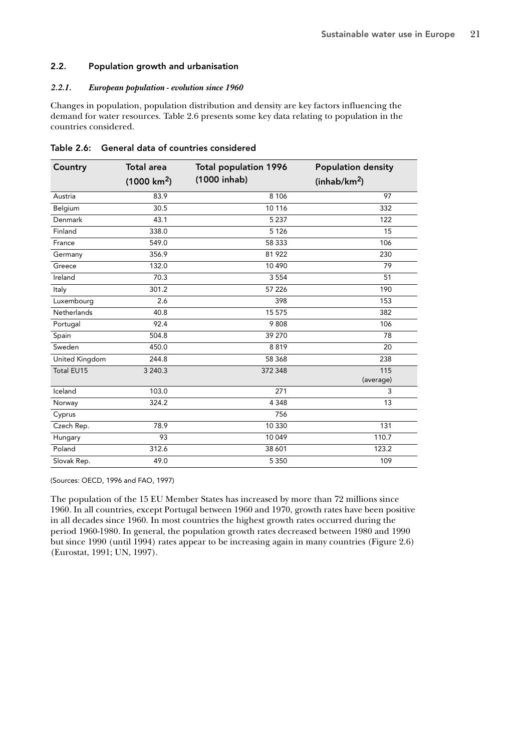## 2.2. Population growth and urbanisation

#### *2.2.1. European population - evolution since 1960*

Changes in population, population distribution and density are key factors influencing the demand for water resources. Table 2.6 presents some key data relating to population in the countries considered.

| Country        | <b>Total area</b>     | <b>Total population 1996</b> | <b>Population density</b> |
|----------------|-----------------------|------------------------------|---------------------------|
|                | $(1000 \text{ km}^2)$ | (1000 inhab)                 | (inhab/km <sup>2</sup> )  |
| Austria        | 83.9                  | 8 1 0 6                      | 97                        |
| Belgium        | 30.5                  | 10 116                       | 332                       |
| Denmark        | 43.1                  | 5 2 3 7                      | 122                       |
| Finland        | 338.0                 | 5 1 2 6                      | 15                        |
| France         | 549.0                 | 58 333                       | 106                       |
| Germany        | 356.9                 | 81 922                       | 230                       |
| Greece         | 132.0                 | 10 490                       | 79                        |
| Ireland        | 70.3                  | 3 5 5 4                      | 51                        |
| Italy          | 301.2                 | 57 226                       | 190                       |
| Luxembourg     | 2.6                   | 398                          | 153                       |
| Netherlands    | 40.8                  | 15 575                       | 382                       |
| Portugal       | 92.4                  | 9808                         | 106                       |
| Spain          | 504.8                 | 39 270                       | 78                        |
| Sweden         | 450.0                 | 8819                         | 20                        |
| United Kingdom | 244.8                 | 58 368                       | 238                       |
| Total EU15     | 3 240.3               | 372 348                      | 115<br>(average)          |
| Iceland        | 103.0                 | 271                          | 3                         |
| Norway         | 324.2                 | 4 3 4 8                      | 13                        |
| Cyprus         |                       | 756                          |                           |
| Czech Rep.     | 78.9                  | 10 330                       | 131                       |
| Hungary        | 93                    | 10 049                       | 110.7                     |
| Poland         | 312.6                 | 38 601                       | 123.2                     |
| Slovak Rep.    | 49.0                  | 5 3 5 0                      | 109                       |

Table 2.6: General data of countries considered

(Sources: OECD, 1996 and FAO, 1997)

The population of the 15 EU Member States has increased by more than 72 millions since 1960. In all countries, except Portugal between 1960 and 1970, growth rates have been positive in all decades since 1960. In most countries the highest growth rates occurred during the period 1960-1980. In general, the population growth rates decreased between 1980 and 1990 but since 1990 (until 1994) rates appear to be increasing again in many countries (Figure 2.6) (Eurostat, 1991; UN, 1997).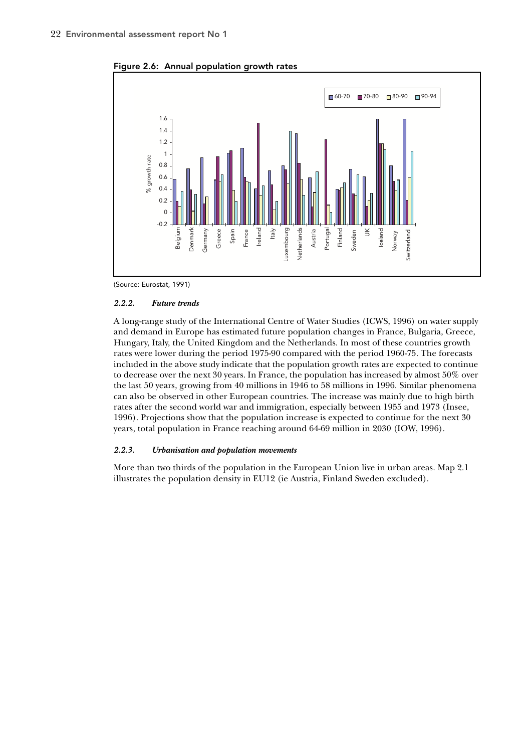

Figure 2.6: Annual population growth rates

(Source: Eurostat, 1991)

#### *2.2.2. Future trends*

A long-range study of the International Centre of Water Studies (ICWS, 1996) on water supply and demand in Europe has estimated future population changes in France, Bulgaria, Greece, Hungary, Italy, the United Kingdom and the Netherlands. In most of these countries growth rates were lower during the period 1975-90 compared with the period 1960-75. The forecasts included in the above study indicate that the population growth rates are expected to continue to decrease over the next 30 years. In France, the population has increased by almost 50% over the last 50 years, growing from 40 millions in 1946 to 58 millions in 1996. Similar phenomena can also be observed in other European countries. The increase was mainly due to high birth rates after the second world war and immigration, especially between 1955 and 1973 (Insee, 1996). Projections show that the population increase is expected to continue for the next 30 years, total population in France reaching around 64-69 million in 2030 (IOW, 1996).

#### *2.2.3. Urbanisation and population movements*

More than two thirds of the population in the European Union live in urban areas. Map 2.1 illustrates the population density in EU12 (ie Austria, Finland Sweden excluded).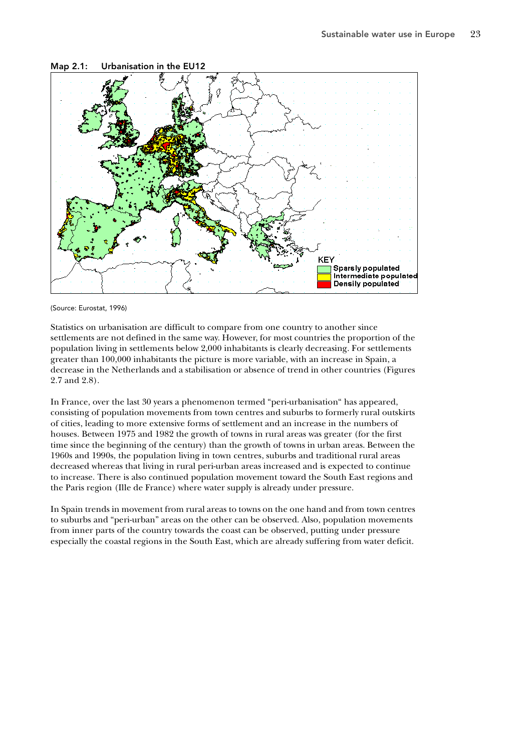

Map 2.1: Urbanisation in the EU12

Statistics on urbanisation are difficult to compare from one country to another since settlements are not defined in the same way. However, for most countries the proportion of the population living in settlements below 2,000 inhabitants is clearly decreasing. For settlements greater than 100,000 inhabitants the picture is more variable, with an increase in Spain, a decrease in the Netherlands and a stabilisation or absence of trend in other countries (Figures 2.7 and 2.8).

In France, over the last 30 years a phenomenon termed "peri-urbanisation" has appeared, consisting of population movements from town centres and suburbs to formerly rural outskirts of cities, leading to more extensive forms of settlement and an increase in the numbers of houses. Between 1975 and 1982 the growth of towns in rural areas was greater (for the first time since the beginning of the century) than the growth of towns in urban areas. Between the 1960s and 1990s, the population living in town centres, suburbs and traditional rural areas decreased whereas that living in rural peri-urban areas increased and is expected to continue to increase. There is also continued population movement toward the South East regions and the Paris region (Ille de France) where water supply is already under pressure.

In Spain trends in movement from rural areas to towns on the one hand and from town centres to suburbs and "peri-urban" areas on the other can be observed. Also, population movements from inner parts of the country towards the coast can be observed, putting under pressure especially the coastal regions in the South East, which are already suffering from water deficit.

<sup>(</sup>Source: Eurostat, 1996)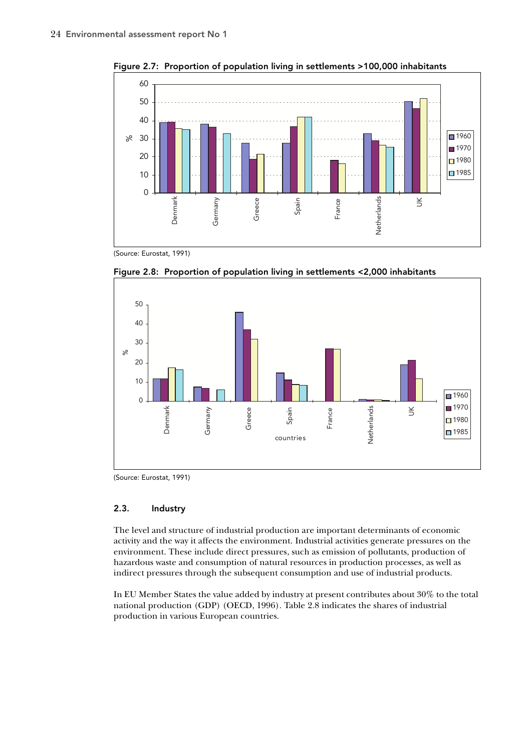

Figure 2.7: Proportion of population living in settlements >100,000 inhabitants

(Source: Eurostat, 1991)



Figure 2.8: Proportion of population living in settlements <2,000 inhabitants

(Source: Eurostat, 1991)

# 2.3. Industry

The level and structure of industrial production are important determinants of economic activity and the way it affects the environment. Industrial activities generate pressures on the environment. These include direct pressures, such as emission of pollutants, production of hazardous waste and consumption of natural resources in production processes, as well as indirect pressures through the subsequent consumption and use of industrial products.

In EU Member States the value added by industry at present contributes about 30% to the total national production (GDP) (OECD, 1996). Table 2.8 indicates the shares of industrial production in various European countries.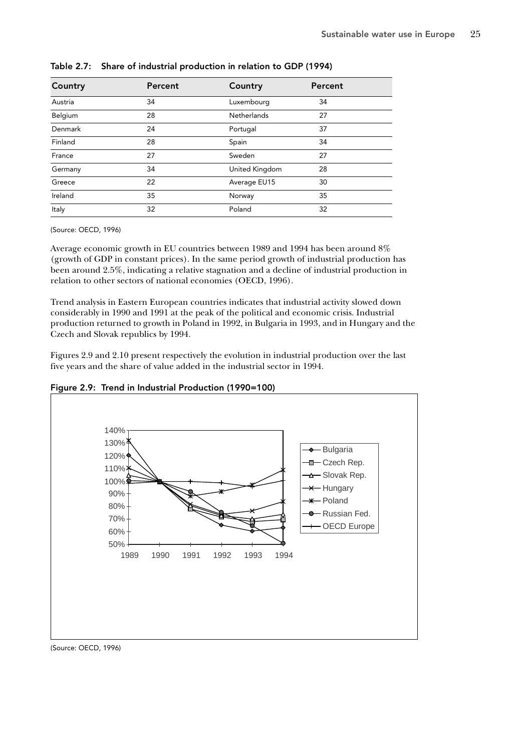| Country | Percent | Country            | Percent |  |
|---------|---------|--------------------|---------|--|
| Austria | 34      | Luxembourg         | 34      |  |
| Belgium | 28      | <b>Netherlands</b> | 27      |  |
| Denmark | 24      | Portugal           | 37      |  |
| Finland | 28      | Spain              | 34      |  |
| France  | 27      | Sweden             | 27      |  |
| Germany | 34      | United Kingdom     | 28      |  |
| Greece  | 22      | Average EU15       | 30      |  |
| Ireland | 35      | Norway             | 35      |  |
| Italy   | 32      | Poland             | 32      |  |

Table 2.7: Share of industrial production in relation to GDP (1994)

Average economic growth in EU countries between 1989 and 1994 has been around 8% (growth of GDP in constant prices). In the same period growth of industrial production has been around 2.5%, indicating a relative stagnation and a decline of industrial production in relation to other sectors of national economies (OECD, 1996).

Trend analysis in Eastern European countries indicates that industrial activity slowed down considerably in 1990 and 1991 at the peak of the political and economic crisis. Industrial production returned to growth in Poland in 1992, in Bulgaria in 1993, and in Hungary and the Czech and Slovak republics by 1994.

Figures 2.9 and 2.10 present respectively the evolution in industrial production over the last five years and the share of value added in the industrial sector in 1994.





(Source: OECD, 1996)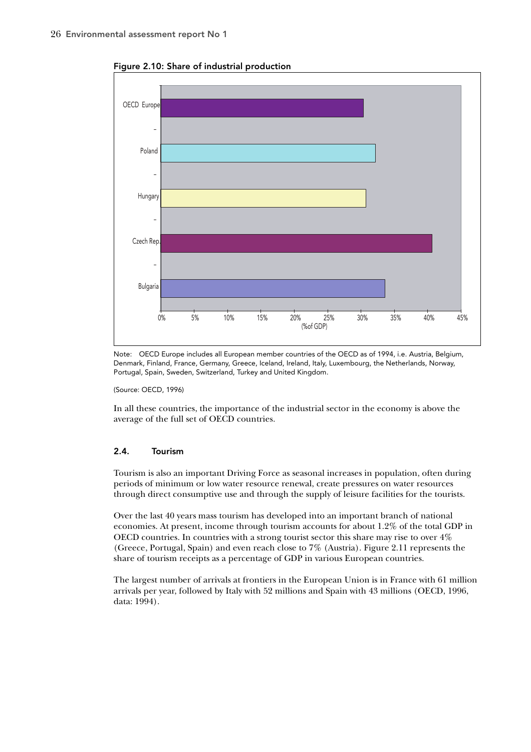

Figure 2.10: Share of industrial production

Note: OECD Europe includes all European member countries of the OECD as of 1994, i.e. Austria, Belgium, Denmark, Finland, France, Germany, Greece, Iceland, Ireland, Italy, Luxembourg, the Netherlands, Norway, Portugal, Spain, Sweden, Switzerland, Turkey and United Kingdom.

In all these countries, the importance of the industrial sector in the economy is above the average of the full set of OECD countries.

#### 2.4. Tourism

Tourism is also an important Driving Force as seasonal increases in population, often during periods of minimum or low water resource renewal, create pressures on water resources through direct consumptive use and through the supply of leisure facilities for the tourists.

Over the last 40 years mass tourism has developed into an important branch of national economies. At present, income through tourism accounts for about 1.2% of the total GDP in OECD countries. In countries with a strong tourist sector this share may rise to over 4% (Greece, Portugal, Spain) and even reach close to 7% (Austria). Figure 2.11 represents the share of tourism receipts as a percentage of GDP in various European countries.

The largest number of arrivals at frontiers in the European Union is in France with 61 million arrivals per year, followed by Italy with 52 millions and Spain with 43 millions (OECD, 1996, data: 1994).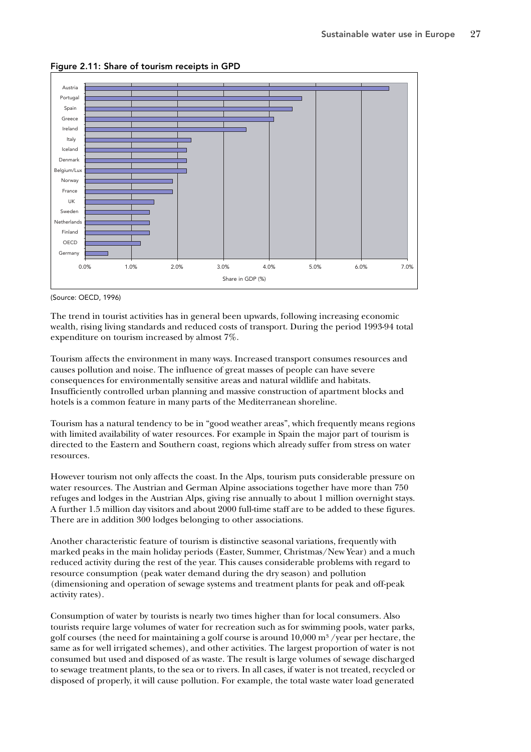

Figure 2.11: Share of tourism receipts in GPD

The trend in tourist activities has in general been upwards, following increasing economic wealth, rising living standards and reduced costs of transport. During the period 1993-94 total expenditure on tourism increased by almost 7%.

Tourism affects the environment in many ways. Increased transport consumes resources and causes pollution and noise. The influence of great masses of people can have severe consequences for environmentally sensitive areas and natural wildlife and habitats. Insufficiently controlled urban planning and massive construction of apartment blocks and hotels is a common feature in many parts of the Mediterranean shoreline.

Tourism has a natural tendency to be in "good weather areas", which frequently means regions with limited availability of water resources. For example in Spain the major part of tourism is directed to the Eastern and Southern coast, regions which already suffer from stress on water resources.

However tourism not only affects the coast. In the Alps, tourism puts considerable pressure on water resources. The Austrian and German Alpine associations together have more than 750 refuges and lodges in the Austrian Alps, giving rise annually to about 1 million overnight stays. A further 1.5 million day visitors and about 2000 full-time staff are to be added to these figures. There are in addition 300 lodges belonging to other associations.

Another characteristic feature of tourism is distinctive seasonal variations, frequently with marked peaks in the main holiday periods (Easter, Summer, Christmas/New Year) and a much reduced activity during the rest of the year. This causes considerable problems with regard to resource consumption (peak water demand during the dry season) and pollution (dimensioning and operation of sewage systems and treatment plants for peak and off-peak activity rates).

Consumption of water by tourists is nearly two times higher than for local consumers. Also tourists require large volumes of water for recreation such as for swimming pools, water parks, golf courses (the need for maintaining a golf course is around  $10,000$  m<sup>3</sup> /year per hectare, the same as for well irrigated schemes), and other activities. The largest proportion of water is not consumed but used and disposed of as waste. The result is large volumes of sewage discharged to sewage treatment plants, to the sea or to rivers. In all cases, if water is not treated, recycled or disposed of properly, it will cause pollution. For example, the total waste water load generated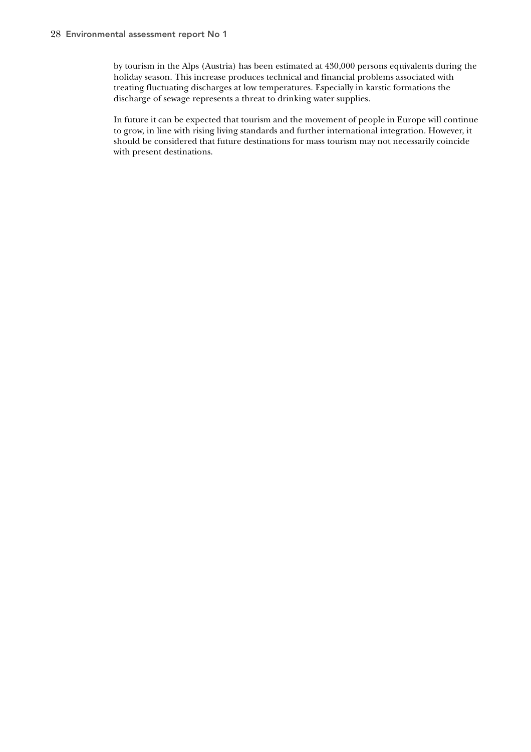by tourism in the Alps (Austria) has been estimated at 430,000 persons equivalents during the holiday season. This increase produces technical and financial problems associated with treating fluctuating discharges at low temperatures. Especially in karstic formations the discharge of sewage represents a threat to drinking water supplies.

In future it can be expected that tourism and the movement of people in Europe will continue to grow, in line with rising living standards and further international integration. However, it should be considered that future destinations for mass tourism may not necessarily coincide with present destinations.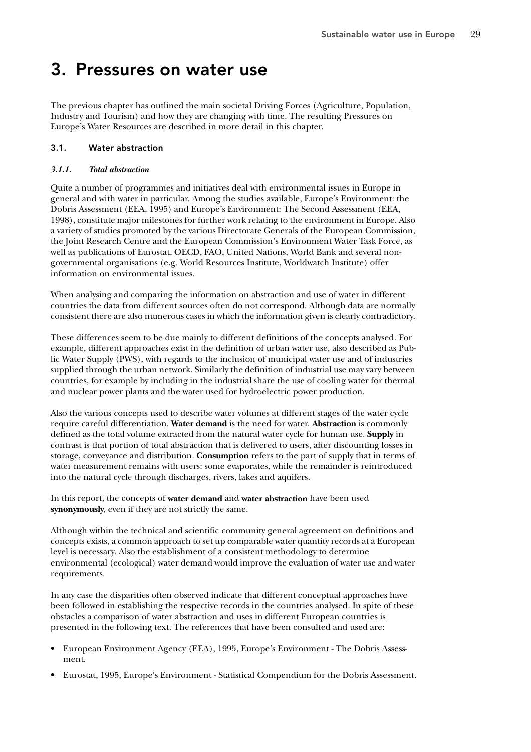# 3. Pressures on water use

The previous chapter has outlined the main societal Driving Forces (Agriculture, Population, Industry and Tourism) and how they are changing with time. The resulting Pressures on Europe's Water Resources are described in more detail in this chapter.

# 3.1. Water abstraction

## *3.1.1. Total abstraction*

Quite a number of programmes and initiatives deal with environmental issues in Europe in general and with water in particular. Among the studies available, Europe's Environment: the Dobris Assessment (EEA, 1995) and Europe's Environment: The Second Assessment (EEA, 1998), constitute major milestones for further work relating to the environment in Europe. Also a variety of studies promoted by the various Directorate Generals of the European Commission, the Joint Research Centre and the European Commission's Environment Water Task Force, as well as publications of Eurostat, OECD, FAO, United Nations, World Bank and several nongovernmental organisations (e.g. World Resources Institute, Worldwatch Institute) offer information on environmental issues.

When analysing and comparing the information on abstraction and use of water in different countries the data from different sources often do not correspond. Although data are normally consistent there are also numerous cases in which the information given is clearly contradictory.

These differences seem to be due mainly to different definitions of the concepts analysed. For example, different approaches exist in the definition of urban water use, also described as Public Water Supply (PWS), with regards to the inclusion of municipal water use and of industries supplied through the urban network. Similarly the definition of industrial use may vary between countries, for example by including in the industrial share the use of cooling water for thermal and nuclear power plants and the water used for hydroelectric power production.

Also the various concepts used to describe water volumes at different stages of the water cycle require careful differentiation. **Water demand** is the need for water. **Abstraction** is commonly defined as the total volume extracted from the natural water cycle for human use. **Supply** in contrast is that portion of total abstraction that is delivered to users, after discounting losses in storage, conveyance and distribution. **Consumption** refers to the part of supply that in terms of water measurement remains with users: some evaporates, while the remainder is reintroduced into the natural cycle through discharges, rivers, lakes and aquifers.

In this report, the concepts of **water demand** and **water abstraction** have been used **synonymously**, even if they are not strictly the same.

Although within the technical and scientific community general agreement on definitions and concepts exists, a common approach to set up comparable water quantity records at a European level is necessary. Also the establishment of a consistent methodology to determine environmental (ecological) water demand would improve the evaluation of water use and water requirements.

In any case the disparities often observed indicate that different conceptual approaches have been followed in establishing the respective records in the countries analysed. In spite of these obstacles a comparison of water abstraction and uses in different European countries is presented in the following text. The references that have been consulted and used are:

- European Environment Agency (EEA), 1995, Europe's Environment The Dobris Assessment.
- Eurostat, 1995, Europe's Environment Statistical Compendium for the Dobris Assessment.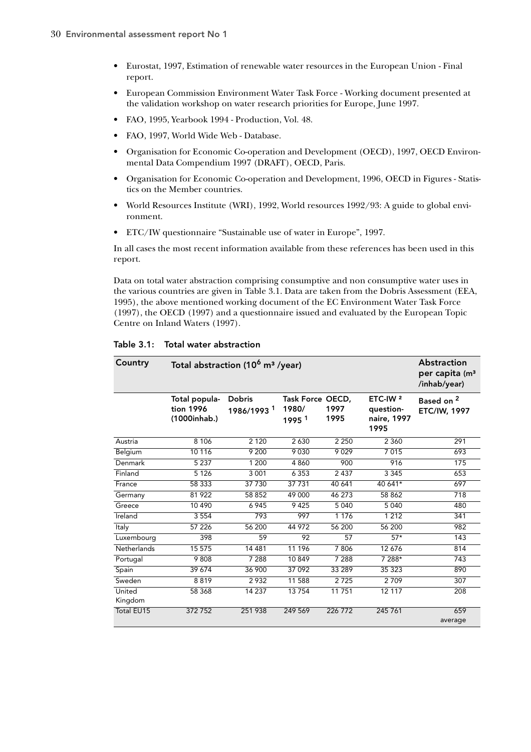- Eurostat, 1997, Estimation of renewable water resources in the European Union Final report.
- European Commission Environment Water Task Force Working document presented at the validation workshop on water research priorities for Europe, June 1997.
- FAO, 1995, Yearbook 1994 Production, Vol. 48.
- FAO, 1997, World Wide Web Database.
- Organisation for Economic Co-operation and Development (OECD), 1997, OECD Environmental Data Compendium 1997 (DRAFT), OECD, Paris.
- Organisation for Economic Co-operation and Development, 1996, OECD in Figures Statistics on the Member countries.
- World Resources Institute (WRI), 1992, World resources 1992/93: A guide to global environment.
- ETC/IW questionnaire "Sustainable use of water in Europe", 1997.

In all cases the most recent information available from these references has been used in this report.

Data on total water abstraction comprising consumptive and non consumptive water uses in the various countries are given in Table 3.1. Data are taken from the Dobris Assessment (EEA, 1995), the above mentioned working document of the EC Environment Water Task Force (1997), the OECD (1997) and a questionnaire issued and evaluated by the European Topic Centre on Inland Waters (1997).

| Country           | Total abstraction (10 <sup>6</sup> m <sup>3</sup> /year) | <b>Abstraction</b><br>per capita (m <sup>3</sup><br>/inhab/year) |                                                |                 |                                                         |                                              |
|-------------------|----------------------------------------------------------|------------------------------------------------------------------|------------------------------------------------|-----------------|---------------------------------------------------------|----------------------------------------------|
|                   | Total popula-<br>tion 1996<br>(1000inhab.)               | <b>Dobris</b><br>1986/1993 <sup>1</sup>                          | Task Force OECD,<br>1980/<br>1995 <sup>1</sup> | 1997<br>1995    | ETC-IW <sup>2</sup><br>question-<br>naire, 1997<br>1995 | Based on <sup>2</sup><br><b>ETC/IW, 1997</b> |
| Austria           | 8 1 0 6                                                  | 2 1 2 0                                                          | 2 6 3 0                                        | 2 2 5 0         | 2 3 6 0                                                 | 291                                          |
| Belgium           | 10 116                                                   | 9 200                                                            | 9030                                           | 9029            | 7015                                                    | 693                                          |
| Denmark           | 5 2 3 7                                                  | 1 200                                                            | 4860                                           | 900             | 916                                                     | 175                                          |
| Finland           | 5 1 2 6                                                  | 3 0 0 1                                                          | 6 3 5 3                                        | 2437            | 3345                                                    | 653                                          |
| France            | 58 3 3 3                                                 | 37 730                                                           | 37 731                                         | 40 641          | 40 641*                                                 | 697                                          |
| Germany           | 81922                                                    | 58 852                                                           | 49 000                                         | 46 273          | 58 862                                                  | 718                                          |
| Greece            | 10 4 9 0                                                 | 6945                                                             | 9425                                           | 5040            | 5 0 4 0                                                 | 480                                          |
| Ireland           | 3 5 5 4                                                  | 793                                                              | 997                                            | 1 1 7 6         | 1 2 1 2                                                 | 341                                          |
| Italy             | 57 226                                                   | 56 200                                                           | 44 972                                         | 56 200          | 56 200                                                  | 982                                          |
| Luxembourg        | 398                                                      | 59                                                               | 92                                             | $\overline{57}$ | $57*$                                                   | 143                                          |
| Netherlands       | 15 575                                                   | 14 48 1                                                          | 11 196                                         | 7 8 0 6         | 12 676                                                  | 814                                          |
| Portugal          | 9808                                                     | 7 2 8 8                                                          | 10849                                          | 7 2 8 8         | 7 288*                                                  | 743                                          |
| Spain             | 39 674                                                   | 36 900                                                           | 37 092                                         | 33 289          | 35 323                                                  | 890                                          |
| Sweden            | 8819                                                     | 2932                                                             | 11 588                                         | 2725            | 2 7 0 9                                                 | 307                                          |
| United<br>Kingdom | 58 368                                                   | 14 237                                                           | 13754                                          | 11751           | 12 117                                                  | 208                                          |
| Total EU15        | 372752                                                   | 251 938                                                          | 249 569                                        | 226 772         | 245 761                                                 | 659                                          |
|                   |                                                          |                                                                  |                                                |                 |                                                         | average                                      |

Table 3.1: Total water abstraction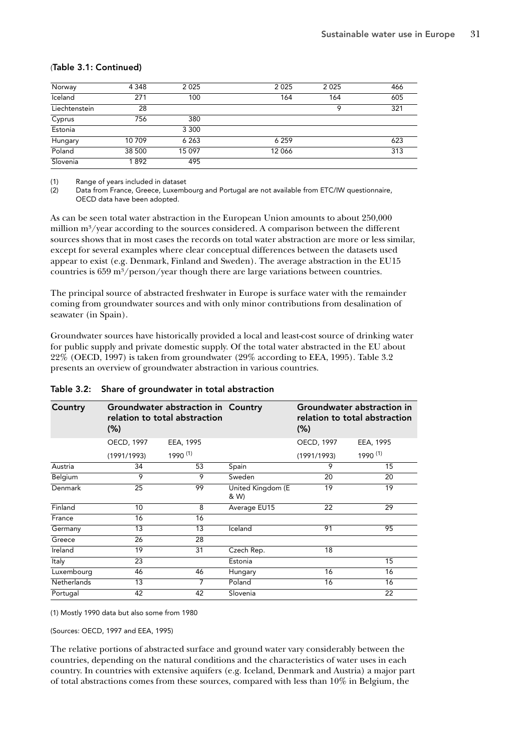### (Table 3.1: Continued)

| Norway        | 4 3 4 8 | 2025    | 2025    | 2 0 2 5 | 466 |
|---------------|---------|---------|---------|---------|-----|
| Iceland       | 271     | 100     | 164     | 164     | 605 |
| Liechtenstein | 28      |         |         | Q       | 321 |
| Cyprus        | 756     | 380     |         |         |     |
| Estonia       |         | 3 3 0 0 |         |         |     |
| Hungary       | 10 709  | 6 2 6 3 | 6 2 5 9 |         | 623 |
| Poland        | 38 500  | 15 097  | 12 066  |         | 313 |
| Slovenia      | 1892    | 495     |         |         |     |

(1) Range of years included in dataset<br>(2) Data from France, Greece, Luxemb

Data from France, Greece, Luxembourg and Portugal are not available from ETC/IW questionnaire, OECD data have been adopted.

As can be seen total water abstraction in the European Union amounts to about 250,000 million m<sup>3</sup>/year according to the sources considered. A comparison between the different sources shows that in most cases the records on total water abstraction are more or less similar, except for several examples where clear conceptual differences between the datasets used appear to exist (e.g. Denmark, Finland and Sweden). The average abstraction in the EU15 countries is  $659 \text{ m}^3/\text{person}/\text{year}$  though there are large variations between countries.

The principal source of abstracted freshwater in Europe is surface water with the remainder coming from groundwater sources and with only minor contributions from desalination of seawater (in Spain).

Groundwater sources have historically provided a local and least-cost source of drinking water for public supply and private domestic supply. Of the total water abstracted in the EU about 22% (OECD, 1997) is taken from groundwater (29% according to EEA, 1995). Table 3.2 presents an overview of groundwater abstraction in various countries.

| Country            | $(\%)$         | Groundwater abstraction in Country<br>relation to total abstraction |                           | Groundwater abstraction in<br>relation to total abstraction<br>$(\%)$ |           |  |  |  |  |
|--------------------|----------------|---------------------------------------------------------------------|---------------------------|-----------------------------------------------------------------------|-----------|--|--|--|--|
|                    | OECD, 1997     | EEA, 1995                                                           |                           | OECD, 1997                                                            | EEA, 1995 |  |  |  |  |
|                    | (1991/1993)    | 1990 (1)                                                            |                           | (1991/1993)                                                           | 1990 (1)  |  |  |  |  |
| Austria            | 34             | 53                                                                  | Spain                     | 9                                                                     | 15        |  |  |  |  |
| Belgium            | $\overline{9}$ | 9                                                                   | Sweden                    | 20                                                                    | 20        |  |  |  |  |
| Denmark            | 25             | 99                                                                  | United Kingdom (E<br>& W) | 19                                                                    | 19        |  |  |  |  |
| Finland            | 10             | 8                                                                   | Average EU15              | 22                                                                    | 29        |  |  |  |  |
| France             | 16             | 16                                                                  |                           |                                                                       |           |  |  |  |  |
| Germany            | 13             | 13                                                                  | Iceland                   | 91                                                                    | 95        |  |  |  |  |
| Greece             | 26             | 28                                                                  |                           |                                                                       |           |  |  |  |  |
| Ireland            | 19             | 31                                                                  | Czech Rep.                | 18                                                                    |           |  |  |  |  |
| Italy              | 23             |                                                                     | Estonia                   |                                                                       | 15        |  |  |  |  |
| Luxembourg         | 46             | 46                                                                  | Hungary                   | 16                                                                    | 16        |  |  |  |  |
| <b>Netherlands</b> | 13             | 7                                                                   | Poland                    | 16                                                                    | 16        |  |  |  |  |
| Portugal           | 42             | 42                                                                  | Slovenia                  |                                                                       | 22        |  |  |  |  |

#### Table 3.2: Share of groundwater in total abstraction

(1) Mostly 1990 data but also some from 1980

(Sources: OECD, 1997 and EEA, 1995)

The relative portions of abstracted surface and ground water vary considerably between the countries, depending on the natural conditions and the characteristics of water uses in each country. In countries with extensive aquifers (e.g. Iceland, Denmark and Austria) a major part of total abstractions comes from these sources, compared with less than 10% in Belgium, the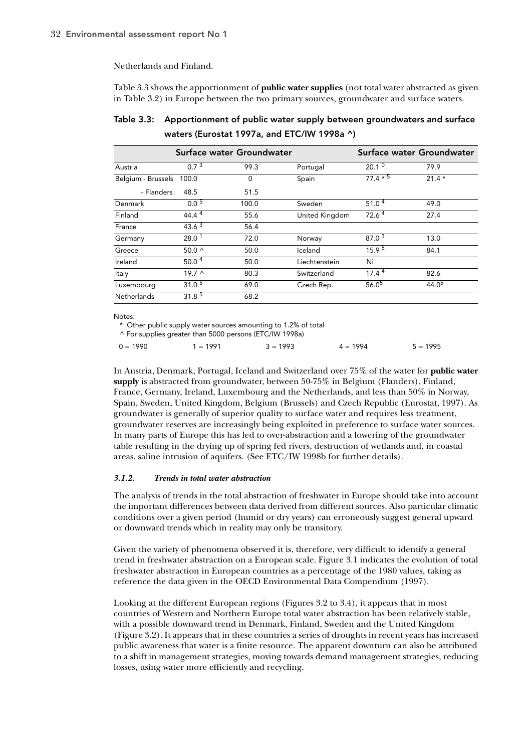Netherlands and Finland.

Table 3.3 shows the apportionment of **public water supplies** (not total water abstracted as given in Table 3.2) in Europe between the two primary sources, groundwater and surface waters.

Table 3.3: Apportionment of public water supply between groundwaters and surface waters (Eurostat 1997a, and ETC/IW 1998a ^)

|                    | Surface water Groundwater |       | Surface water Groundwater |                   |                   |  |  |  |  |
|--------------------|---------------------------|-------|---------------------------|-------------------|-------------------|--|--|--|--|
| Austria            | 0.7 <sup>3</sup><br>99.3  |       | Portugal                  | 20.1 <sup>0</sup> | 79.9              |  |  |  |  |
| Belgium - Brussels | 100.0                     | 0     | Spain                     | $77.4 * 5$        | $21.4*$           |  |  |  |  |
| - Flanders         | 48.5                      | 51.5  |                           |                   |                   |  |  |  |  |
| Denmark            | $0.0\,5$                  | 100.0 | Sweden                    | 51.0 <sup>4</sup> | 49.0              |  |  |  |  |
| Finland            | 44.4 <sup>4</sup>         | 55.6  | United Kingdom            | 72.6 <sup>4</sup> | 27.4              |  |  |  |  |
| France             | $43.6^{3}$                | 56.4  |                           |                   |                   |  |  |  |  |
| Germany            | 28.0 <sup>1</sup>         | 72.0  | Norway                    | 87.0 <sup>3</sup> | 13.0              |  |  |  |  |
| Greece             | 50.0 <sub>0</sub>         | 50.0  | Iceland                   | 15.9 <sup>5</sup> | 84.1              |  |  |  |  |
| Ireland            | 50.0 <sup>4</sup>         | 50.0  | Liechtenstein             | Ni                |                   |  |  |  |  |
| Italy              | $19.7^$                   | 80.3  | Switzerland               | $17.4^{\,4}$      | 82.6              |  |  |  |  |
| Luxembourg         | 31.0 <sup>5</sup>         | 69.0  | Czech Rep.                | 56.0 <sup>5</sup> | 44.0 <sup>5</sup> |  |  |  |  |
| Netherlands        | $31.\overline{8^{5}}$     | 68.2  |                           |                   |                   |  |  |  |  |

Notes:

\* Other public supply water sources amounting to 1.2% of total

^ For supplies greater than 5000 persons (ETC/IW 1998a)

| $5 = 1995$<br>$0 = 1990$<br>$3 = 1993$<br>$1 = 1991$<br>$4 = 1994$ |  |
|--------------------------------------------------------------------|--|
|--------------------------------------------------------------------|--|

In Austria, Denmark, Portugal, Iceland and Switzerland over 75% of the water for **public water supply** is abstracted from groundwater, between 50-75% in Belgium (Flanders), Finland, France, Germany, Ireland, Luxembourg and the Netherlands, and less than 50% in Norway, Spain, Sweden, United Kingdom, Belgium (Brussels) and Czech Republic (Eurostat, 1997). As groundwater is generally of superior quality to surface water and requires less treatment, groundwater reserves are increasingly being exploited in preference to surface water sources. In many parts of Europe this has led to over-abstraction and a lowering of the groundwater table resulting in the drying up of spring fed rivers, destruction of wetlands and, in coastal areas, saline intrusion of aquifers. (See ETC/IW 1998b for further details).

#### *3.1.2. Trends in total water abstraction*

The analysis of trends in the total abstraction of freshwater in Europe should take into account the important differences between data derived from different sources. Also particular climatic conditions over a given period (humid or dry years) can erroneously suggest general upward or downward trends which in reality may only be transitory.

Given the variety of phenomena observed it is, therefore, very difficult to identify a general trend in freshwater abstraction on a European scale. Figure 3.1 indicates the evolution of total freshwater abstraction in European countries as a percentage of the 1980 values, taking as reference the data given in the OECD Environmental Data Compendium (1997).

Looking at the different European regions (Figures 3.2 to 3.4), it appears that in most countries of Western and Northern Europe total water abstraction has been relatively stable, with a possible downward trend in Denmark, Finland, Sweden and the United Kingdom (Figure 3.2). It appears that in these countries a series of droughts in recent years has increased public awareness that water is a finite resource. The apparent downturn can also be attributed to a shift in management strategies, moving towards demand management strategies, reducing losses, using water more efficiently and recycling.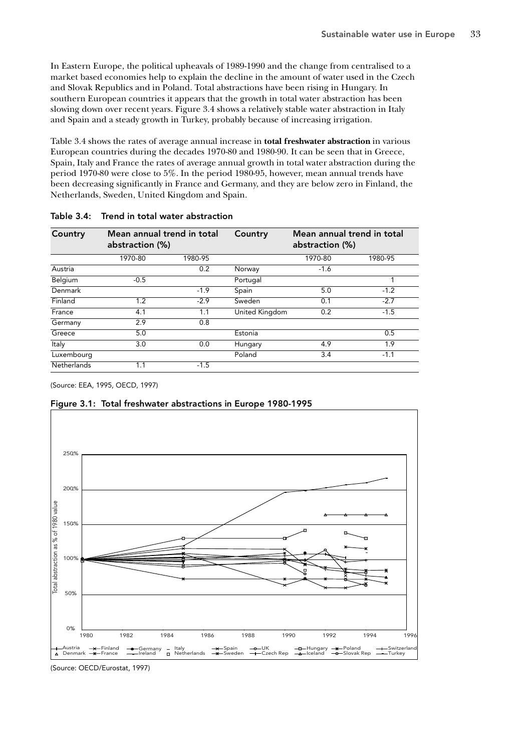In Eastern Europe, the political upheavals of 1989-1990 and the change from centralised to a market based economies help to explain the decline in the amount of water used in the Czech and Slovak Republics and in Poland. Total abstractions have been rising in Hungary. In southern European countries it appears that the growth in total water abstraction has been slowing down over recent years. Figure 3.4 shows a relatively stable water abstraction in Italy and Spain and a steady growth in Turkey, probably because of increasing irrigation.

Table 3.4 shows the rates of average annual increase in **total freshwater abstraction** in various European countries during the decades 1970-80 and 1980-90. It can be seen that in Greece, Spain, Italy and France the rates of average annual growth in total water abstraction during the period 1970-80 were close to 5%. In the period 1980-95, however, mean annual trends have been decreasing significantly in France and Germany, and they are below zero in Finland, the Netherlands, Sweden, United Kingdom and Spain.

| Country            | Mean annual trend in total<br>abstraction (%) |         | Country        | Mean annual trend in total<br>abstraction (%) |         |  |  |  |  |
|--------------------|-----------------------------------------------|---------|----------------|-----------------------------------------------|---------|--|--|--|--|
|                    | 1970-80                                       | 1980-95 |                | 1970-80                                       | 1980-95 |  |  |  |  |
| Austria            |                                               | 0.2     | Norway         | $-1.6$                                        |         |  |  |  |  |
| Belgium            | $-0.5$                                        |         | Portugal       |                                               |         |  |  |  |  |
| Denmark            |                                               | $-1.9$  | Spain          | 5.0                                           | $-1.2$  |  |  |  |  |
| Finland            | 1.2                                           | $-2.9$  | Sweden         | 0.1                                           | $-2.7$  |  |  |  |  |
| France             | 4.1                                           | 1.1     | United Kingdom | 0.2                                           | $-1.5$  |  |  |  |  |
| Germany            | 2.9                                           | 0.8     |                |                                               |         |  |  |  |  |
| Greece             | 5.0                                           |         | Estonia        |                                               | 0.5     |  |  |  |  |
| Italy              | 3.0                                           | 0.0     | Hungary        | 4.9                                           | 1.9     |  |  |  |  |
| Luxembourg         |                                               |         | Poland         | 3.4                                           | $-1.1$  |  |  |  |  |
| <b>Netherlands</b> | 1.1                                           | $-1.5$  |                |                                               |         |  |  |  |  |

#### Table 3.4: Trend in total water abstraction

(Source: EEA, 1995, OECD, 1997)

## Figure 3.1: Total freshwater abstractions in Europe 1980-1995



(Source: OECD/Eurostat, 1997)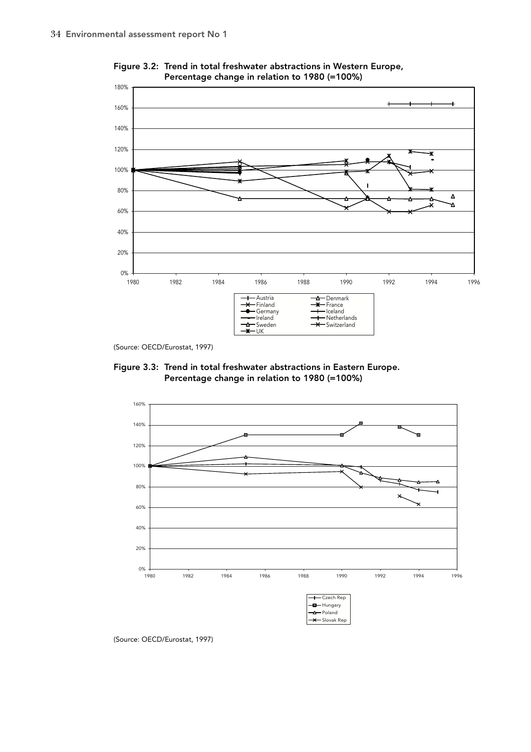

Figure 3.2: Trend in total freshwater abstractions in Western Europe, Percentage change in relation to 1980 (=100%)

(Source: OECD/Eurostat, 1997)





(Source: OECD/Eurostat, 1997)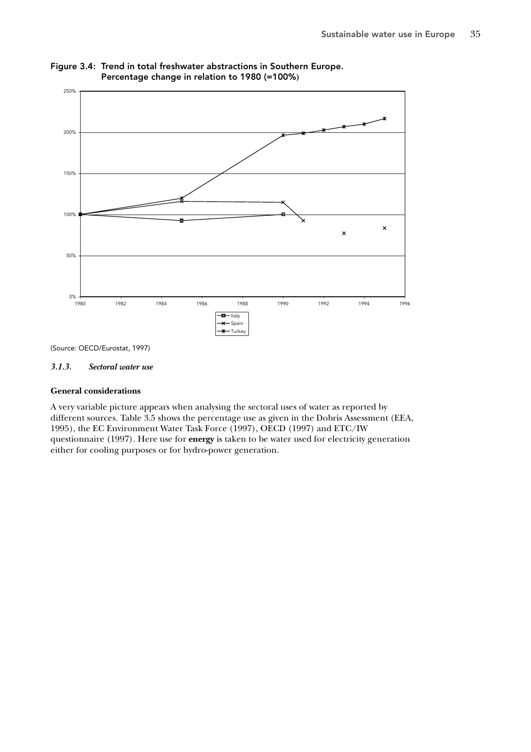

Figure 3.4: Trend in total freshwater abstractions in Southern Europe. Percentage change in relation to 1980 (=100%**)**

(Source: OECD/Eurostat, 1997)

### *3.1.3. Sectoral water use*

#### **General considerations**

A very variable picture appears when analysing the sectoral uses of water as reported by different sources. Table 3.5 shows the percentage use as given in the Dobris Assessment (EEA, 1995), the EC Environment Water Task Force (1997), OECD (1997) and ETC/IW questionnaire (1997). Here use for **energy** is taken to be water used for electricity generation either for cooling purposes or for hydro-power generation.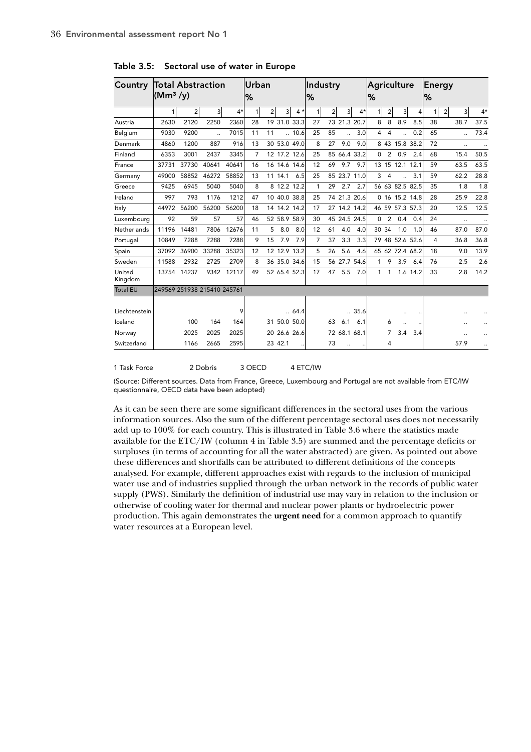| Country           | Total Abstraction<br>(Mm <sup>3</sup> /y) |                |                      |       | lUrban<br>℅    |                |              |              | Industry<br>%  |                |              |       | <b>Agriculture</b><br>% |                |                      |          | Energy<br>% |                |           |      |
|-------------------|-------------------------------------------|----------------|----------------------|-------|----------------|----------------|--------------|--------------|----------------|----------------|--------------|-------|-------------------------|----------------|----------------------|----------|-------------|----------------|-----------|------|
|                   | 1                                         | $\overline{2}$ | 3                    | $4*$  | 1              | $\overline{2}$ | 3            | $4 *$        | $\mathbf{1}$   | $\overline{2}$ | 3            | $4*$  | 1                       | $\overline{2}$ | $\overline{3}$       | 4        |             | $\overline{2}$ | 3         | $4*$ |
| Austria           | 2630                                      | 2120           | 2250                 | 2360  | 28             |                | 19 31.0 33.3 |              | 27             |                | 73 21.3 20.7 |       | 8                       | 8              | 8.9                  | 8.5      | 38          |                | 38.7      | 37.5 |
| Belgium           | 9030                                      | 9200           | $\ddot{\phantom{a}}$ | 7015  | 11             | 11             |              | .10.6        | 25             | 85             |              | 3.0   | $\overline{4}$          | $\overline{4}$ | $\ddot{\phantom{a}}$ | 0.2      | 65          |                |           | 73.4 |
| Denmark           | 4860                                      | 1200           | 887                  | 916   | 13             |                |              | 30 53.0 49.0 | 8              | 27             | 9.0          | 9.0   |                         |                | 8 43 15.8 38.2       |          | 72          |                | $\ddotsc$ |      |
| Finland           | 6353                                      | 3001           | 2437                 | 3345  | $\overline{7}$ |                | 12 17.2 12.6 |              | 25             |                | 85 66.4 33.2 |       | $\Omega$                | 2              | 0.9                  | 2.4      | 68          |                | 15.4      | 50.5 |
| France            | 37731                                     | 37730          | 40641                | 40641 | 16             |                | 16 14.6 14.6 |              | 12             | 69             | 9.7          | 9.7   |                         |                | 13 15 12.1 12.1      |          | 59          |                | 63.5      | 63.5 |
| Germany           | 49000                                     | 58852          | 46272                | 58852 | 13             |                | 11 14.1      | 6.5          | 25             |                | 85 23.7 11.0 |       | 3                       | $\overline{4}$ |                      | 3.1      | 59          |                | 62.2      | 28.8 |
| Greece            | 9425                                      | 6945           | 5040                 | 5040  | 8              |                | 8 12.2 12.2  |              | 1              | 29             | 2.7          | 2.7   |                         |                | 56 63 82.5 82.5      |          | 35          |                | 1.8       | 1.8  |
| Ireland           | 997                                       | 793            | 1176                 | 1212  | 47             |                | 10 40.0 38.8 |              | 25             |                | 74 21.3 20.6 |       |                         |                | 0 16 15.2 14.8       |          | 28          |                | 25.9      | 22.8 |
| Italy             | 44972                                     | 56200          | 56200                | 56200 | 18             |                | 14 14.2 14.2 |              | 17             |                | 27 14.2 14.2 |       |                         |                | 46 59 57.3 57.3      |          | 20          |                | 12.5      | 12.5 |
| Luxembourg        | 92                                        | 59             | 57                   | 57    | 46             |                | 52 58.9 58.9 |              | 30             |                | 45 24.5 24.5 |       | $\Omega$                | 2              | 0.4                  | 0.4      | 24          |                |           |      |
| Netherlands       | 11196                                     | 14481          | 7806                 | 12676 | 11             | 5              | 8.0          | 8.0          | 12             | 61             | 4.0          | 4.0   | 30 34                   |                | 1.0                  | 1.0      | 46          |                | 87.0      | 87.0 |
| Portugal          | 10849                                     | 7288           | 7288                 | 7288  | 9              | 15             | 7.9          | 7.9          | $\overline{7}$ | 37             | 3.3          | 3.3   |                         |                | 79 48 52.6 52.6      |          | 4           |                | 36.8      | 36.8 |
| Spain             | 37092                                     | 36900          | 33288                | 35323 | 12             |                | 12 12.9 13.2 |              | 5              | 26             | 5.6          | 4.6   |                         |                | 65 62 72.4 68.2      |          | 18          |                | 9.0       | 13.9 |
| Sweden            | 11588                                     | 2932           | 2725                 | 2709  | 8              |                | 36 35.0 34.6 |              | 15             |                | 56 27.7 54.6 |       | $\mathbf{1}$            | 9              | 3.9                  | 6.4      | 76          |                | 2.5       | 2.6  |
| United<br>Kingdom | 13754                                     | 14237          | 9342                 | 12117 | 49             |                | 52 65.4 52.3 |              | 17             | 47             | 5.5          | 7.0   | 1                       | 1              |                      | 1.6 14.2 | 33          |                | 2.8       | 14.2 |
| <b>Total EU</b>   | 249569 251938 215410 245761               |                |                      |       |                |                |              |              |                |                |              |       |                         |                |                      |          |             |                |           |      |
| Liechtenstein     |                                           |                |                      | 9     |                |                |              | .64.4        |                |                |              | .35.6 |                         |                |                      |          |             |                |           |      |
| Iceland           |                                           | 100            | 164                  | 164   |                |                | 31 50.0 50.0 |              |                | 63             | 6.1          | 6.1   |                         | 6              |                      |          |             |                |           |      |
| Norway            |                                           | 2025           | 2025                 | 2025  |                |                | 20 26.6 26.6 |              |                |                | 72 68.1 68.1 |       |                         | 7              | 3.4                  | 3.4      |             |                |           |      |
| Switzerland       |                                           | 1166           | 2665                 | 2595  |                |                | 23 42.1      |              |                | 73             |              |       |                         | 4              |                      |          |             |                | 57.9      |      |

Table 3.5: Sectoral use of water in Europe

1 Task Force 2 Dobris 3 OECD 4 ETC/IW

(Source: Different sources. Data from France, Greece, Luxembourg and Portugal are not available from ETC/IW questionnaire, OECD data have been adopted)

As it can be seen there are some significant differences in the sectoral uses from the various information sources. Also the sum of the different percentage sectoral uses does not necessarily add up to 100% for each country. This is illustrated in Table 3.6 where the statistics made available for the ETC/IW (column 4 in Table 3.5) are summed and the percentage deficits or surpluses (in terms of accounting for all the water abstracted) are given. As pointed out above these differences and shortfalls can be attributed to different definitions of the concepts analysed. For example, different approaches exist with regards to the inclusion of municipal water use and of industries supplied through the urban network in the records of public water supply (PWS). Similarly the definition of industrial use may vary in relation to the inclusion or otherwise of cooling water for thermal and nuclear power plants or hydroelectric power production. This again demonstrates the **urgent need** for a common approach to quantify water resources at a European level.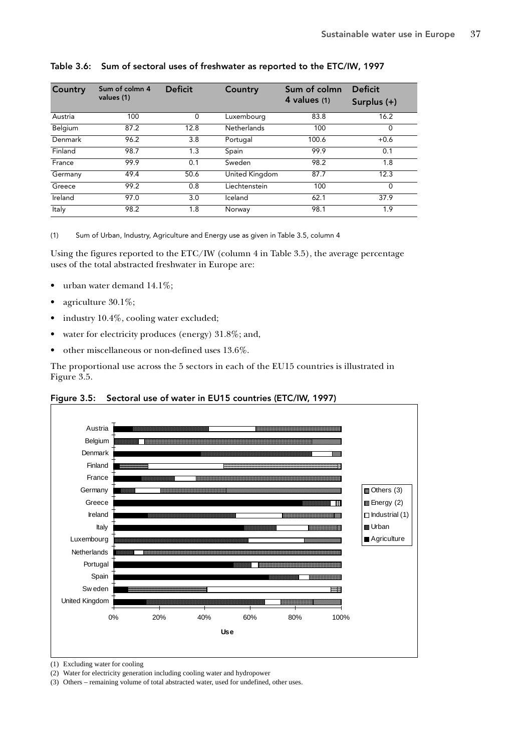| Country | Sum of colmn 4<br>values (1) | <b>Deficit</b> | Country            | Sum of colmn<br>4 values (1) | <b>Deficit</b><br>Surplus (+) |
|---------|------------------------------|----------------|--------------------|------------------------------|-------------------------------|
| Austria | 100                          | $\Omega$       | Luxembourg         | 83.8                         | 16.2                          |
| Belgium | 87.2                         | 12.8           | <b>Netherlands</b> | 100                          | 0                             |
| Denmark | 96.2                         | 3.8            | Portugal           | 100.6                        | $+0.6$                        |
| Finland | 98.7                         | 1.3            | Spain              | 99.9                         | 0.1                           |
| France  | 99.9                         | 0.1            | Sweden             | 98.2                         | 1.8                           |
| Germany | 49.4                         | 50.6           | United Kingdom     | 87.7                         | 12.3                          |
| Greece  | 99.2                         | 0.8            | Liechtenstein      | 100                          | $\Omega$                      |
| Ireland | 97.0                         | 3.0            | Iceland            | 62.1                         | 37.9                          |
| Italy   | 98.2                         | 1.8            | Norway             | 98.1                         | 1.9                           |

# Table 3.6: Sum of sectoral uses of freshwater as reported to the ETC/IW, 1997

(1) Sum of Urban, Industry, Agriculture and Energy use as given in Table 3.5, column 4

Using the figures reported to the ETC/IW (column 4 in Table 3.5), the average percentage uses of the total abstracted freshwater in Europe are:

- urban water demand 14.1%;
- agriculture 30.1%;
- industry 10.4%, cooling water excluded;
- water for electricity produces (energy) 31.8%; and,
- other miscellaneous or non-defined uses 13.6%.

The proportional use across the 5 sectors in each of the EU15 countries is illustrated in Figure 3.5.





(1) Excluding water for cooling

(2) Water for electricity generation including cooling water and hydropower

(3) Others – remaining volume of total abstracted water, used for undefined, other uses.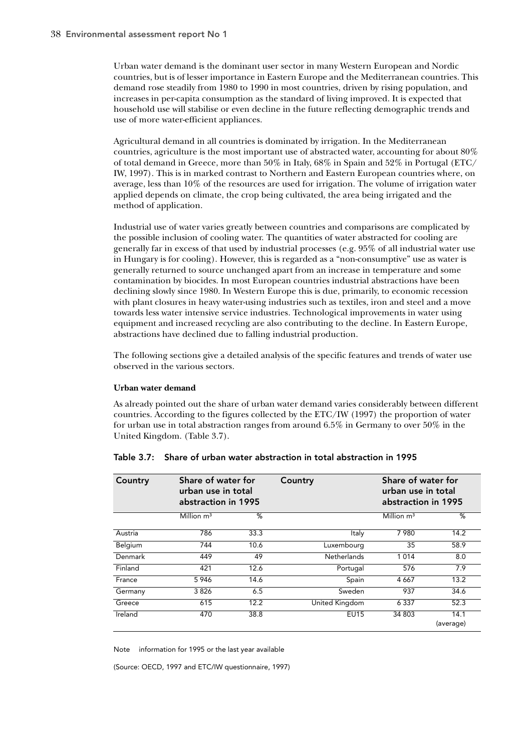Urban water demand is the dominant user sector in many Western European and Nordic countries, but is of lesser importance in Eastern Europe and the Mediterranean countries. This demand rose steadily from 1980 to 1990 in most countries, driven by rising population, and increases in per-capita consumption as the standard of living improved. It is expected that household use will stabilise or even decline in the future reflecting demographic trends and use of more water-efficient appliances.

Agricultural demand in all countries is dominated by irrigation. In the Mediterranean countries, agriculture is the most important use of abstracted water, accounting for about 80% of total demand in Greece, more than 50% in Italy, 68% in Spain and 52% in Portugal (ETC/ IW, 1997). This is in marked contrast to Northern and Eastern European countries where, on average, less than 10% of the resources are used for irrigation. The volume of irrigation water applied depends on climate, the crop being cultivated, the area being irrigated and the method of application.

Industrial use of water varies greatly between countries and comparisons are complicated by the possible inclusion of cooling water. The quantities of water abstracted for cooling are generally far in excess of that used by industrial processes (e.g. 95% of all industrial water use in Hungary is for cooling). However, this is regarded as a "non-consumptive" use as water is generally returned to source unchanged apart from an increase in temperature and some contamination by biocides. In most European countries industrial abstractions have been declining slowly since 1980. In Western Europe this is due, primarily, to economic recession with plant closures in heavy water-using industries such as textiles, iron and steel and a move towards less water intensive service industries. Technological improvements in water using equipment and increased recycling are also contributing to the decline. In Eastern Europe, abstractions have declined due to falling industrial production.

The following sections give a detailed analysis of the specific features and trends of water use observed in the various sectors.

## **Urban water demand**

As already pointed out the share of urban water demand varies considerably between different countries. According to the figures collected by the ETC/IW (1997) the proportion of water for urban use in total abstraction ranges from around 6.5% in Germany to over 50% in the United Kingdom. (Table 3.7).

| Country | Share of water for<br>urban use in total<br>abstraction in 1995 |      | Country        | Share of water for<br>urban use in total<br>abstraction in 1995 |                   |
|---------|-----------------------------------------------------------------|------|----------------|-----------------------------------------------------------------|-------------------|
|         | Million $m3$                                                    | %    |                | Million $m3$                                                    | %                 |
| Austria | 786                                                             | 33.3 | Italy          | 7980                                                            | 14.2              |
| Belgium | 744                                                             | 10.6 | Luxembourg     | 35                                                              | 58.9              |
| Denmark | 449                                                             | 49   | Netherlands    | 1014                                                            | 8.0               |
| Finland | 421                                                             | 12.6 | Portugal       | 576                                                             | 7.9               |
| France  | 5946                                                            | 14.6 | Spain          | 4 6 6 7                                                         | 13.2              |
| Germany | 3826                                                            | 6.5  | Sweden         | 937                                                             | 34.6              |
| Greece  | 615                                                             | 12.2 | United Kingdom | 6 3 3 7                                                         | 52.3              |
| Ireland | 470                                                             | 38.8 | <b>EU15</b>    | 34 803                                                          | 14.1<br>(average) |

#### Table 3.7: Share of urban water abstraction in total abstraction in 1995

Note information for 1995 or the last year available

(Source: OECD, 1997 and ETC/IW questionnaire, 1997)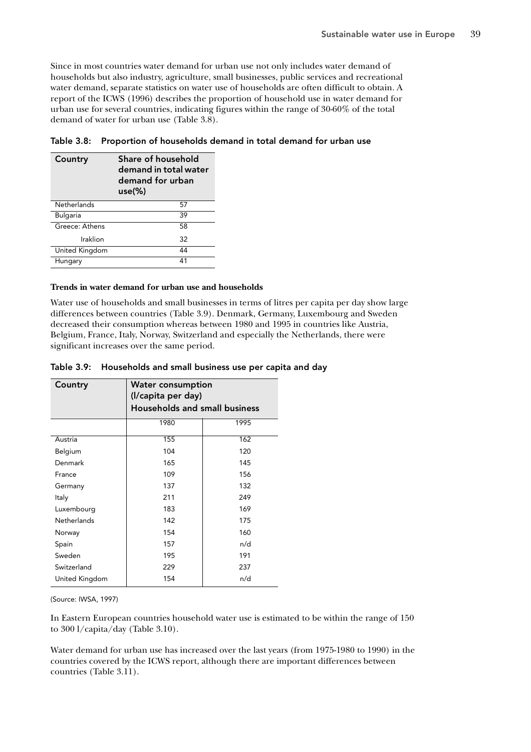Since in most countries water demand for urban use not only includes water demand of households but also industry, agriculture, small businesses, public services and recreational water demand, separate statistics on water use of households are often difficult to obtain. A report of the ICWS (1996) describes the proportion of household use in water demand for urban use for several countries, indicating figures within the range of 30-60% of the total demand of water for urban use (Table 3.8).

| Country         | Share of household<br>demand in total water<br>demand for urban<br>$use(\%)$ |  |  |  |
|-----------------|------------------------------------------------------------------------------|--|--|--|
| Netherlands     | 57                                                                           |  |  |  |
| <b>Bulgaria</b> | 39                                                                           |  |  |  |
| Greece: Athens  | 58                                                                           |  |  |  |
| Iraklion        | 32                                                                           |  |  |  |
| United Kingdom  | 44                                                                           |  |  |  |
| Hungary         | 41                                                                           |  |  |  |

Table 3.8: Proportion of households demand in total demand for urban use

#### **Trends in water demand for urban use and households**

Water use of households and small businesses in terms of litres per capita per day show large differences between countries (Table 3.9). Denmark, Germany, Luxembourg and Sweden decreased their consumption whereas between 1980 and 1995 in countries like Austria, Belgium, France, Italy, Norway, Switzerland and especially the Netherlands, there were significant increases over the same period.

| Country            | <b>Water consumption</b><br>(I/capita per day)<br><b>Households and small business</b> |      |  |  |  |  |  |
|--------------------|----------------------------------------------------------------------------------------|------|--|--|--|--|--|
|                    | 1980                                                                                   | 1995 |  |  |  |  |  |
| Austria            | 155                                                                                    | 162  |  |  |  |  |  |
| Belgium            | 104                                                                                    | 120  |  |  |  |  |  |
| Denmark            | 165                                                                                    | 145  |  |  |  |  |  |
| France             | 109                                                                                    | 156  |  |  |  |  |  |
| Germany            | 137                                                                                    | 132  |  |  |  |  |  |
| Italy              | 211                                                                                    | 249  |  |  |  |  |  |
| Luxembourg         | 183                                                                                    | 169  |  |  |  |  |  |
| <b>Netherlands</b> | 142                                                                                    | 175  |  |  |  |  |  |
| Norway             | 154                                                                                    | 160  |  |  |  |  |  |
| Spain              | 157                                                                                    | n/d  |  |  |  |  |  |
| Sweden             | 195                                                                                    | 191  |  |  |  |  |  |
| Switzerland        | 229                                                                                    | 237  |  |  |  |  |  |
| United Kingdom     | 154                                                                                    | n/d  |  |  |  |  |  |

Table 3.9: Households and small business use per capita and day

(Source: IWSA, 1997)

In Eastern European countries household water use is estimated to be within the range of 150 to 300 l/capita/day (Table 3.10).

Water demand for urban use has increased over the last years (from 1975-1980 to 1990) in the countries covered by the ICWS report, although there are important differences between countries (Table 3.11).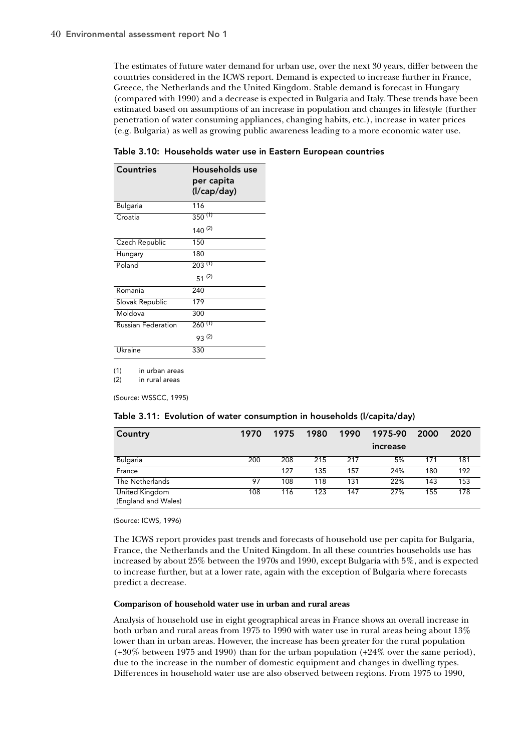The estimates of future water demand for urban use, over the next 30 years, differ between the countries considered in the ICWS report. Demand is expected to increase further in France, Greece, the Netherlands and the United Kingdom. Stable demand is forecast in Hungary (compared with 1990) and a decrease is expected in Bulgaria and Italy. These trends have been estimated based on assumptions of an increase in population and changes in lifestyle (further penetration of water consuming appliances, changing habits, etc.), increase in water prices (e.g. Bulgaria) as well as growing public awareness leading to a more economic water use.

| Countries                 | Households use<br>per capita<br>(I/cap/day) |
|---------------------------|---------------------------------------------|
| <b>Bulgaria</b>           | 116                                         |
| Croatia                   | $350^{(1)}$                                 |
|                           | $140^{(2)}$                                 |
| Czech Republic            | 150                                         |
| Hungary                   | 180                                         |
| Poland                    | $203^{(1)}$                                 |
|                           | $51^{(2)}$                                  |
| Romania                   | 240                                         |
| Slovak Republic           | 179                                         |
| Moldova                   | 300                                         |
| <b>Russian Federation</b> | $260^{(1)}$                                 |
|                           | 93(2)                                       |
| Ukraine                   | 330                                         |

Table 3.10: Households water use in Eastern European countries

(1) in urban areas

(2) in rural areas

(Source: WSSCC, 1995)

|  | Table 3.11: Evolution of water consumption in households (I/capita/day) |  |  |
|--|-------------------------------------------------------------------------|--|--|
|  |                                                                         |  |  |

| Country                               | 1970 | 1975 | 1980 | 1990 | 1975-90  | 2000 | 2020 |
|---------------------------------------|------|------|------|------|----------|------|------|
|                                       |      |      |      |      | increase |      |      |
| Bulgaria                              | 200  | 208  | 215  | 217  | 5%       | 171  | 181  |
| France                                |      | 127  | 135  | 157  | 24%      | 180  | 192  |
| The Netherlands                       | 97   | 108  | 118  | 131  | 22%      | 143  | 153  |
| United Kingdom<br>(England and Wales) | 108  | 116  | 123  | 147  | 27%      | 155  | 178  |

(Source: ICWS, 1996)

The ICWS report provides past trends and forecasts of household use per capita for Bulgaria, France, the Netherlands and the United Kingdom. In all these countries households use has increased by about 25% between the 1970s and 1990, except Bulgaria with 5%, and is expected to increase further, but at a lower rate, again with the exception of Bulgaria where forecasts predict a decrease.

#### **Comparison of household water use in urban and rural areas**

Analysis of household use in eight geographical areas in France shows an overall increase in both urban and rural areas from 1975 to 1990 with water use in rural areas being about 13% lower than in urban areas. However, the increase has been greater for the rural population (+30% between 1975 and 1990) than for the urban population (+24% over the same period), due to the increase in the number of domestic equipment and changes in dwelling types. Differences in household water use are also observed between regions. From 1975 to 1990,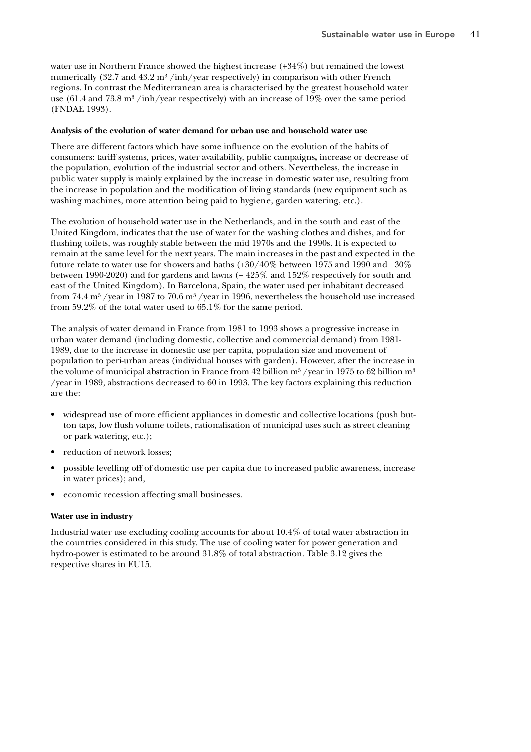water use in Northern France showed the highest increase (+34%) but remained the lowest numerically (32.7 and 43.2 m<sup>3</sup>/inh/year respectively) in comparison with other French regions. In contrast the Mediterranean area is characterised by the greatest household water use (61.4 and 73.8  $\text{m}^3$  /inh/year respectively) with an increase of 19% over the same period (FNDAE 1993).

#### **Analysis of the evolution of water demand for urban use and household water use**

There are different factors which have some influence on the evolution of the habits of consumers: tariff systems, prices, water availability, public campaigns**,** increase or decrease of the population, evolution of the industrial sector and others. Nevertheless, the increase in public water supply is mainly explained by the increase in domestic water use, resulting from the increase in population and the modification of living standards (new equipment such as washing machines, more attention being paid to hygiene, garden watering, etc.).

The evolution of household water use in the Netherlands, and in the south and east of the United Kingdom, indicates that the use of water for the washing clothes and dishes, and for flushing toilets, was roughly stable between the mid 1970s and the 1990s. It is expected to remain at the same level for the next years. The main increases in the past and expected in the future relate to water use for showers and baths (+30/40% between 1975 and 1990 and +30% between 1990-2020) and for gardens and lawns (+ 425% and 152% respectively for south and east of the United Kingdom). In Barcelona, Spain, the water used per inhabitant decreased from 74.4  $\rm m^3$  /year in 1987 to 70.6  $\rm m^3$  /year in 1996, nevertheless the household use increased from 59.2% of the total water used to 65.1% for the same period.

The analysis of water demand in France from 1981 to 1993 shows a progressive increase in urban water demand (including domestic, collective and commercial demand) from 1981- 1989, due to the increase in domestic use per capita, population size and movement of population to peri-urban areas (individual houses with garden). However, after the increase in the volume of municipal abstraction in France from 42 billion  $m^3$  /year in 1975 to 62 billion  $m^3$ /year in 1989, abstractions decreased to 60 in 1993. The key factors explaining this reduction are the:

- widespread use of more efficient appliances in domestic and collective locations (push button taps, low flush volume toilets, rationalisation of municipal uses such as street cleaning or park watering, etc.);
- reduction of network losses;
- possible levelling off of domestic use per capita due to increased public awareness, increase in water prices); and,
- economic recession affecting small businesses.

#### **Water use in industry**

Industrial water use excluding cooling accounts for about 10.4% of total water abstraction in the countries considered in this study. The use of cooling water for power generation and hydro-power is estimated to be around 31.8% of total abstraction. Table 3.12 gives the respective shares in EU15.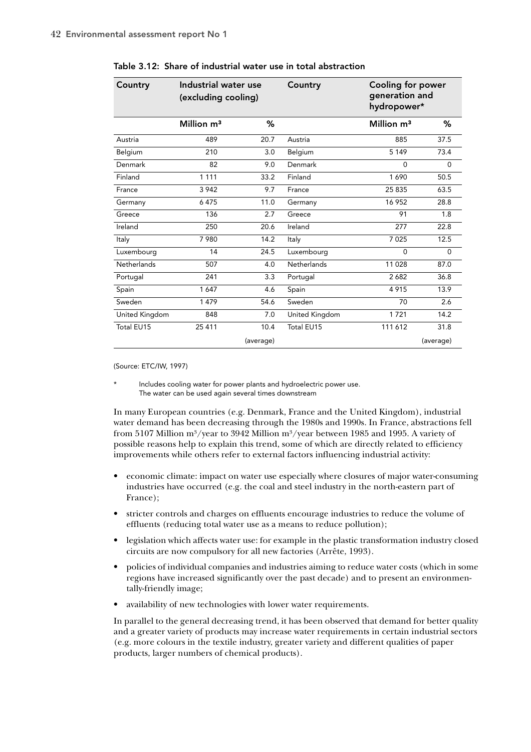| Country        | Industrial water use<br>(excluding cooling) |           | Country            | Cooling for power<br>generation and<br>hydropower* |           |
|----------------|---------------------------------------------|-----------|--------------------|----------------------------------------------------|-----------|
|                | Million m <sup>3</sup>                      | ℅         |                    | Million m <sup>3</sup>                             | ℅         |
| Austria        | 489                                         | 20.7      | Austria            | 885                                                | 37.5      |
| Belgium        | 210                                         | 3.0       | Belgium            | 5 1 4 9                                            | 73.4      |
| Denmark        | 82                                          | 9.0       | Denmark            | $\Omega$                                           | $\Omega$  |
| Finland        | 1 1 1 1                                     | 33.2      | Finland            | 1690                                               | 50.5      |
| France         | 3 9 4 2                                     | 9.7       | France             | 25 835                                             | 63.5      |
| Germany        | 6475                                        | 11.0      | Germany            | 16 952                                             | 28.8      |
| Greece         | 136                                         | 2.7       | Greece             | 91                                                 | 1.8       |
| Ireland        | 250                                         | 20.6      | Ireland            | 277                                                | 22.8      |
| Italy          | 7980                                        | 14.2      | Italy              | 7 0 2 5                                            | 12.5      |
| Luxembourg     | 14                                          | 24.5      | Luxembourg         | $\Omega$                                           | $\Omega$  |
| Netherlands    | 507                                         | 4.0       | <b>Netherlands</b> | 11028                                              | 87.0      |
| Portugal       | 241                                         | 3.3       | Portugal           | 2682                                               | 36.8      |
| Spain          | 1647                                        | 4.6       | Spain              | 4915                                               | 13.9      |
| Sweden         | 1479                                        | 54.6      | Sweden             | 70                                                 | 2.6       |
| United Kingdom | 848                                         | 7.0       | United Kingdom     | 1721                                               | 14.2      |
| Total EU15     | 25 411                                      | 10.4      | Total EU15         | 111 612                                            | 31.8      |
|                |                                             | (average) |                    |                                                    | (average) |

Table 3.12: Share of industrial water use in total abstraction

(Source: ETC/IW, 1997)

Includes cooling water for power plants and hydroelectric power use. The water can be used again several times downstream

In many European countries (e.g. Denmark, France and the United Kingdom), industrial water demand has been decreasing through the 1980s and 1990s. In France, abstractions fell from 5107 Million m<sup>3</sup>/year to 3942 Million m<sup>3</sup>/year between 1985 and 1995. A variety of possible reasons help to explain this trend, some of which are directly related to efficiency improvements while others refer to external factors influencing industrial activity:

- economic climate: impact on water use especially where closures of major water-consuming industries have occurred (e.g. the coal and steel industry in the north-eastern part of France);
- stricter controls and charges on effluents encourage industries to reduce the volume of effluents (reducing total water use as a means to reduce pollution);
- legislation which affects water use: for example in the plastic transformation industry closed circuits are now compulsory for all new factories (Arrête, 1993).
- policies of individual companies and industries aiming to reduce water costs (which in some regions have increased significantly over the past decade) and to present an environmentally-friendly image;
- availability of new technologies with lower water requirements.

In parallel to the general decreasing trend, it has been observed that demand for better quality and a greater variety of products may increase water requirements in certain industrial sectors (e.g. more colours in the textile industry, greater variety and different qualities of paper products, larger numbers of chemical products).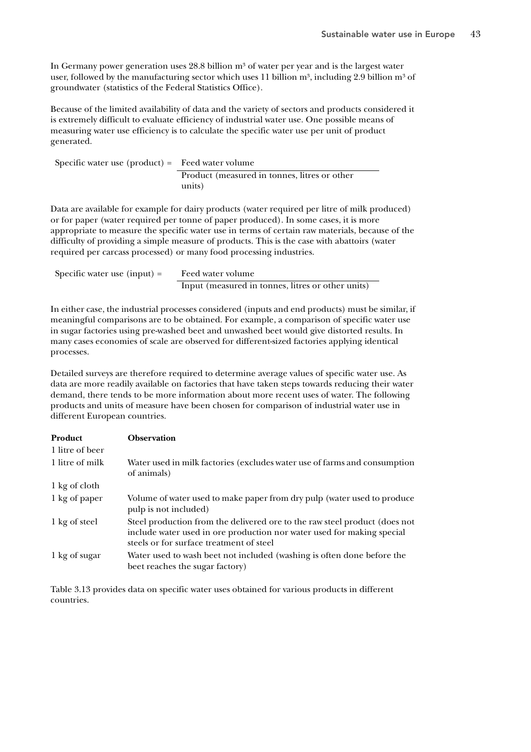In Germany power generation uses  $28.8$  billion  $m<sup>3</sup>$  of water per year and is the largest water user, followed by the manufacturing sector which uses 11 billion  $m^3$ , including 2.9 billion  $m^3$  of groundwater (statistics of the Federal Statistics Office).

Because of the limited availability of data and the variety of sectors and products considered it is extremely difficult to evaluate efficiency of industrial water use. One possible means of measuring water use efficiency is to calculate the specific water use per unit of product generated.

Specific water use (product) = Feed water volume Product (measured in tonnes, litres or other units)

Data are available for example for dairy products (water required per litre of milk produced) or for paper (water required per tonne of paper produced). In some cases, it is more appropriate to measure the specific water use in terms of certain raw materials, because of the difficulty of providing a simple measure of products. This is the case with abattoirs (water required per carcass processed) or many food processing industries.

| Specific water use (input) = | Feed water volume                                 |
|------------------------------|---------------------------------------------------|
|                              | Input (measured in tonnes, litres or other units) |

In either case, the industrial processes considered (inputs and end products) must be similar, if meaningful comparisons are to be obtained. For example, a comparison of specific water use in sugar factories using pre-washed beet and unwashed beet would give distorted results. In many cases economies of scale are observed for different-sized factories applying identical processes.

Detailed surveys are therefore required to determine average values of specific water use. As data are more readily available on factories that have taken steps towards reducing their water demand, there tends to be more information about more recent uses of water. The following products and units of measure have been chosen for comparison of industrial water use in different European countries.

| Product         | <b>Observation</b>                                                                                                                                                                               |
|-----------------|--------------------------------------------------------------------------------------------------------------------------------------------------------------------------------------------------|
| 1 litre of beer |                                                                                                                                                                                                  |
| 1 litre of milk | Water used in milk factories (excludes water use of farms and consumption<br>of animals)                                                                                                         |
| 1 kg of cloth   |                                                                                                                                                                                                  |
| 1 kg of paper   | Volume of water used to make paper from dry pulp (water used to produce<br>pulp is not included)                                                                                                 |
| 1 kg of steel   | Steel production from the delivered ore to the raw steel product (does not<br>include water used in ore production nor water used for making special<br>steels or for surface treatment of steel |
| 1 kg of sugar   | Water used to wash beet not included (washing is often done before the<br>beet reaches the sugar factory)                                                                                        |

Table 3.13 provides data on specific water uses obtained for various products in different countries.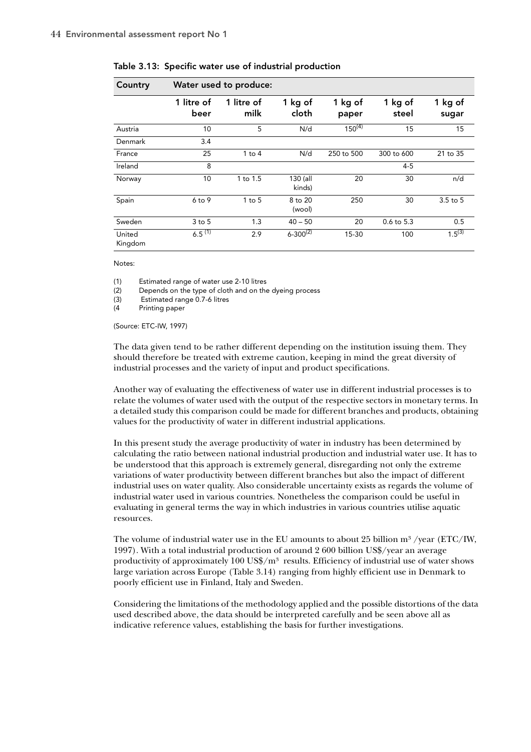| Country           |                    | Water used to produce: |                    |                  |                  |                  |
|-------------------|--------------------|------------------------|--------------------|------------------|------------------|------------------|
|                   | 1 litre of<br>beer | 1 litre of<br>milk     | 1 kg of<br>cloth   | 1 kg of<br>paper | 1 kg of<br>steel | 1 kg of<br>sugar |
| Austria           | 10                 | 5                      | N/d                | $150^{(4)}$      | 15               | 15               |
| Denmark           | 3.4                |                        |                    |                  |                  |                  |
| France            | 25                 | $1$ to $4$             | N/d                | 250 to 500       | 300 to 600       | 21 to 35         |
| Ireland           | 8                  |                        |                    |                  | $4 - 5$          |                  |
| Norway            | 10                 | 1 to 1.5               | 130 (all<br>kinds) | 20               | 30               | n/d              |
| Spain             | $6$ to $9$         | $1$ to $5$             | 8 to 20<br>(wool)  | 250              | 30               | $3.5$ to $5$     |
| Sweden            | $3$ to $5$         | 1.3                    | $40 - 50$          | 20               | $0.6$ to $5.3$   | 0.5              |
| United<br>Kingdom | $6.5^{(1)}$        | 2.9                    | $6 - 300^{(2)}$    | 15-30            | 100              | $1.5^{(3)}$      |

Table 3.13: Specific water use of industrial production

Notes:

(1) Estimated range of water use 2-10 litres

(2) Depends on the type of cloth and on the dyeing process

(3) Estimated range 0.7-6 litres

(4 Printing paper

(Source: ETC-IW, 1997)

The data given tend to be rather different depending on the institution issuing them. They should therefore be treated with extreme caution, keeping in mind the great diversity of industrial processes and the variety of input and product specifications.

Another way of evaluating the effectiveness of water use in different industrial processes is to relate the volumes of water used with the output of the respective sectors in monetary terms. In a detailed study this comparison could be made for different branches and products, obtaining values for the productivity of water in different industrial applications.

In this present study the average productivity of water in industry has been determined by calculating the ratio between national industrial production and industrial water use. It has to be understood that this approach is extremely general, disregarding not only the extreme variations of water productivity between different branches but also the impact of different industrial uses on water quality. Also considerable uncertainty exists as regards the volume of industrial water used in various countries. Nonetheless the comparison could be useful in evaluating in general terms the way in which industries in various countries utilise aquatic resources.

The volume of industrial water use in the EU amounts to about 25 billion m<sup>3</sup> /year (ETC/IW, 1997). With a total industrial production of around 2 600 billion US\$/year an average productivity of approximately 100 US\$/ $\mu$ <sup>3</sup> results. Efficiency of industrial use of water shows large variation across Europe (Table 3.14) ranging from highly efficient use in Denmark to poorly efficient use in Finland, Italy and Sweden.

Considering the limitations of the methodology applied and the possible distortions of the data used described above, the data should be interpreted carefully and be seen above all as indicative reference values, establishing the basis for further investigations.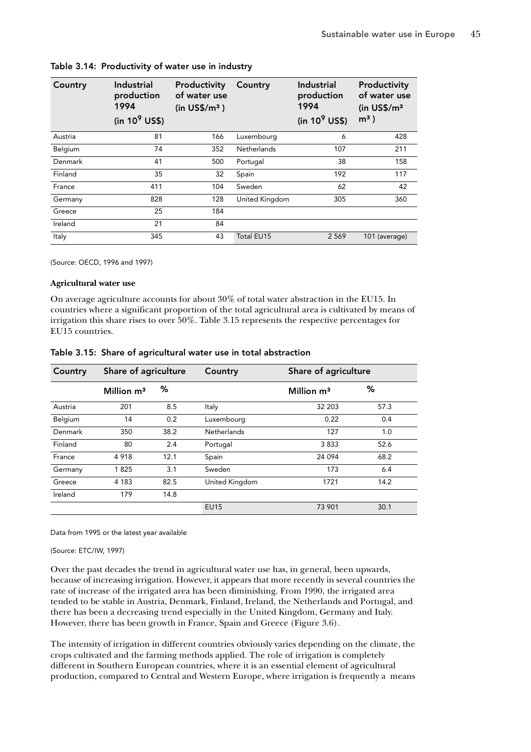| Country | Industrial<br>production<br>1994<br>(in $10^9$ US\$) | Productivity<br>of water use<br>(in US\$/m <sup>3</sup> ) | Country            | Industrial<br>production<br>1994<br>(in $10^9$ US\$) | Productivity<br>of water use<br>(in $US\frac{5}{m^3}$<br>$m3$ ) |
|---------|------------------------------------------------------|-----------------------------------------------------------|--------------------|------------------------------------------------------|-----------------------------------------------------------------|
| Austria | 81                                                   | 166                                                       | Luxembourg         | 6                                                    | 428                                                             |
| Belgium | 74                                                   | 352                                                       | <b>Netherlands</b> | 107                                                  | 211                                                             |
| Denmark | 41                                                   | 500                                                       | Portugal           | 38                                                   | 158                                                             |
| Finland | 35                                                   | 32                                                        | Spain              | 192                                                  | 117                                                             |
| France  | 411                                                  | 104                                                       | Sweden             | 62                                                   | 42                                                              |
| Germany | 828                                                  | 128                                                       | United Kingdom     | 305                                                  | 360                                                             |
| Greece  | 25                                                   | 184                                                       |                    |                                                      |                                                                 |
| Ireland | 21                                                   | 84                                                        |                    |                                                      |                                                                 |
| Italy   | 345                                                  | 43                                                        | <b>Total EU15</b>  | 2 5 6 9                                              | 101 (average)                                                   |

## Table 3.14: Productivity of water use in industry

(Source: OECD, 1996 and 1997)

## **Agricultural water use**

On average agriculture accounts for about 30% of total water abstraction in the EU15. In countries where a significant proportion of the total agricultural area is cultivated by means of irrigation this share rises to over 50%. Table 3.15 represents the respective percentages for EU15 countries.

|  |  |  |  |  | Table 3.15: Share of agricultural water use in total abstraction |
|--|--|--|--|--|------------------------------------------------------------------|
|--|--|--|--|--|------------------------------------------------------------------|

| Country | Share of agriculture   |      | Country        | Share of agriculture |      |
|---------|------------------------|------|----------------|----------------------|------|
|         | Million m <sup>3</sup> | %    |                | Million $m3$         | %    |
| Austria | 201                    | 8.5  | Italy          | 32 203               | 57.3 |
| Belgium | 14                     | 0.2  | Luxembourg     | 0.22                 | 0.4  |
| Denmark | 350                    | 38.2 | Netherlands    | 127                  | 1.0  |
| Finland | 80                     | 2.4  | Portugal       | 3833                 | 52.6 |
| France  | 4918                   | 12.1 | Spain          | 24 0 94              | 68.2 |
| Germany | 1825                   | 3.1  | Sweden         | 173                  | 6.4  |
| Greece  | 4 1 8 3                | 82.5 | United Kingdom | 1721                 | 14.2 |
| Ireland | 179                    | 14.8 |                |                      |      |
|         |                        |      | <b>EU15</b>    | 73 901               | 30.1 |

Data from 1995 or the latest year available

(Source: ETC/IW, 1997)

Over the past decades the trend in agricultural water use has, in general, been upwards, because of increasing irrigation. However, it appears that more recently in several countries the rate of increase of the irrigated area has been diminishing. From 1990, the irrigated area tended to be stable in Austria, Denmark, Finland, Ireland, the Netherlands and Portugal, and there has been a decreasing trend especially in the United Kingdom, Germany and Italy. However, there has been growth in France, Spain and Greece (Figure 3.6).

The intensity of irrigation in different countries obviously varies depending on the climate, the crops cultivated and the farming methods applied. The role of irrigation is completely different in Southern European countries, where it is an essential element of agricultural production, compared to Central and Western Europe, where irrigation is frequently a means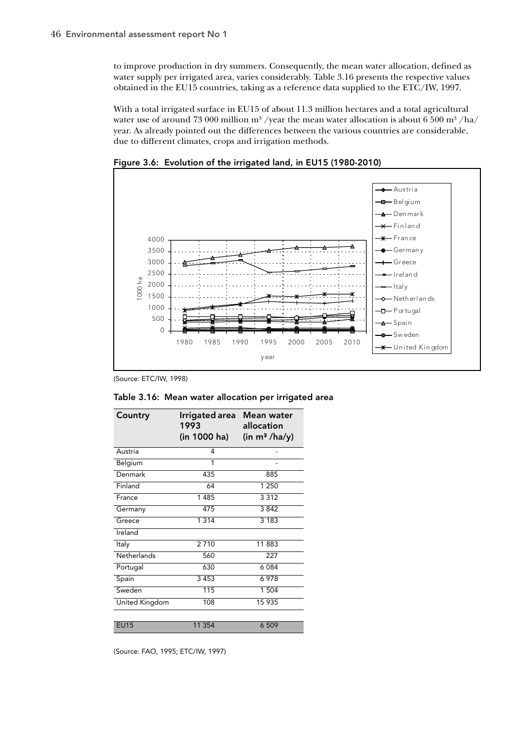to improve production in dry summers. Consequently, the mean water allocation, defined as water supply per irrigated area, varies considerably. Table 3.16 presents the respective values obtained in the EU15 countries, taking as a reference data supplied to the ETC/IW, 1997.

With a total irrigated surface in EU15 of about 11.3 million hectares and a total agricultural water use of around 73 000 million m<sup>3</sup>/year the mean water allocation is about 6 500 m<sup>3</sup>/ha/ year. As already pointed out the differences between the various countries are considerable, due to different climates, crops and irrigation methods.



Figure 3.6: Evolution of the irrigated land, in EU15 (1980-2010)

(Source: ETC/IW, 1998)

| Table 3.16: Mean water allocation per irrigated area |  |
|------------------------------------------------------|--|
|------------------------------------------------------|--|

| Irrigated area Mean water<br>1993<br>(in 1000 ha) | allocation<br>(in m <sup>3</sup> /ha/y) |
|---------------------------------------------------|-----------------------------------------|
| 4                                                 |                                         |
| 1                                                 |                                         |
| 435                                               | 885                                     |
| 64                                                | 1 250                                   |
| 1485                                              | 3312                                    |
| 475                                               | 3842                                    |
| 1 3 1 4                                           | 3183                                    |
|                                                   |                                         |
| 2710                                              | 11883                                   |
| 560                                               | 227                                     |
| 630                                               | 6 0 8 4                                 |
|                                                   | 6978                                    |
| $\overline{115}$                                  | 1 504                                   |
| 108                                               | 15 935                                  |
|                                                   |                                         |
| 11 354                                            | 6 509                                   |
|                                                   | 3453                                    |

(Source: FAO, 1995; ETC/IW, 1997)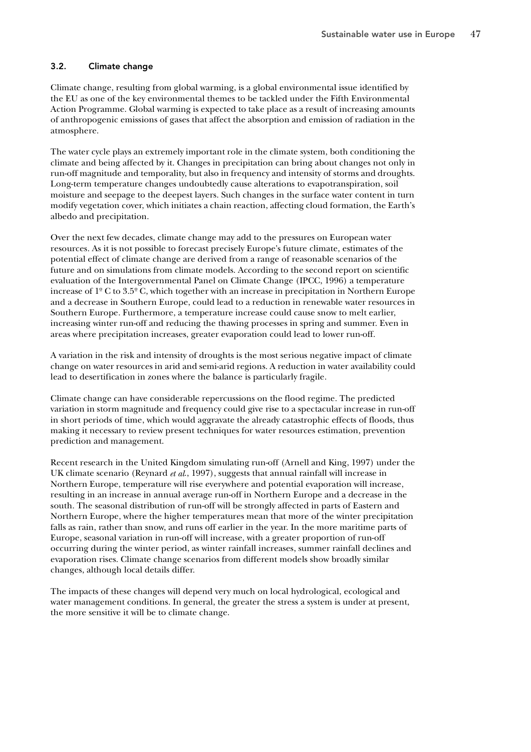## 3.2. Climate change

Climate change, resulting from global warming, is a global environmental issue identified by the EU as one of the key environmental themes to be tackled under the Fifth Environmental Action Programme. Global warming is expected to take place as a result of increasing amounts of anthropogenic emissions of gases that affect the absorption and emission of radiation in the atmosphere.

The water cycle plays an extremely important role in the climate system, both conditioning the climate and being affected by it. Changes in precipitation can bring about changes not only in run-off magnitude and temporality, but also in frequency and intensity of storms and droughts. Long-term temperature changes undoubtedly cause alterations to evapotranspiration, soil moisture and seepage to the deepest layers. Such changes in the surface water content in turn modify vegetation cover, which initiates a chain reaction, affecting cloud formation, the Earth's albedo and precipitation.

Over the next few decades, climate change may add to the pressures on European water resources. As it is not possible to forecast precisely Europe's future climate, estimates of the potential effect of climate change are derived from a range of reasonable scenarios of the future and on simulations from climate models. According to the second report on scientific evaluation of the Intergovernmental Panel on Climate Change (IPCC, 1996) a temperature increase of 1º C to 3.5º C, which together with an increase in precipitation in Northern Europe and a decrease in Southern Europe, could lead to a reduction in renewable water resources in Southern Europe. Furthermore, a temperature increase could cause snow to melt earlier, increasing winter run-off and reducing the thawing processes in spring and summer. Even in areas where precipitation increases, greater evaporation could lead to lower run-off.

A variation in the risk and intensity of droughts is the most serious negative impact of climate change on water resources in arid and semi-arid regions. A reduction in water availability could lead to desertification in zones where the balance is particularly fragile.

Climate change can have considerable repercussions on the flood regime. The predicted variation in storm magnitude and frequency could give rise to a spectacular increase in run-off in short periods of time, which would aggravate the already catastrophic effects of floods, thus making it necessary to review present techniques for water resources estimation, prevention prediction and management.

Recent research in the United Kingdom simulating run-off (Arnell and King, 1997) under the UK climate scenario (Reynard *et al*., 1997), suggests that annual rainfall will increase in Northern Europe, temperature will rise everywhere and potential evaporation will increase, resulting in an increase in annual average run-off in Northern Europe and a decrease in the south. The seasonal distribution of run-off will be strongly affected in parts of Eastern and Northern Europe, where the higher temperatures mean that more of the winter precipitation falls as rain, rather than snow, and runs off earlier in the year. In the more maritime parts of Europe, seasonal variation in run-off will increase, with a greater proportion of run-off occurring during the winter period, as winter rainfall increases, summer rainfall declines and evaporation rises. Climate change scenarios from different models show broadly similar changes, although local details differ.

The impacts of these changes will depend very much on local hydrological, ecological and water management conditions. In general, the greater the stress a system is under at present, the more sensitive it will be to climate change.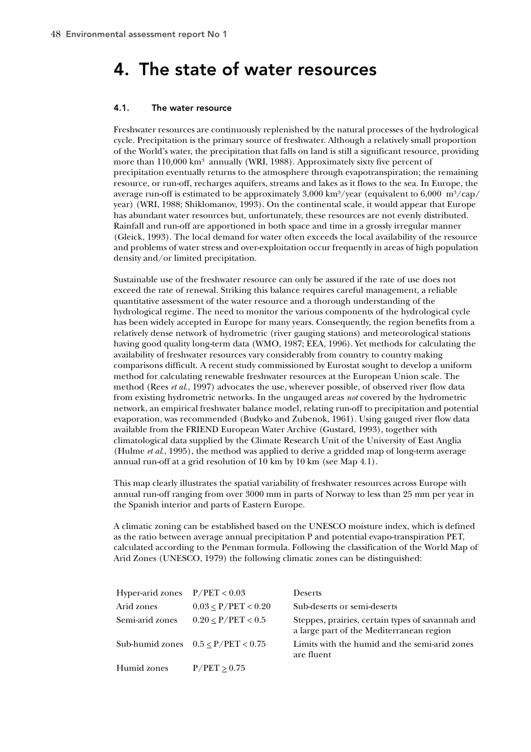# 4. The state of water resources

## 4.1. The water resource

Freshwater resources are continuously replenished by the natural processes of the hydrological cycle. Precipitation is the primary source of freshwater. Although a relatively small proportion of the World's water, the precipitation that falls on land is still a significant resource, providing more than  $110,000 \text{ km}^3$  annually (WRI, 1988). Approximately sixty five percent of precipitation eventually returns to the atmosphere through evapotranspiration; the remaining resource, or run-off, recharges aquifers, streams and lakes as it flows to the sea. In Europe, the average run-off is estimated to be approximately  $3,000 \text{ km}^3/\text{year}$  (equivalent to  $6,000 \text{ m}^3/\text{cap}/$ year) (WRI, 1988; Shiklomanov, 1993). On the continental scale, it would appear that Europe has abundant water resources but, unfortunately, these resources are not evenly distributed. Rainfall and run-off are apportioned in both space and time in a grossly irregular manner (Gleick, 1993). The local demand for water often exceeds the local availability of the resource and problems of water stress and over-exploitation occur frequently in areas of high population density and/or limited precipitation.

Sustainable use of the freshwater resource can only be assured if the rate of use does not exceed the rate of renewal. Striking this balance requires careful management, a reliable quantitative assessment of the water resource and a thorough understanding of the hydrological regime. The need to monitor the various components of the hydrological cycle has been widely accepted in Europe for many years. Consequently, the region benefits from a relatively dense network of hydrometric (river gauging stations) and meteorological stations having good quality long-term data (WMO, 1987; EEA, 1996). Yet methods for calculating the availability of freshwater resources vary considerably from country to country making comparisons difficult. A recent study commissioned by Eurostat sought to develop a uniform method for calculating renewable freshwater resources at the European Union scale. The method (Rees *et al*., 1997) advocates the use, wherever possible, of observed river flow data from existing hydrometric networks. In the ungauged areas *not* covered by the hydrometric network, an empirical freshwater balance model, relating run-off to precipitation and potential evaporation, was recommended (Budyko and Zubenok, 1961). Using gauged river flow data available from the FRIEND European Water Archive (Gustard, 1993), together with climatological data supplied by the Climate Research Unit of the University of East Anglia (Hulme *et al.*, 1995), the method was applied to derive a gridded map of long-term average annual run-off at a grid resolution of 10 km by 10 km (see Map 4.1).

This map clearly illustrates the spatial variability of freshwater resources across Europe with annual run-off ranging from over 3000 mm in parts of Norway to less than 25 mm per year in the Spanish interior and parts of Eastern Europe.

A climatic zoning can be established based on the UNESCO moisture index, which is defined as the ratio between average annual precipitation P and potential evapo-transpiration PET, calculated according to the Penman formula. Following the classification of the World Map of Arid Zones (UNESCO, 1979) the following climatic zones can be distinguished:

| Hyper-arid zones | P/PET < 0.03                            | <b>Deserts</b>                                                                               |
|------------------|-----------------------------------------|----------------------------------------------------------------------------------------------|
| Arid zones       | $0.03 \leq P/PET < 0.20$                | Sub-deserts or semi-deserts                                                                  |
| Semi-arid zones  | $0.20 \leq P/PET < 0.5$                 | Steppes, prairies, certain types of savannah and<br>a large part of the Mediterranean region |
|                  | Sub-humid zones $0.5 \leq P/PET < 0.75$ | Limits with the humid and the semi-arid zones<br>are fluent                                  |
| Humid zones      | $P/PET \geq 0.75$                       |                                                                                              |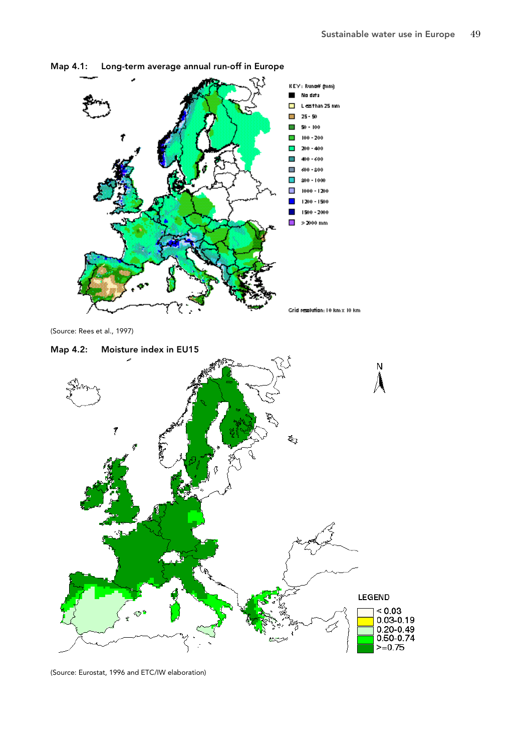

Map 4.1: Long-term average annual run-off in Europe



(Source: Eurostat, 1996 and ETC/IW elaboration)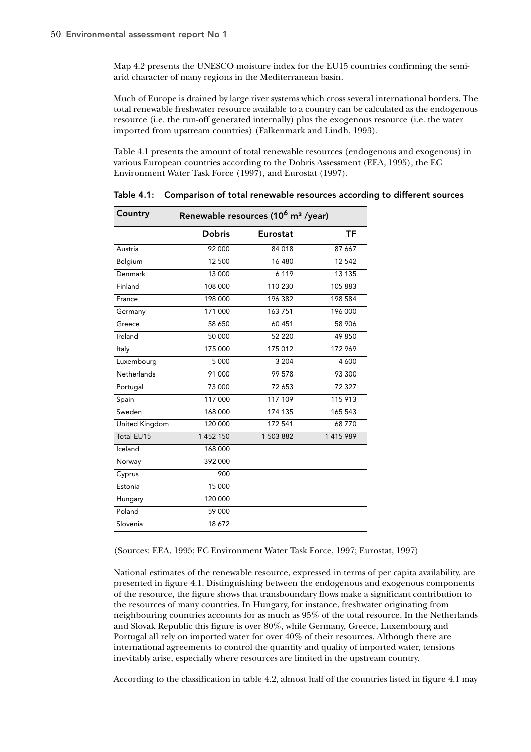Map 4.2 presents the UNESCO moisture index for the EU15 countries confirming the semiarid character of many regions in the Mediterranean basin.

Much of Europe is drained by large river systems which cross several international borders. The total renewable freshwater resource available to a country can be calculated as the endogenous resource (i.e. the run-off generated internally) plus the exogenous resource (i.e. the water imported from upstream countries) (Falkenmark and Lindh, 1993).

Table 4.1 presents the amount of total renewable resources (endogenous and exogenous) in various European countries according to the Dobris Assessment (EEA, 1995), the EC Environment Water Task Force (1997), and Eurostat (1997).

| Country            | Renewable resources (10 <sup>6</sup> m <sup>3</sup> /year) |           |         |  |  |  |
|--------------------|------------------------------------------------------------|-----------|---------|--|--|--|
|                    | Dobris                                                     | Eurostat  | ΤF      |  |  |  |
| Austria            | 92 000                                                     | 84 018    | 87 667  |  |  |  |
| Belgium            | 12 500                                                     | 16 480    | 12 542  |  |  |  |
| Denmark            | 13 000                                                     | 6 1 1 9   | 13 135  |  |  |  |
| Finland            | 108 000                                                    | 110 230   | 105883  |  |  |  |
| France             | 198 000                                                    | 196 382   | 198 584 |  |  |  |
| Germany            | 171 000                                                    | 163 751   | 196 000 |  |  |  |
| Greece             | 58 650                                                     | 60 451    | 58 906  |  |  |  |
| Ireland            | 50 000                                                     | 52 220    | 49850   |  |  |  |
| Italy              | 175 000                                                    | 175 012   | 172 969 |  |  |  |
| Luxembourg         | 5 0 0 0                                                    | 3 2 0 4   | 4 600   |  |  |  |
| <b>Netherlands</b> | 91 000                                                     | 99 578    | 93 300  |  |  |  |
| Portugal           | 73 000                                                     | 72 653    | 72327   |  |  |  |
| Spain              | 117 000                                                    | 117 109   | 115 913 |  |  |  |
| Sweden             | 168 000                                                    | 174 135   | 165 543 |  |  |  |
| United Kingdom     | 120 000                                                    | 172 541   | 68770   |  |  |  |
| <b>Total EU15</b>  | 1452150                                                    | 1 503 882 | 1415989 |  |  |  |
| Iceland            | 168 000                                                    |           |         |  |  |  |
| Norway             | 392 000                                                    |           |         |  |  |  |
| Cyprus             | 900                                                        |           |         |  |  |  |
| Estonia            | 15 000                                                     |           |         |  |  |  |
| Hungary            | 120 000                                                    |           |         |  |  |  |
| Poland             | 59 000                                                     |           |         |  |  |  |
| Slovenia           | 18 672                                                     |           |         |  |  |  |

Table 4.1: Comparison of total renewable resources according to different sources

(Sources: EEA, 1995; EC Environment Water Task Force, 1997; Eurostat, 1997)

National estimates of the renewable resource, expressed in terms of per capita availability, are presented in figure 4.1. Distinguishing between the endogenous and exogenous components of the resource, the figure shows that transboundary flows make a significant contribution to the resources of many countries. In Hungary, for instance, freshwater originating from neighbouring countries accounts for as much as 95% of the total resource. In the Netherlands and Slovak Republic this figure is over 80%, while Germany, Greece, Luxembourg and Portugal all rely on imported water for over 40% of their resources. Although there are international agreements to control the quantity and quality of imported water, tensions inevitably arise, especially where resources are limited in the upstream country.

According to the classification in table 4.2, almost half of the countries listed in figure 4.1 may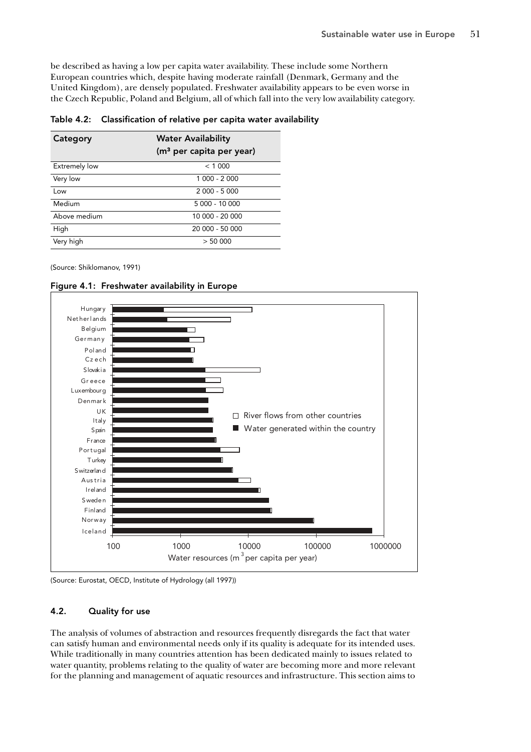be described as having a low per capita water availability. These include some Northern European countries which, despite having moderate rainfall (Denmark, Germany and the United Kingdom), are densely populated. Freshwater availability appears to be even worse in the Czech Republic, Poland and Belgium, all of which fall into the very low availability category.

| Category             | <b>Water Availability</b><br>(m <sup>3</sup> per capita per year) |  |  |
|----------------------|-------------------------------------------------------------------|--|--|
| <b>Extremely low</b> | < 1000                                                            |  |  |
| Very low             | 1 000 - 2 000                                                     |  |  |
| l ow                 | $2000 - 5000$                                                     |  |  |
| Medium               | $5000 - 10000$                                                    |  |  |
| Above medium         | 10 000 - 20 000                                                   |  |  |
| High                 | 20 000 - 50 000                                                   |  |  |
| Very high            | > 50000                                                           |  |  |

Table 4.2: Classification of relative per capita water availability

(Source: Shiklomanov, 1991)



Figure 4.1: Freshwater availability in Europe

(Source: Eurostat, OECD, Institute of Hydrology (all 1997))

# 4.2. Quality for use

The analysis of volumes of abstraction and resources frequently disregards the fact that water can satisfy human and environmental needs only if its quality is adequate for its intended uses. While traditionally in many countries attention has been dedicated mainly to issues related to water quantity, problems relating to the quality of water are becoming more and more relevant for the planning and management of aquatic resources and infrastructure. This section aims to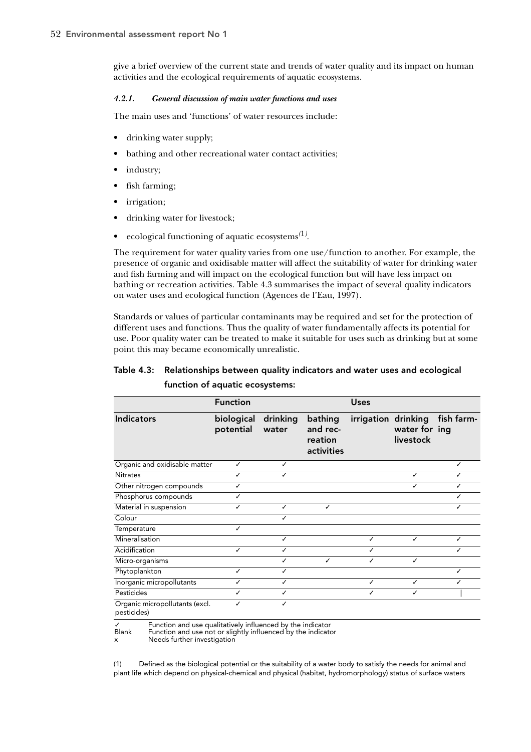give a brief overview of the current state and trends of water quality and its impact on human activities and the ecological requirements of aquatic ecosystems.

## *4.2.1. General discussion of main water functions and uses*

The main uses and 'functions' of water resources include:

- drinking water supply;
- bathing and other recreational water contact activities;
- industry;
- fish farming;
- irrigation;
- drinking water for livestock;
- ecological functioning of aquatic ecosystems*(*1*)* .

The requirement for water quality varies from one use/function to another. For example, the presence of organic and oxidisable matter will affect the suitability of water for drinking water and fish farming and will impact on the ecological function but will have less impact on bathing or recreation activities. Table 4.3 summarises the impact of several quality indicators on water uses and ecological function (Agences de l'Eau, 1997).

Standards or values of particular contaminants may be required and set for the protection of different uses and functions. Thus the quality of water fundamentally affects its potential for use. Poor quality water can be treated to make it suitable for uses such as drinking but at some point this may became economically unrealistic.

| Table 4.3: Relationships between quality indicators and water uses and ecological |
|-----------------------------------------------------------------------------------|
| function of aquatic ecosystems:                                                   |

|                                              | <b>Function</b>         |                   |                                              | <b>Uses</b> |                            |                                |
|----------------------------------------------|-------------------------|-------------------|----------------------------------------------|-------------|----------------------------|--------------------------------|
| <b>Indicators</b>                            | biological<br>potential | drinking<br>water | bathing<br>and rec-<br>reation<br>activities |             | water for ing<br>livestock | irrigation drinking fish farm- |
| Organic and oxidisable matter                | ✓                       | ✓                 |                                              |             |                            |                                |
| <b>Nitrates</b>                              |                         | ✓                 |                                              |             |                            |                                |
| Other nitrogen compounds                     |                         |                   |                                              |             |                            |                                |
| Phosphorus compounds                         |                         |                   |                                              |             |                            |                                |
| Material in suspension                       |                         | ℐ                 | J                                            |             |                            |                                |
| Colour                                       |                         |                   |                                              |             |                            |                                |
| Temperature                                  | J                       |                   |                                              |             |                            |                                |
| Mineralisation                               |                         | ✓                 |                                              | ✓           |                            | ✓                              |
| Acidification                                |                         |                   |                                              |             |                            |                                |
| Micro-organisms                              |                         |                   |                                              |             |                            |                                |
| Phytoplankton                                |                         | ✓                 |                                              |             |                            |                                |
| Inorganic micropollutants                    |                         | ✓                 |                                              | ✓           |                            |                                |
| Pesticides                                   | ✓                       | ✓                 |                                              | ✓           |                            |                                |
| Organic micropollutants (excl.<br>nestirides |                         |                   |                                              |             |                            |                                |

pesticides)

✓ Function and use qualitatively influenced by the indicator

Function and use not or slightly influenced by the indicator

x Needs further investigation

(1) Defined as the biological potential or the suitability of a water body to satisfy the needs for animal and plant life which depend on physical-chemical and physical (habitat, hydromorphology) status of surface waters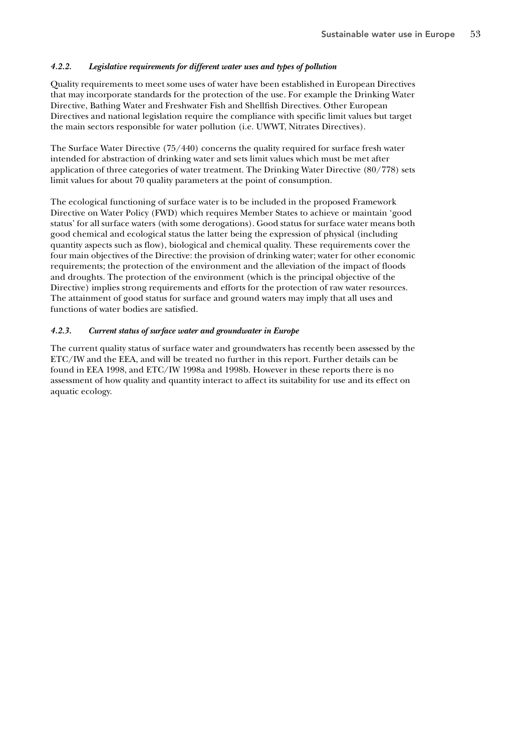## *4.2.2. Legislative requirements for different water uses and types of pollution*

Quality requirements to meet some uses of water have been established in European Directives that may incorporate standards for the protection of the use. For example the Drinking Water Directive, Bathing Water and Freshwater Fish and Shellfish Directives. Other European Directives and national legislation require the compliance with specific limit values but target the main sectors responsible for water pollution (i.e. UWWT, Nitrates Directives).

The Surface Water Directive (75/440) concerns the quality required for surface fresh water intended for abstraction of drinking water and sets limit values which must be met after application of three categories of water treatment. The Drinking Water Directive (80/778) sets limit values for about 70 quality parameters at the point of consumption.

The ecological functioning of surface water is to be included in the proposed Framework Directive on Water Policy (FWD) which requires Member States to achieve or maintain 'good status' for all surface waters (with some derogations). Good status for surface water means both good chemical and ecological status the latter being the expression of physical (including quantity aspects such as flow), biological and chemical quality. These requirements cover the four main objectives of the Directive: the provision of drinking water; water for other economic requirements; the protection of the environment and the alleviation of the impact of floods and droughts. The protection of the environment (which is the principal objective of the Directive) implies strong requirements and efforts for the protection of raw water resources. The attainment of good status for surface and ground waters may imply that all uses and functions of water bodies are satisfied.

## *4.2.3. Current status of surface water and groundwater in Europe*

The current quality status of surface water and groundwaters has recently been assessed by the ETC/IW and the EEA, and will be treated no further in this report. Further details can be found in EEA 1998, and ETC/IW 1998a and 1998b. However in these reports there is no assessment of how quality and quantity interact to affect its suitability for use and its effect on aquatic ecology.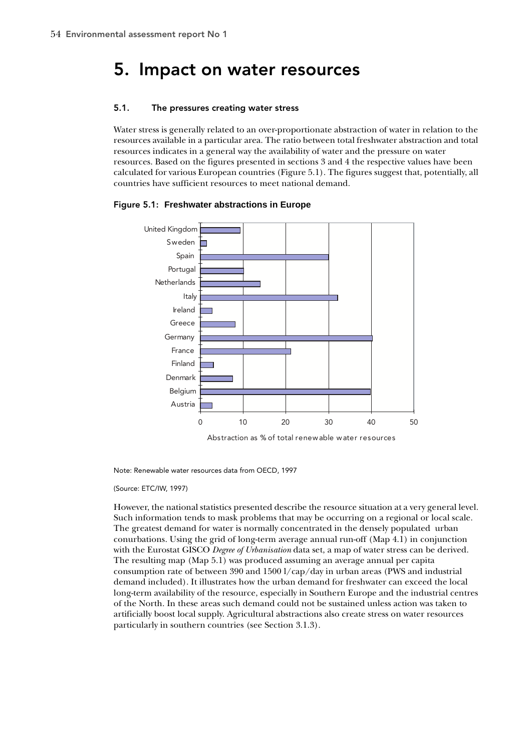# 5. Impact on water resources

## 5.1. The pressures creating water stress

Water stress is generally related to an over-proportionate abstraction of water in relation to the resources available in a particular area. The ratio between total freshwater abstraction and total resources indicates in a general way the availability of water and the pressure on water resources. Based on the figures presented in sections 3 and 4 the respective values have been calculated for various European countries (Figure 5.1). The figures suggest that, potentially, all countries have sufficient resources to meet national demand.





Abstraction as % of total renewable water resources

Note: Renewable water resources data from OECD, 1997

(Source: ETC/IW, 1997)

However, the national statistics presented describe the resource situation at a very general level. Such information tends to mask problems that may be occurring on a regional or local scale. The greatest demand for water is normally concentrated in the densely populated urban conurbations. Using the grid of long-term average annual run-off (Map 4.1) in conjunction with the Eurostat GISCO *Degree of Urbanisation* data set, a map of water stress can be derived. The resulting map (Map 5.1) was produced assuming an average annual per capita consumption rate of between 390 and 1500 l/cap/day in urban areas (PWS and industrial demand included). It illustrates how the urban demand for freshwater can exceed the local long-term availability of the resource, especially in Southern Europe and the industrial centres of the North. In these areas such demand could not be sustained unless action was taken to artificially boost local supply. Agricultural abstractions also create stress on water resources particularly in southern countries (see Section 3.1.3).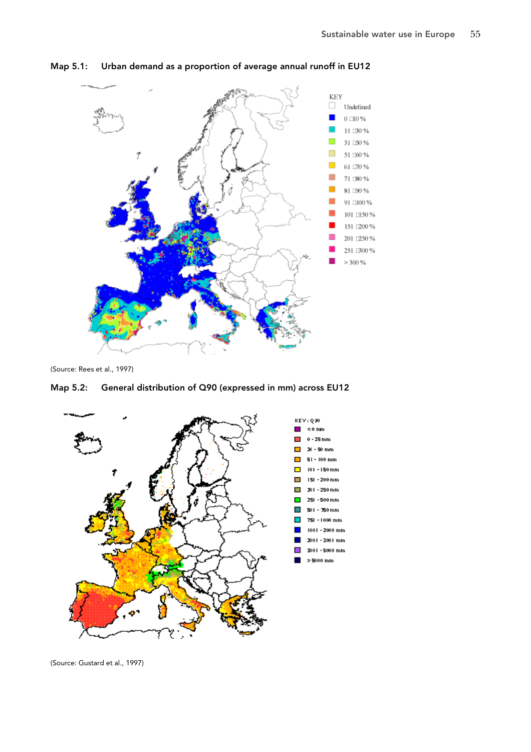

Map 5.1: Urban demand as a proportion of average annual runoff in EU12

(Source: Rees et al., 1997)

# Map 5.2: General distribution of Q90 (expressed in mm) across EU12



(Source: Gustard et al., 1997)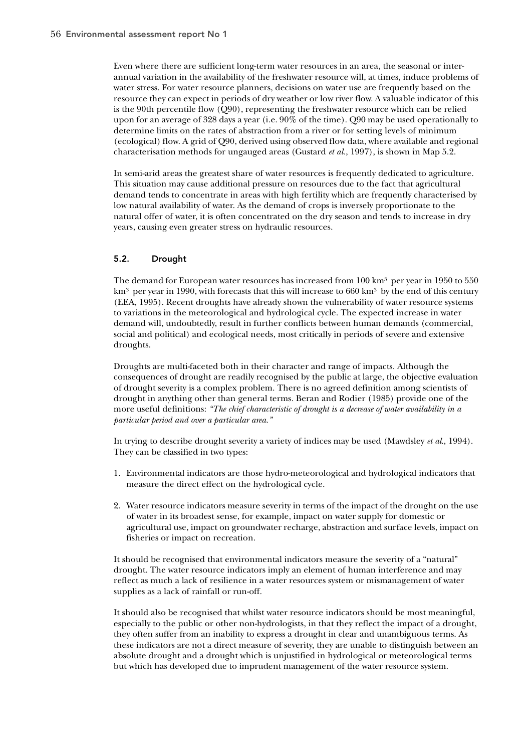Even where there are sufficient long-term water resources in an area, the seasonal or interannual variation in the availability of the freshwater resource will, at times, induce problems of water stress. For water resource planners, decisions on water use are frequently based on the resource they can expect in periods of dry weather or low river flow. A valuable indicator of this is the 90th percentile flow (Q90), representing the freshwater resource which can be relied upon for an average of 328 days a year (i.e. 90% of the time). Q90 may be used operationally to determine limits on the rates of abstraction from a river or for setting levels of minimum (ecological) flow. A grid of Q90, derived using observed flow data, where available and regional characterisation methods for ungauged areas (Gustard *et al.*, 1997), is shown in Map 5.2.

In semi-arid areas the greatest share of water resources is frequently dedicated to agriculture. This situation may cause additional pressure on resources due to the fact that agricultural demand tends to concentrate in areas with high fertility which are frequently characterised by low natural availability of water. As the demand of crops is inversely proportionate to the natural offer of water, it is often concentrated on the dry season and tends to increase in dry years, causing even greater stress on hydraulic resources.

# 5.2. Drought

The demand for European water resources has increased from  $100 \text{ km}^3$  per year in 1950 to 550  $km<sup>3</sup>$  per year in 1990, with forecasts that this will increase to 660 km<sup>3</sup> by the end of this century (EEA, 1995). Recent droughts have already shown the vulnerability of water resource systems to variations in the meteorological and hydrological cycle. The expected increase in water demand will, undoubtedly, result in further conflicts between human demands (commercial, social and political) and ecological needs, most critically in periods of severe and extensive droughts.

Droughts are multi-faceted both in their character and range of impacts. Although the consequences of drought are readily recognised by the public at large, the objective evaluation of drought severity is a complex problem. There is no agreed definition among scientists of drought in anything other than general terms. Beran and Rodier (1985) provide one of the more useful definitions: *"The chief characteristic of drought is a decrease of water availability in a particular period and over a particular area."*

In trying to describe drought severity a variety of indices may be used (Mawdsley *et al*., 1994). They can be classified in two types:

- 1. Environmental indicators are those hydro-meteorological and hydrological indicators that measure the direct effect on the hydrological cycle.
- 2. Water resource indicators measure severity in terms of the impact of the drought on the use of water in its broadest sense, for example, impact on water supply for domestic or agricultural use, impact on groundwater recharge, abstraction and surface levels, impact on fisheries or impact on recreation.

It should be recognised that environmental indicators measure the severity of a "natural" drought. The water resource indicators imply an element of human interference and may reflect as much a lack of resilience in a water resources system or mismanagement of water supplies as a lack of rainfall or run-off.

It should also be recognised that whilst water resource indicators should be most meaningful, especially to the public or other non-hydrologists, in that they reflect the impact of a drought, they often suffer from an inability to express a drought in clear and unambiguous terms. As these indicators are not a direct measure of severity, they are unable to distinguish between an absolute drought and a drought which is unjustified in hydrological or meteorological terms but which has developed due to imprudent management of the water resource system.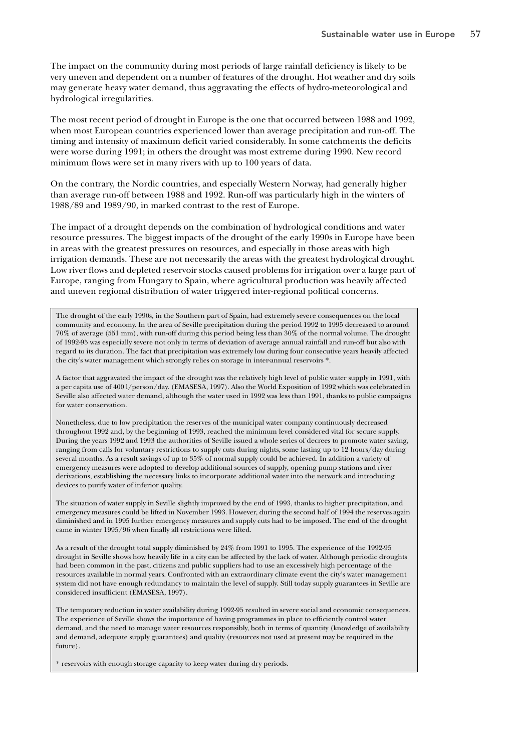The impact on the community during most periods of large rainfall deficiency is likely to be very uneven and dependent on a number of features of the drought. Hot weather and dry soils may generate heavy water demand, thus aggravating the effects of hydro-meteorological and hydrological irregularities.

The most recent period of drought in Europe is the one that occurred between 1988 and 1992, when most European countries experienced lower than average precipitation and run-off. The timing and intensity of maximum deficit varied considerably. In some catchments the deficits were worse during 1991; in others the drought was most extreme during 1990. New record minimum flows were set in many rivers with up to 100 years of data.

On the contrary, the Nordic countries, and especially Western Norway, had generally higher than average run-off between 1988 and 1992. Run-off was particularly high in the winters of 1988/89 and 1989/90, in marked contrast to the rest of Europe.

The impact of a drought depends on the combination of hydrological conditions and water resource pressures. The biggest impacts of the drought of the early 1990s in Europe have been in areas with the greatest pressures on resources, and especially in those areas with high irrigation demands. These are not necessarily the areas with the greatest hydrological drought. Low river flows and depleted reservoir stocks caused problems for irrigation over a large part of Europe, ranging from Hungary to Spain, where agricultural production was heavily affected and uneven regional distribution of water triggered inter-regional political concerns.

The drought of the early 1990s, in the Southern part of Spain, had extremely severe consequences on the local community and economy. In the area of Seville precipitation during the period 1992 to 1995 decreased to around 70% of average (551 mm), with run-off during this period being less than 30% of the normal volume. The drought of 1992-95 was especially severe not only in terms of deviation of average annual rainfall and run-off but also with regard to its duration. The fact that precipitation was extremely low during four consecutive years heavily affected the city's water management which strongly relies on storage in inter-annual reservoirs \*.

A factor that aggravated the impact of the drought was the relatively high level of public water supply in 1991, with a per capita use of 400 l/person/day. (EMASESA, 1997). Also the World Exposition of 1992 which was celebrated in Seville also affected water demand, although the water used in 1992 was less than 1991, thanks to public campaigns for water conservation.

Nonetheless, due to low precipitation the reserves of the municipal water company continuously decreased throughout 1992 and, by the beginning of 1993, reached the minimum level considered vital for secure supply. During the years 1992 and 1993 the authorities of Seville issued a whole series of decrees to promote water saving, ranging from calls for voluntary restrictions to supply cuts during nights, some lasting up to 12 hours/day during several months. As a result savings of up to 35% of normal supply could be achieved. In addition a variety of emergency measures were adopted to develop additional sources of supply, opening pump stations and river derivations, establishing the necessary links to incorporate additional water into the network and introducing devices to purify water of inferior quality.

The situation of water supply in Seville slightly improved by the end of 1993, thanks to higher precipitation, and emergency measures could be lifted in November 1993. However, during the second half of 1994 the reserves again diminished and in 1995 further emergency measures and supply cuts had to be imposed. The end of the drought came in winter 1995/96 when finally all restrictions were lifted.

As a result of the drought total supply diminished by 24% from 1991 to 1995. The experience of the 1992-95 drought in Seville shows how heavily life in a city can be affected by the lack of water. Although periodic droughts had been common in the past, citizens and public suppliers had to use an excessively high percentage of the resources available in normal years. Confronted with an extraordinary climate event the city's water management system did not have enough redundancy to maintain the level of supply. Still today supply guarantees in Seville are considered insufficient (EMASESA, 1997).

The temporary reduction in water availability during 1992-95 resulted in severe social and economic consequences. The experience of Seville shows the importance of having programmes in place to efficiently control water demand, and the need to manage water resources responsibly, both in terms of quantity (knowledge of availability and demand, adequate supply guarantees) and quality (resources not used at present may be required in the future).

\* reservoirs with enough storage capacity to keep water during dry periods.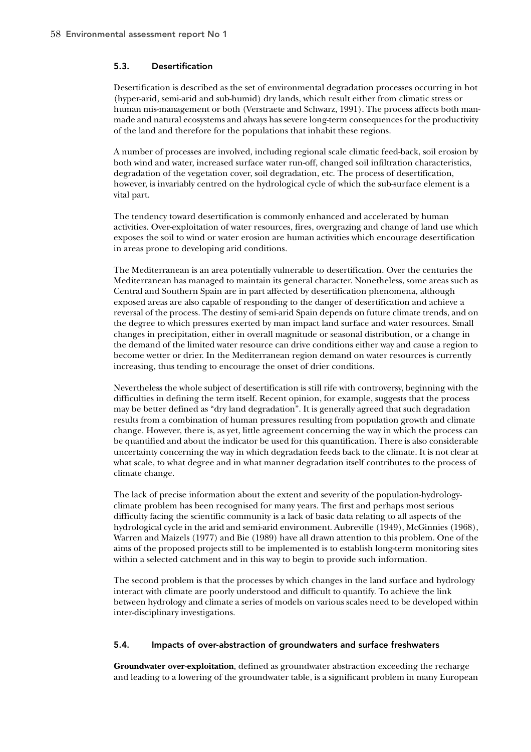# 5.3. Desertification

Desertification is described as the set of environmental degradation processes occurring in hot (hyper-arid, semi-arid and sub-humid) dry lands, which result either from climatic stress or human mis-management or both (Verstraete and Schwarz, 1991). The process affects both manmade and natural ecosystems and always has severe long-term consequences for the productivity of the land and therefore for the populations that inhabit these regions.

A number of processes are involved, including regional scale climatic feed-back, soil erosion by both wind and water, increased surface water run-off, changed soil infiltration characteristics, degradation of the vegetation cover, soil degradation, etc. The process of desertification, however, is invariably centred on the hydrological cycle of which the sub-surface element is a vital part.

The tendency toward desertification is commonly enhanced and accelerated by human activities. Over-exploitation of water resources, fires, overgrazing and change of land use which exposes the soil to wind or water erosion are human activities which encourage desertification in areas prone to developing arid conditions.

The Mediterranean is an area potentially vulnerable to desertification. Over the centuries the Mediterranean has managed to maintain its general character. Nonetheless, some areas such as Central and Southern Spain are in part affected by desertification phenomena, although exposed areas are also capable of responding to the danger of desertification and achieve a reversal of the process. The destiny of semi-arid Spain depends on future climate trends, and on the degree to which pressures exerted by man impact land surface and water resources. Small changes in precipitation, either in overall magnitude or seasonal distribution, or a change in the demand of the limited water resource can drive conditions either way and cause a region to become wetter or drier. In the Mediterranean region demand on water resources is currently increasing, thus tending to encourage the onset of drier conditions.

Nevertheless the whole subject of desertification is still rife with controversy, beginning with the difficulties in defining the term itself. Recent opinion, for example, suggests that the process may be better defined as "dry land degradation". It is generally agreed that such degradation results from a combination of human pressures resulting from population growth and climate change. However, there is, as yet, little agreement concerning the way in which the process can be quantified and about the indicator be used for this quantification. There is also considerable uncertainty concerning the way in which degradation feeds back to the climate. It is not clear at what scale, to what degree and in what manner degradation itself contributes to the process of climate change.

The lack of precise information about the extent and severity of the population-hydrologyclimate problem has been recognised for many years. The first and perhaps most serious difficulty facing the scientific community is a lack of basic data relating to all aspects of the hydrological cycle in the arid and semi-arid environment. Aubreville (1949), McGinnies (1968), Warren and Maizels (1977) and Bie (1989) have all drawn attention to this problem. One of the aims of the proposed projects still to be implemented is to establish long-term monitoring sites within a selected catchment and in this way to begin to provide such information.

The second problem is that the processes by which changes in the land surface and hydrology interact with climate are poorly understood and difficult to quantify. To achieve the link between hydrology and climate a series of models on various scales need to be developed within inter-disciplinary investigations.

# 5.4. Impacts of over-abstraction of groundwaters and surface freshwaters

**Groundwater over-exploitation**, defined as groundwater abstraction exceeding the recharge and leading to a lowering of the groundwater table, is a significant problem in many European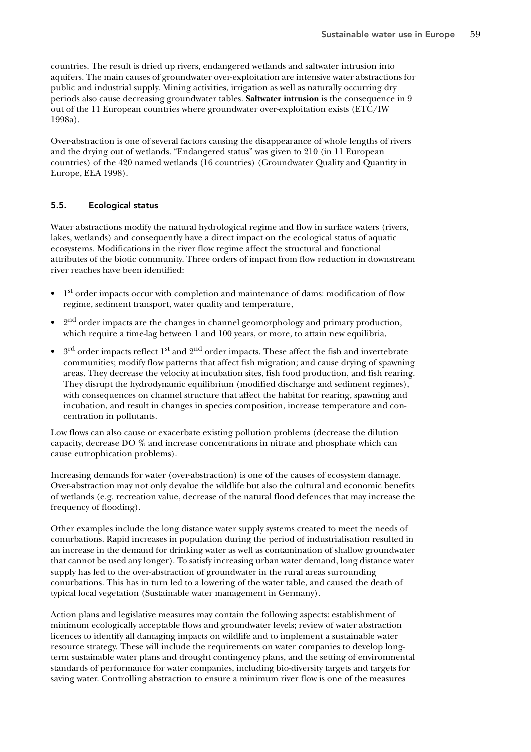countries. The result is dried up rivers, endangered wetlands and saltwater intrusion into aquifers. The main causes of groundwater over-exploitation are intensive water abstractions for public and industrial supply. Mining activities, irrigation as well as naturally occurring dry periods also cause decreasing groundwater tables. **Saltwater intrusion** is the consequence in 9 out of the 11 European countries where groundwater over-exploitation exists (ETC/IW 1998a).

Over-abstraction is one of several factors causing the disappearance of whole lengths of rivers and the drying out of wetlands. "Endangered status" was given to 210 (in 11 European countries) of the 420 named wetlands (16 countries) (Groundwater Quality and Quantity in Europe, EEA 1998).

# 5.5. Ecological status

Water abstractions modify the natural hydrological regime and flow in surface waters (rivers, lakes, wetlands) and consequently have a direct impact on the ecological status of aquatic ecosystems. Modifications in the river flow regime affect the structural and functional attributes of the biotic community. Three orders of impact from flow reduction in downstream river reaches have been identified:

- $\bullet$  1<sup>st</sup> order impacts occur with completion and maintenance of dams: modification of flow regime, sediment transport, water quality and temperature,
- <sup>2nd</sup> order impacts are the changes in channel geomorphology and primary production, which require a time-lag between 1 and 100 years, or more, to attain new equilibria,
- $3<sup>rd</sup>$  order impacts reflect  $1<sup>st</sup>$  and  $2<sup>nd</sup>$  order impacts. These affect the fish and invertebrate communities; modify flow patterns that affect fish migration; and cause drying of spawning areas. They decrease the velocity at incubation sites, fish food production, and fish rearing. They disrupt the hydrodynamic equilibrium (modified discharge and sediment regimes), with consequences on channel structure that affect the habitat for rearing, spawning and incubation, and result in changes in species composition, increase temperature and concentration in pollutants.

Low flows can also cause or exacerbate existing pollution problems (decrease the dilution capacity, decrease DO % and increase concentrations in nitrate and phosphate which can cause eutrophication problems).

Increasing demands for water (over-abstraction) is one of the causes of ecosystem damage. Over-abstraction may not only devalue the wildlife but also the cultural and economic benefits of wetlands (e.g. recreation value, decrease of the natural flood defences that may increase the frequency of flooding).

Other examples include the long distance water supply systems created to meet the needs of conurbations. Rapid increases in population during the period of industrialisation resulted in an increase in the demand for drinking water as well as contamination of shallow groundwater that cannot be used any longer). To satisfy increasing urban water demand, long distance water supply has led to the over-abstraction of groundwater in the rural areas surrounding conurbations. This has in turn led to a lowering of the water table, and caused the death of typical local vegetation (Sustainable water management in Germany).

Action plans and legislative measures may contain the following aspects: establishment of minimum ecologically acceptable flows and groundwater levels; review of water abstraction licences to identify all damaging impacts on wildlife and to implement a sustainable water resource strategy. These will include the requirements on water companies to develop longterm sustainable water plans and drought contingency plans, and the setting of environmental standards of performance for water companies, including bio-diversity targets and targets for saving water. Controlling abstraction to ensure a minimum river flow is one of the measures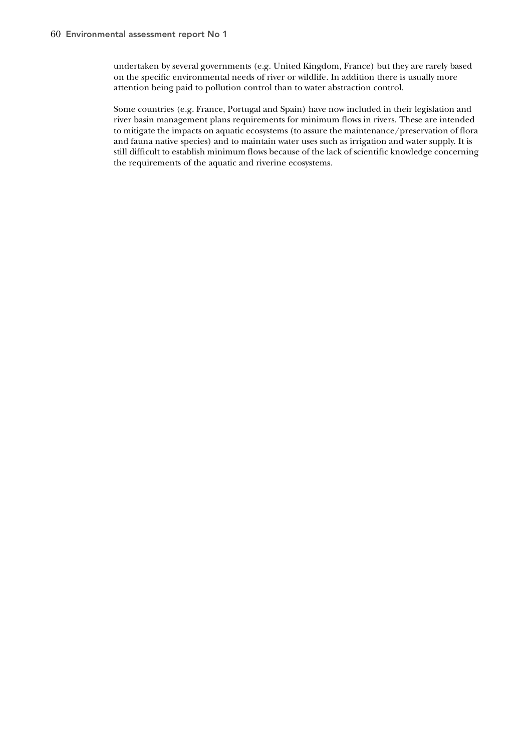undertaken by several governments (e.g. United Kingdom, France) but they are rarely based on the specific environmental needs of river or wildlife. In addition there is usually more attention being paid to pollution control than to water abstraction control.

Some countries (e.g. France, Portugal and Spain) have now included in their legislation and river basin management plans requirements for minimum flows in rivers. These are intended to mitigate the impacts on aquatic ecosystems (to assure the maintenance/preservation of flora and fauna native species) and to maintain water uses such as irrigation and water supply. It is still difficult to establish minimum flows because of the lack of scientific knowledge concerning the requirements of the aquatic and riverine ecosystems.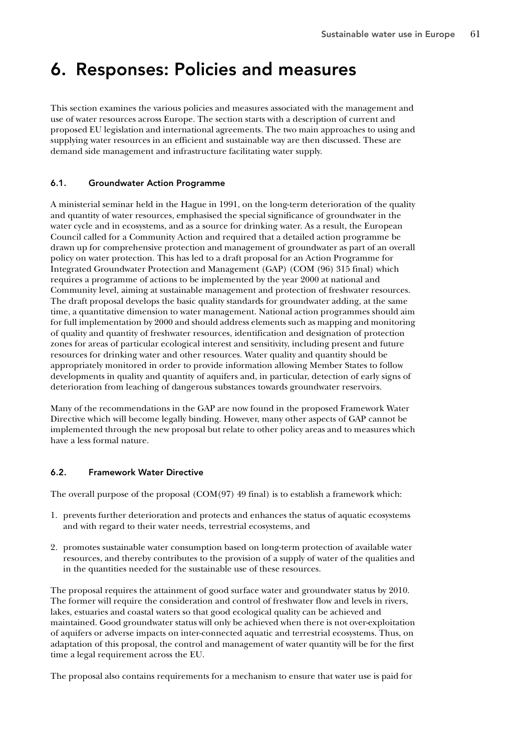# 6. Responses: Policies and measures

This section examines the various policies and measures associated with the management and use of water resources across Europe. The section starts with a description of current and proposed EU legislation and international agreements. The two main approaches to using and supplying water resources in an efficient and sustainable way are then discussed. These are demand side management and infrastructure facilitating water supply.

## 6.1. Groundwater Action Programme

A ministerial seminar held in the Hague in 1991, on the long-term deterioration of the quality and quantity of water resources, emphasised the special significance of groundwater in the water cycle and in ecosystems, and as a source for drinking water. As a result, the European Council called for a Community Action and required that a detailed action programme be drawn up for comprehensive protection and management of groundwater as part of an overall policy on water protection. This has led to a draft proposal for an Action Programme for Integrated Groundwater Protection and Management (GAP) (COM (96) 315 final) which requires a programme of actions to be implemented by the year 2000 at national and Community level, aiming at sustainable management and protection of freshwater resources. The draft proposal develops the basic quality standards for groundwater adding, at the same time, a quantitative dimension to water management. National action programmes should aim for full implementation by 2000 and should address elements such as mapping and monitoring of quality and quantity of freshwater resources, identification and designation of protection zones for areas of particular ecological interest and sensitivity, including present and future resources for drinking water and other resources. Water quality and quantity should be appropriately monitored in order to provide information allowing Member States to follow developments in quality and quantity of aquifers and, in particular, detection of early signs of deterioration from leaching of dangerous substances towards groundwater reservoirs.

Many of the recommendations in the GAP are now found in the proposed Framework Water Directive which will become legally binding. However, many other aspects of GAP cannot be implemented through the new proposal but relate to other policy areas and to measures which have a less formal nature.

# 6.2. Framework Water Directive

The overall purpose of the proposal  $(COM(97) 49$  final) is to establish a framework which:

- 1. prevents further deterioration and protects and enhances the status of aquatic ecosystems and with regard to their water needs, terrestrial ecosystems, and
- 2. promotes sustainable water consumption based on long-term protection of available water resources, and thereby contributes to the provision of a supply of water of the qualities and in the quantities needed for the sustainable use of these resources.

The proposal requires the attainment of good surface water and groundwater status by 2010. The former will require the consideration and control of freshwater flow and levels in rivers, lakes, estuaries and coastal waters so that good ecological quality can be achieved and maintained. Good groundwater status will only be achieved when there is not over-exploitation of aquifers or adverse impacts on inter-connected aquatic and terrestrial ecosystems. Thus, on adaptation of this proposal, the control and management of water quantity will be for the first time a legal requirement across the EU.

The proposal also contains requirements for a mechanism to ensure that water use is paid for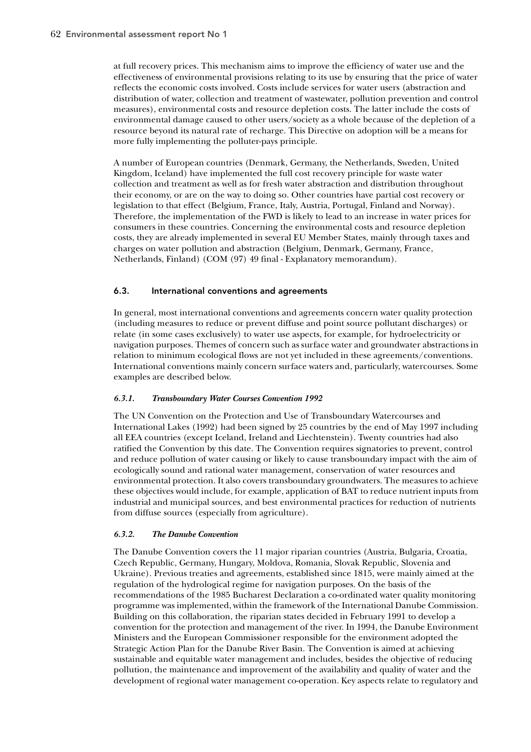at full recovery prices. This mechanism aims to improve the efficiency of water use and the effectiveness of environmental provisions relating to its use by ensuring that the price of water reflects the economic costs involved. Costs include services for water users (abstraction and distribution of water, collection and treatment of wastewater, pollution prevention and control measures), environmental costs and resource depletion costs. The latter include the costs of environmental damage caused to other users/society as a whole because of the depletion of a resource beyond its natural rate of recharge. This Directive on adoption will be a means for more fully implementing the polluter-pays principle.

A number of European countries (Denmark, Germany, the Netherlands, Sweden, United Kingdom, Iceland) have implemented the full cost recovery principle for waste water collection and treatment as well as for fresh water abstraction and distribution throughout their economy, or are on the way to doing so. Other countries have partial cost recovery or legislation to that effect (Belgium, France, Italy, Austria, Portugal, Finland and Norway). Therefore, the implementation of the FWD is likely to lead to an increase in water prices for consumers in these countries. Concerning the environmental costs and resource depletion costs, they are already implemented in several EU Member States, mainly through taxes and charges on water pollution and abstraction (Belgium, Denmark, Germany, France, Netherlands, Finland) (COM (97) 49 final - Explanatory memorandum).

# 6.3. International conventions and agreements

In general, most international conventions and agreements concern water quality protection (including measures to reduce or prevent diffuse and point source pollutant discharges) or relate (in some cases exclusively) to water use aspects, for example, for hydroelectricity or navigation purposes. Themes of concern such as surface water and groundwater abstractions in relation to minimum ecological flows are not yet included in these agreements/conventions. International conventions mainly concern surface waters and, particularly, watercourses. Some examples are described below.

## *6.3.1. Transboundary Water Courses Convention 1992*

The UN Convention on the Protection and Use of Transboundary Watercourses and International Lakes (1992) had been signed by 25 countries by the end of May 1997 including all EEA countries (except Iceland, Ireland and Liechtenstein). Twenty countries had also ratified the Convention by this date. The Convention requires signatories to prevent, control and reduce pollution of water causing or likely to cause transboundary impact with the aim of ecologically sound and rational water management, conservation of water resources and environmental protection. It also covers transboundary groundwaters. The measures to achieve these objectives would include, for example, application of BAT to reduce nutrient inputs from industrial and municipal sources, and best environmental practices for reduction of nutrients from diffuse sources (especially from agriculture).

## *6.3.2. The Danube Convention*

The Danube Convention covers the 11 major riparian countries (Austria, Bulgaria, Croatia, Czech Republic, Germany, Hungary, Moldova, Romania, Slovak Republic, Slovenia and Ukraine). Previous treaties and agreements, established since 1815, were mainly aimed at the regulation of the hydrological regime for navigation purposes. On the basis of the recommendations of the 1985 Bucharest Declaration a co-ordinated water quality monitoring programme was implemented, within the framework of the International Danube Commission. Building on this collaboration, the riparian states decided in February 1991 to develop a convention for the protection and management of the river. In 1994, the Danube Environment Ministers and the European Commissioner responsible for the environment adopted the Strategic Action Plan for the Danube River Basin. The Convention is aimed at achieving sustainable and equitable water management and includes, besides the objective of reducing pollution, the maintenance and improvement of the availability and quality of water and the development of regional water management co-operation. Key aspects relate to regulatory and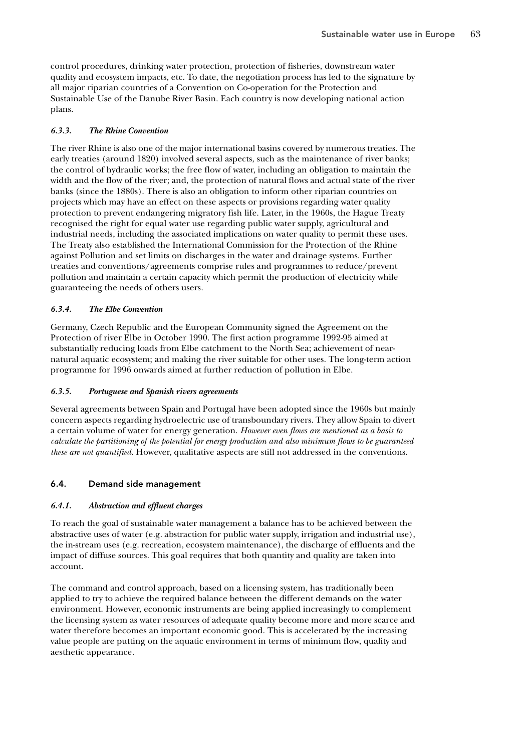control procedures, drinking water protection, protection of fisheries, downstream water quality and ecosystem impacts, etc. To date, the negotiation process has led to the signature by all major riparian countries of a Convention on Co-operation for the Protection and Sustainable Use of the Danube River Basin. Each country is now developing national action plans.

## *6.3.3. The Rhine Convention*

The river Rhine is also one of the major international basins covered by numerous treaties. The early treaties (around 1820) involved several aspects, such as the maintenance of river banks; the control of hydraulic works; the free flow of water, including an obligation to maintain the width and the flow of the river; and, the protection of natural flows and actual state of the river banks (since the 1880s). There is also an obligation to inform other riparian countries on projects which may have an effect on these aspects or provisions regarding water quality protection to prevent endangering migratory fish life. Later, in the 1960s, the Hague Treaty recognised the right for equal water use regarding public water supply, agricultural and industrial needs, including the associated implications on water quality to permit these uses. The Treaty also established the International Commission for the Protection of the Rhine against Pollution and set limits on discharges in the water and drainage systems. Further treaties and conventions/agreements comprise rules and programmes to reduce/prevent pollution and maintain a certain capacity which permit the production of electricity while guaranteeing the needs of others users.

## *6.3.4. The Elbe Convention*

Germany, Czech Republic and the European Community signed the Agreement on the Protection of river Elbe in October 1990. The first action programme 1992-95 aimed at substantially reducing loads from Elbe catchment to the North Sea; achievement of nearnatural aquatic ecosystem; and making the river suitable for other uses. The long-term action programme for 1996 onwards aimed at further reduction of pollution in Elbe.

## *6.3.5. Portuguese and Spanish rivers agreements*

Several agreements between Spain and Portugal have been adopted since the 1960s but mainly concern aspects regarding hydroelectric use of transboundary rivers. They allow Spain to divert a certain volume of water for energy generation. *However even flows are mentioned as a basis to calculate the partitioning of the potential for energy production and also minimum flows to be guaranteed these are not quantified.* However, qualitative aspects are still not addressed in the conventions.

# 6.4. Demand side management

# *6.4.1. Abstraction and effluent charges*

To reach the goal of sustainable water management a balance has to be achieved between the abstractive uses of water (e.g. abstraction for public water supply, irrigation and industrial use), the in-stream uses (e.g. recreation, ecosystem maintenance), the discharge of effluents and the impact of diffuse sources. This goal requires that both quantity and quality are taken into account.

The command and control approach, based on a licensing system, has traditionally been applied to try to achieve the required balance between the different demands on the water environment. However, economic instruments are being applied increasingly to complement the licensing system as water resources of adequate quality become more and more scarce and water therefore becomes an important economic good. This is accelerated by the increasing value people are putting on the aquatic environment in terms of minimum flow, quality and aesthetic appearance.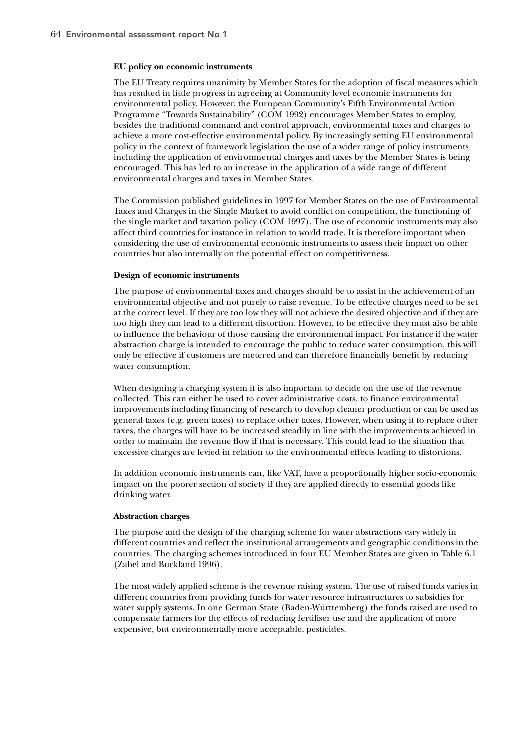#### **EU policy on economic instruments**

The EU Treaty requires unanimity by Member States for the adoption of fiscal measures which has resulted in little progress in agreeing at Community level economic instruments for environmental policy. However, the European Community's Fifth Environmental Action Programme "Towards Sustainability" (COM 1992) encourages Member States to employ, besides the traditional command and control approach, environmental taxes and charges to achieve a more cost-effective environmental policy. By increasingly setting EU environmental policy in the context of framework legislation the use of a wider range of policy instruments including the application of environmental charges and taxes by the Member States is being encouraged. This has led to an increase in the application of a wide range of different environmental charges and taxes in Member States.

The Commission published guidelines in 1997 for Member States on the use of Environmental Taxes and Charges in the Single Market to avoid conflict on competition, the functioning of the single market and taxation policy (COM 1997). The use of economic instruments may also affect third countries for instance in relation to world trade. It is therefore important when considering the use of environmental economic instruments to assess their impact on other countries but also internally on the potential effect on competitiveness.

#### **Design of economic instruments**

The purpose of environmental taxes and charges should be to assist in the achievement of an environmental objective and not purely to raise revenue. To be effective charges need to be set at the correct level. If they are too low they will not achieve the desired objective and if they are too high they can lead to a different distortion. However, to be effective they must also be able to influence the behaviour of those causing the environmental impact. For instance if the water abstraction charge is intended to encourage the public to reduce water consumption, this will only be effective if customers are metered and can therefore financially benefit by reducing water consumption.

When designing a charging system it is also important to decide on the use of the revenue collected. This can either be used to cover administrative costs, to finance environmental improvements including financing of research to develop cleaner production or can be used as general taxes (e.g. green taxes) to replace other taxes. However, when using it to replace other taxes, the charges will have to be increased steadily in line with the improvements achieved in order to maintain the revenue flow if that is necessary. This could lead to the situation that excessive charges are levied in relation to the environmental effects leading to distortions.

In addition economic instruments can, like VAT, have a proportionally higher socio-economic impact on the poorer section of society if they are applied directly to essential goods like drinking water.

#### **Abstraction charges**

The purpose and the design of the charging scheme for water abstractions vary widely in different countries and reflect the institutional arrangements and geographic conditions in the countries. The charging schemes introduced in four EU Member States are given in Table 6.1 (Zabel and Buckland 1996).

The most widely applied scheme is the revenue raising system. The use of raised funds varies in different countries from providing funds for water resource infrastructures to subsidies for water supply systems. In one German State (Baden-Württemberg) the funds raised are used to compensate farmers for the effects of reducing fertiliser use and the application of more expensive, but environmentally more acceptable, pesticides.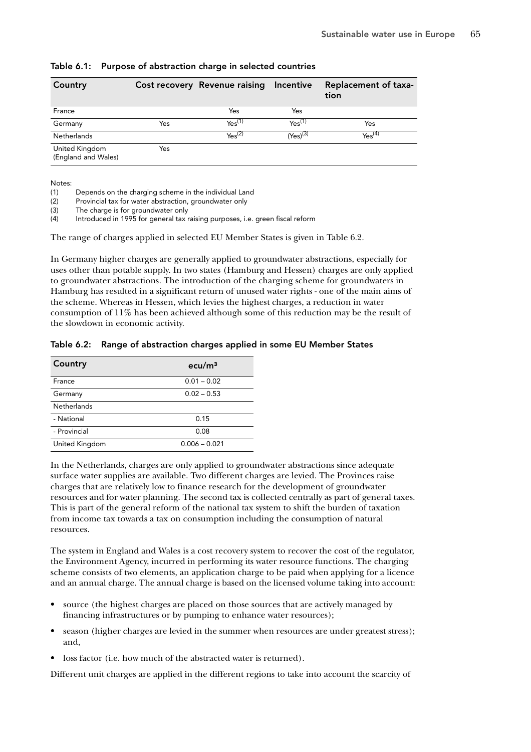| Country                               |     | Cost recovery Revenue raising Incentive |                    | Replacement of taxa-<br>tion |
|---------------------------------------|-----|-----------------------------------------|--------------------|------------------------------|
| France                                |     | Yes                                     | Yes                |                              |
| Germany                               | Yes | Yes <sup>(1)</sup>                      | Yes <sup>(1)</sup> | Yes                          |
| <b>Netherlands</b>                    |     | $Y_{\text{BS}}^{(2)}$                   | $(Yes)^{(3)}$      | Yes <sup>(4)</sup>           |
| United Kingdom<br>(England and Wales) | Yes |                                         |                    |                              |

Table 6.1: Purpose of abstraction charge in selected countries

Notes:

(1) Depends on the charging scheme in the individual Land Provincial tax for water abstraction, groundwater only

(3) The charge is for groundwater only

(4) Introduced in 1995 for general tax raising purposes, i.e. green fiscal reform

The range of charges applied in selected EU Member States is given in Table 6.2.

In Germany higher charges are generally applied to groundwater abstractions, especially for uses other than potable supply. In two states (Hamburg and Hessen) charges are only applied to groundwater abstractions. The introduction of the charging scheme for groundwaters in Hamburg has resulted in a significant return of unused water rights - one of the main aims of the scheme. Whereas in Hessen, which levies the highest charges, a reduction in water consumption of 11% has been achieved although some of this reduction may be the result of the slowdown in economic activity.

|  | Table 6.2: Range of abstraction charges applied in some EU Member States |  |  |  |
|--|--------------------------------------------------------------------------|--|--|--|
|  |                                                                          |  |  |  |

| Country            | ecu/m <sup>3</sup> |
|--------------------|--------------------|
| France             | $0.01 - 0.02$      |
| Germany            | $0.02 - 0.53$      |
| <b>Netherlands</b> |                    |
| - National         | 0.15               |
| - Provincial       | 0.08               |
| United Kingdom     | $0.006 - 0.021$    |

In the Netherlands, charges are only applied to groundwater abstractions since adequate surface water supplies are available. Two different charges are levied. The Provinces raise charges that are relatively low to finance research for the development of groundwater resources and for water planning. The second tax is collected centrally as part of general taxes. This is part of the general reform of the national tax system to shift the burden of taxation from income tax towards a tax on consumption including the consumption of natural resources.

The system in England and Wales is a cost recovery system to recover the cost of the regulator, the Environment Agency, incurred in performing its water resource functions. The charging scheme consists of two elements, an application charge to be paid when applying for a licence and an annual charge. The annual charge is based on the licensed volume taking into account:

- source (the highest charges are placed on those sources that are actively managed by financing infrastructures or by pumping to enhance water resources);
- season (higher charges are levied in the summer when resources are under greatest stress); and,
- loss factor (i.e. how much of the abstracted water is returned).

Different unit charges are applied in the different regions to take into account the scarcity of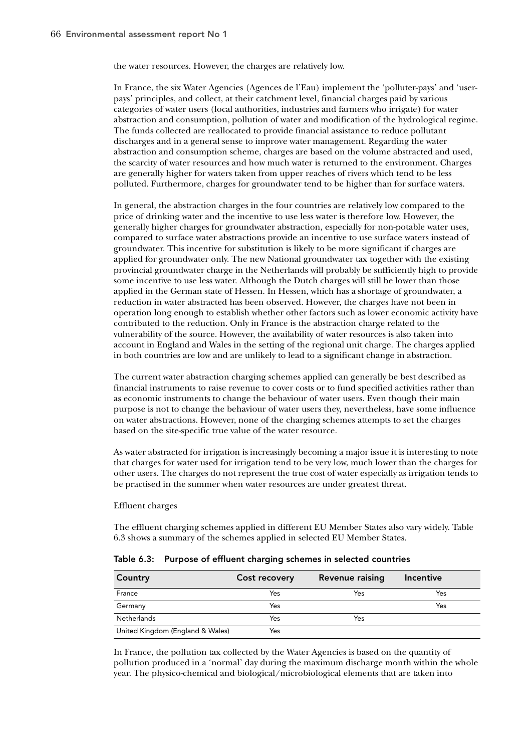the water resources. However, the charges are relatively low.

In France, the six Water Agencies (Agences de l'Eau) implement the 'polluter-pays' and 'userpays' principles, and collect, at their catchment level, financial charges paid by various categories of water users (local authorities, industries and farmers who irrigate) for water abstraction and consumption, pollution of water and modification of the hydrological regime. The funds collected are reallocated to provide financial assistance to reduce pollutant discharges and in a general sense to improve water management. Regarding the water abstraction and consumption scheme, charges are based on the volume abstracted and used, the scarcity of water resources and how much water is returned to the environment. Charges are generally higher for waters taken from upper reaches of rivers which tend to be less polluted. Furthermore, charges for groundwater tend to be higher than for surface waters.

In general, the abstraction charges in the four countries are relatively low compared to the price of drinking water and the incentive to use less water is therefore low. However, the generally higher charges for groundwater abstraction, especially for non-potable water uses, compared to surface water abstractions provide an incentive to use surface waters instead of groundwater. This incentive for substitution is likely to be more significant if charges are applied for groundwater only. The new National groundwater tax together with the existing provincial groundwater charge in the Netherlands will probably be sufficiently high to provide some incentive to use less water. Although the Dutch charges will still be lower than those applied in the German state of Hessen. In Hessen, which has a shortage of groundwater, a reduction in water abstracted has been observed. However, the charges have not been in operation long enough to establish whether other factors such as lower economic activity have contributed to the reduction. Only in France is the abstraction charge related to the vulnerability of the source. However, the availability of water resources is also taken into account in England and Wales in the setting of the regional unit charge. The charges applied in both countries are low and are unlikely to lead to a significant change in abstraction.

The current water abstraction charging schemes applied can generally be best described as financial instruments to raise revenue to cover costs or to fund specified activities rather than as economic instruments to change the behaviour of water users. Even though their main purpose is not to change the behaviour of water users they, nevertheless, have some influence on water abstractions. However, none of the charging schemes attempts to set the charges based on the site-specific true value of the water resource.

As water abstracted for irrigation is increasingly becoming a major issue it is interesting to note that charges for water used for irrigation tend to be very low, much lower than the charges for other users. The charges do not represent the true cost of water especially as irrigation tends to be practised in the summer when water resources are under greatest threat.

Effluent charges

The effluent charging schemes applied in different EU Member States also vary widely. Table 6.3 shows a summary of the schemes applied in selected EU Member States.

| Country                          | Cost recovery | <b>Revenue raising</b> | <b>Incentive</b> |
|----------------------------------|---------------|------------------------|------------------|
| France                           | Yes           | Yes                    | Yes              |
| Germany                          | Yes           |                        | Yes              |
| <b>Netherlands</b>               | Yes           | Yes                    |                  |
| United Kingdom (England & Wales) | Yes           |                        |                  |

| Table 6.3: Purpose of effluent charging schemes in selected countries |  |  |  |  |
|-----------------------------------------------------------------------|--|--|--|--|
|                                                                       |  |  |  |  |

In France, the pollution tax collected by the Water Agencies is based on the quantity of pollution produced in a 'normal' day during the maximum discharge month within the whole year. The physico-chemical and biological/microbiological elements that are taken into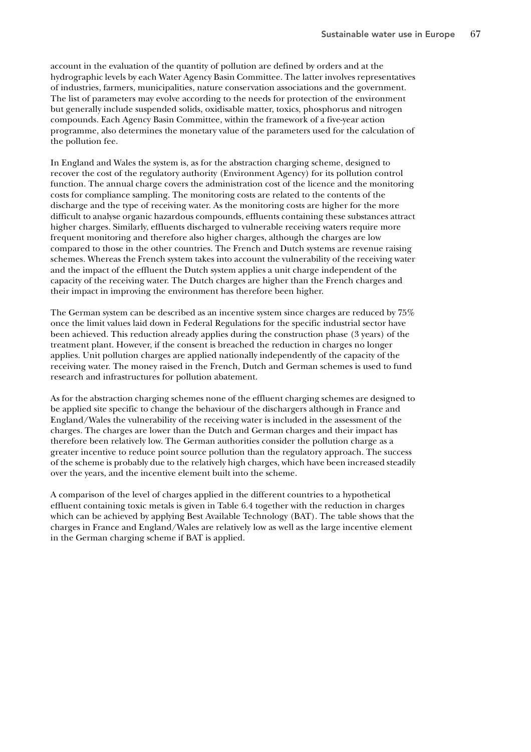account in the evaluation of the quantity of pollution are defined by orders and at the hydrographic levels by each Water Agency Basin Committee. The latter involves representatives of industries, farmers, municipalities, nature conservation associations and the government. The list of parameters may evolve according to the needs for protection of the environment but generally include suspended solids, oxidisable matter, toxics, phosphorus and nitrogen compounds. Each Agency Basin Committee, within the framework of a five-year action programme, also determines the monetary value of the parameters used for the calculation of the pollution fee.

In England and Wales the system is, as for the abstraction charging scheme, designed to recover the cost of the regulatory authority (Environment Agency) for its pollution control function. The annual charge covers the administration cost of the licence and the monitoring costs for compliance sampling. The monitoring costs are related to the contents of the discharge and the type of receiving water. As the monitoring costs are higher for the more difficult to analyse organic hazardous compounds, effluents containing these substances attract higher charges. Similarly, effluents discharged to vulnerable receiving waters require more frequent monitoring and therefore also higher charges, although the charges are low compared to those in the other countries. The French and Dutch systems are revenue raising schemes. Whereas the French system takes into account the vulnerability of the receiving water and the impact of the effluent the Dutch system applies a unit charge independent of the capacity of the receiving water. The Dutch charges are higher than the French charges and their impact in improving the environment has therefore been higher.

The German system can be described as an incentive system since charges are reduced by 75% once the limit values laid down in Federal Regulations for the specific industrial sector have been achieved. This reduction already applies during the construction phase (3 years) of the treatment plant. However, if the consent is breached the reduction in charges no longer applies. Unit pollution charges are applied nationally independently of the capacity of the receiving water. The money raised in the French, Dutch and German schemes is used to fund research and infrastructures for pollution abatement.

As for the abstraction charging schemes none of the effluent charging schemes are designed to be applied site specific to change the behaviour of the dischargers although in France and England/Wales the vulnerability of the receiving water is included in the assessment of the charges. The charges are lower than the Dutch and German charges and their impact has therefore been relatively low. The German authorities consider the pollution charge as a greater incentive to reduce point source pollution than the regulatory approach. The success of the scheme is probably due to the relatively high charges, which have been increased steadily over the years, and the incentive element built into the scheme.

A comparison of the level of charges applied in the different countries to a hypothetical effluent containing toxic metals is given in Table 6.4 together with the reduction in charges which can be achieved by applying Best Available Technology (BAT). The table shows that the charges in France and England/Wales are relatively low as well as the large incentive element in the German charging scheme if BAT is applied.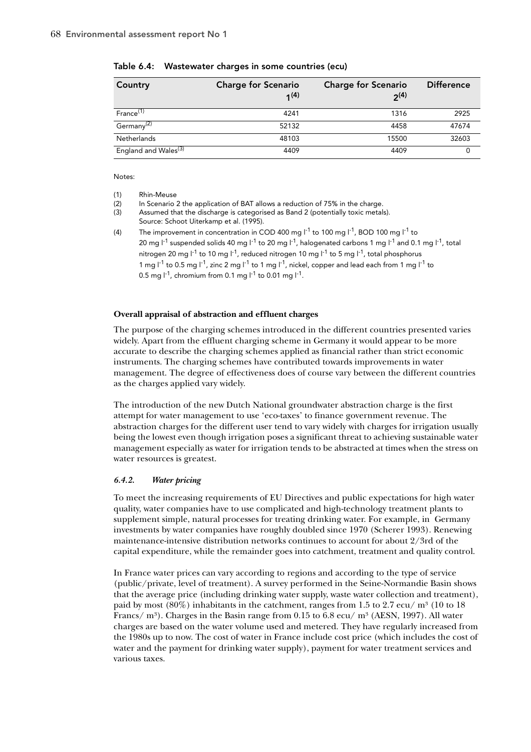| Country                          | <b>Charge for Scenario</b><br>1(4) | <b>Charge for Scenario</b><br>$2^{(4)}$ | <b>Difference</b> |
|----------------------------------|------------------------------------|-----------------------------------------|-------------------|
| France <sup>(1)</sup>            | 4241                               | 1316                                    | 2925              |
| Germany <sup>(2)</sup>           | 52132                              | 4458                                    | 47674             |
| <b>Netherlands</b>               | 48103                              | 15500                                   | 32603             |
| England and Wales <sup>(3)</sup> | 4409                               | 4409                                    |                   |

Table 6.4: Wastewater charges in some countries (ecu)

Notes:

(1) Rhin-Meuse

(2) In Scenario 2 the application of BAT allows a reduction of 75% in the charge.

(3) Assumed that the discharge is categorised as Band 2 (potentially toxic metals).

Source: Schoot Uiterkamp et al. (1995).

(4) The improvement in concentration in COD 400 mg  $I^{-1}$  to 100 mg  $I^{-1}$ , BOD 100 mg  $I^{-1}$  to 20 mg  $I^{-1}$  suspended solids 40 mg  $I^{-1}$  to 20 mg  $I^{-1}$ , halogenated carbons 1 mg  $I^{-1}$  and 0.1 mg  $I^{-1}$ , total nitrogen 20 mg  $1^{-1}$  to 10 mg  $1^{-1}$ , reduced nitrogen 10 mg  $1^{-1}$  to 5 mg  $1^{-1}$ , total phosphorus 1 mg  $1^{-1}$  to 0.5 mg  $1^{-1}$ , zinc 2 mg  $1^{-1}$  to 1 mg  $1^{-1}$ , nickel, copper and lead each from 1 mg  $1^{-1}$  to 0.5 mg  $1^{-1}$ , chromium from 0.1 mg  $1^{-1}$  to 0.01 mg  $1^{-1}$ .

## **Overall appraisal of abstraction and effluent charges**

The purpose of the charging schemes introduced in the different countries presented varies widely. Apart from the effluent charging scheme in Germany it would appear to be more accurate to describe the charging schemes applied as financial rather than strict economic instruments. The charging schemes have contributed towards improvements in water management. The degree of effectiveness does of course vary between the different countries as the charges applied vary widely.

The introduction of the new Dutch National groundwater abstraction charge is the first attempt for water management to use 'eco-taxes' to finance government revenue. The abstraction charges for the different user tend to vary widely with charges for irrigation usually being the lowest even though irrigation poses a significant threat to achieving sustainable water management especially as water for irrigation tends to be abstracted at times when the stress on water resources is greatest.

## *6.4.2. Water pricing*

To meet the increasing requirements of EU Directives and public expectations for high water quality, water companies have to use complicated and high-technology treatment plants to supplement simple, natural processes for treating drinking water. For example, in Germany investments by water companies have roughly doubled since 1970 (Scherer 1993). Renewing maintenance-intensive distribution networks continues to account for about 2/3rd of the capital expenditure, while the remainder goes into catchment, treatment and quality control.

In France water prices can vary according to regions and according to the type of service (public/private, level of treatment). A survey performed in the Seine-Normandie Basin shows that the average price (including drinking water supply, waste water collection and treatment), paid by most  $(80\%)$  inhabitants in the catchment, ranges from 1.5 to 2.7 ecu/ m<sup>3</sup> (10 to 18) Francs/  $\rm m^3$ ). Charges in the Basin range from 0.15 to 6.8 ecu/  $\rm m^3$  (AESN, 1997). All water charges are based on the water volume used and metered. They have regularly increased from the 1980s up to now. The cost of water in France include cost price (which includes the cost of water and the payment for drinking water supply), payment for water treatment services and various taxes.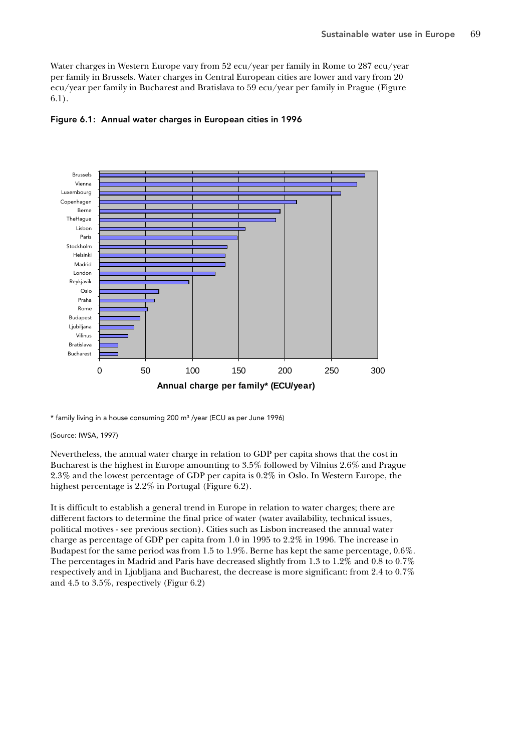Water charges in Western Europe vary from 52 ecu/year per family in Rome to 287 ecu/year per family in Brussels. Water charges in Central European cities are lower and vary from 20 ecu/year per family in Bucharest and Bratislava to 59 ecu/year per family in Prague (Figure 6.1).





\* family living in a house consuming 200 m³ /year (ECU as per June 1996)

#### (Source: IWSA, 1997)

Nevertheless, the annual water charge in relation to GDP per capita shows that the cost in Bucharest is the highest in Europe amounting to 3.5% followed by Vilnius 2.6% and Prague 2.3% and the lowest percentage of GDP per capita is 0.2% in Oslo. In Western Europe, the highest percentage is 2.2% in Portugal (Figure 6.2).

It is difficult to establish a general trend in Europe in relation to water charges; there are different factors to determine the final price of water (water availability, technical issues, political motives - see previous section). Cities such as Lisbon increased the annual water charge as percentage of GDP per capita from 1.0 in 1995 to 2.2% in 1996. The increase in Budapest for the same period was from 1.5 to 1.9%. Berne has kept the same percentage, 0.6%. The percentages in Madrid and Paris have decreased slightly from 1.3 to 1.2% and 0.8 to 0.7% respectively and in Ljubljana and Bucharest, the decrease is more significant: from 2.4 to 0.7% and 4.5 to 3.5%, respectively (Figur 6.2)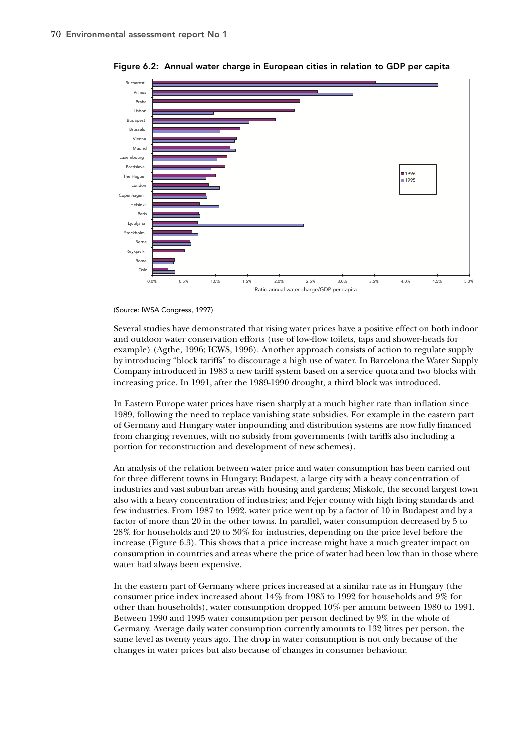

Figure 6.2: Annual water charge in European cities in relation to GDP per capita

(Source: IWSA Congress, 1997)

Several studies have demonstrated that rising water prices have a positive effect on both indoor and outdoor water conservation efforts (use of low-flow toilets, taps and shower-heads for example) (Agthe, 1996; ICWS, 1996). Another approach consists of action to regulate supply by introducing "block tariffs" to discourage a high use of water. In Barcelona the Water Supply Company introduced in 1983 a new tariff system based on a service quota and two blocks with increasing price. In 1991, after the 1989-1990 drought, a third block was introduced.

In Eastern Europe water prices have risen sharply at a much higher rate than inflation since 1989, following the need to replace vanishing state subsidies. For example in the eastern part of Germany and Hungary water impounding and distribution systems are now fully financed from charging revenues, with no subsidy from governments (with tariffs also including a portion for reconstruction and development of new schemes).

An analysis of the relation between water price and water consumption has been carried out for three different towns in Hungary: Budapest, a large city with a heavy concentration of industries and vast suburban areas with housing and gardens; Miskolc, the second largest town also with a heavy concentration of industries; and Fejer county with high living standards and few industries. From 1987 to 1992, water price went up by a factor of 10 in Budapest and by a factor of more than 20 in the other towns. In parallel, water consumption decreased by 5 to 28% for households and 20 to 30% for industries, depending on the price level before the increase (Figure 6.3). This shows that a price increase might have a much greater impact on consumption in countries and areas where the price of water had been low than in those where water had always been expensive.

In the eastern part of Germany where prices increased at a similar rate as in Hungary (the consumer price index increased about 14% from 1985 to 1992 for households and 9% for other than households), water consumption dropped 10% per annum between 1980 to 1991. Between 1990 and 1995 water consumption per person declined by 9% in the whole of Germany. Average daily water consumption currently amounts to 132 litres per person, the same level as twenty years ago. The drop in water consumption is not only because of the changes in water prices but also because of changes in consumer behaviour.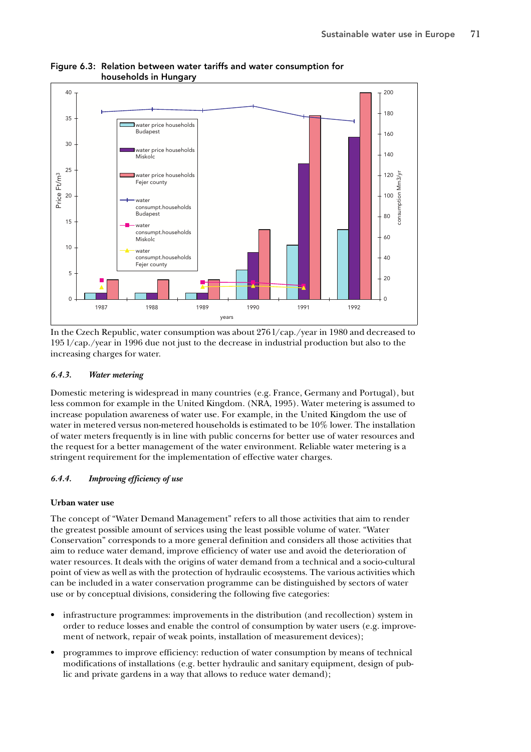

# Figure 6.3: Relation between water tariffs and water consumption for households in Hungary

In the Czech Republic, water consumption was about 276 l/cap./year in 1980 and decreased to 195 l/cap./year in 1996 due not just to the decrease in industrial production but also to the increasing charges for water.

## *6.4.3. Water metering*

Domestic metering is widespread in many countries (e.g. France, Germany and Portugal), but less common for example in the United Kingdom. (NRA, 1995). Water metering is assumed to increase population awareness of water use. For example, in the United Kingdom the use of water in metered versus non-metered households is estimated to be 10% lower. The installation of water meters frequently is in line with public concerns for better use of water resources and the request for a better management of the water environment. Reliable water metering is a stringent requirement for the implementation of effective water charges.

# *6.4.4. Improving efficiency of use*

# **Urban water use**

The concept of "Water Demand Management" refers to all those activities that aim to render the greatest possible amount of services using the least possible volume of water. "Water Conservation" corresponds to a more general definition and considers all those activities that aim to reduce water demand, improve efficiency of water use and avoid the deterioration of water resources. It deals with the origins of water demand from a technical and a socio-cultural point of view as well as with the protection of hydraulic ecosystems. The various activities which can be included in a water conservation programme can be distinguished by sectors of water use or by conceptual divisions, considering the following five categories:

- infrastructure programmes: improvements in the distribution (and recollection) system in order to reduce losses and enable the control of consumption by water users (e.g. improvement of network, repair of weak points, installation of measurement devices);
- programmes to improve efficiency: reduction of water consumption by means of technical modifications of installations (e.g. better hydraulic and sanitary equipment, design of public and private gardens in a way that allows to reduce water demand);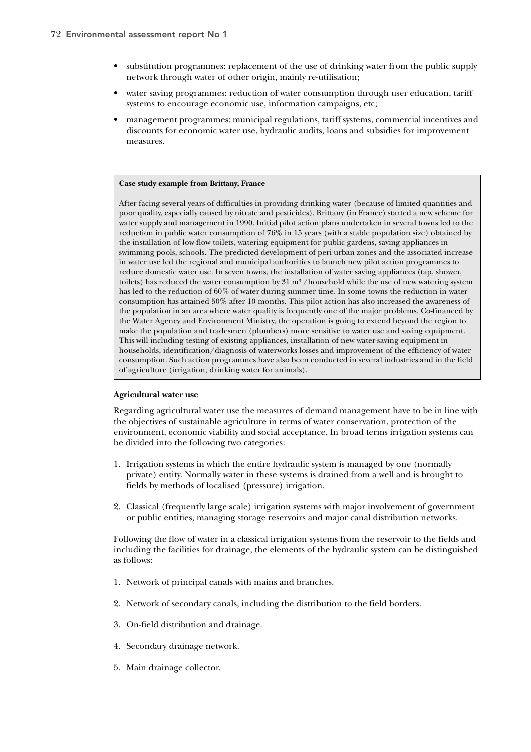- substitution programmes: replacement of the use of drinking water from the public supply network through water of other origin, mainly re-utilisation;
- water saving programmes: reduction of water consumption through user education, tariff systems to encourage economic use, information campaigns, etc;
- management programmes: municipal regulations, tariff systems, commercial incentives and discounts for economic water use, hydraulic audits, loans and subsidies for improvement measures.

#### **Case study example from Brittany, France**

After facing several years of difficulties in providing drinking water (because of limited quantities and poor quality, especially caused by nitrate and pesticides), Brittany (in France) started a new scheme for water supply and management in 1990. Initial pilot action plans undertaken in several towns led to the reduction in public water consumption of 76% in 15 years (with a stable population size) obtained by the installation of low-flow toilets, watering equipment for public gardens, saving appliances in swimming pools, schools. The predicted development of peri-urban zones and the associated increase in water use led the regional and municipal authorities to launch new pilot action programmes to reduce domestic water use. In seven towns, the installation of water saving appliances (tap, shower, toilets) has reduced the water consumption by  $31 \text{ m}^3$  /household while the use of new watering system has led to the reduction of 60% of water during summer time. In some towns the reduction in water consumption has attained 50% after 10 months. This pilot action has also increased the awareness of the population in an area where water quality is frequently one of the major problems. Co-financed by the Water Agency and Environment Ministry, the operation is going to extend beyond the region to make the population and tradesmen (plumbers) more sensitive to water use and saving equipment. This will including testing of existing appliances, installation of new water-saving equipment in households, identification/diagnosis of waterworks losses and improvement of the efficiency of water consumption. Such action programmes have also been conducted in several industries and in the field of agriculture (irrigation, drinking water for animals).

#### **Agricultural water use**

Regarding agricultural water use the measures of demand management have to be in line with the objectives of sustainable agriculture in terms of water conservation, protection of the environment, economic viability and social acceptance. In broad terms irrigation systems can be divided into the following two categories:

- 1. Irrigation systems in which the entire hydraulic system is managed by one (normally private) entity. Normally water in these systems is drained from a well and is brought to fields by methods of localised (pressure) irrigation.
- 2. Classical (frequently large scale) irrigation systems with major involvement of government or public entities, managing storage reservoirs and major canal distribution networks.

Following the flow of water in a classical irrigation systems from the reservoir to the fields and including the facilities for drainage, the elements of the hydraulic system can be distinguished as follows:

- 1. Network of principal canals with mains and branches.
- 2. Network of secondary canals, including the distribution to the field borders.
- 3. On-field distribution and drainage.
- 4. Secondary drainage network.
- 5. Main drainage collector.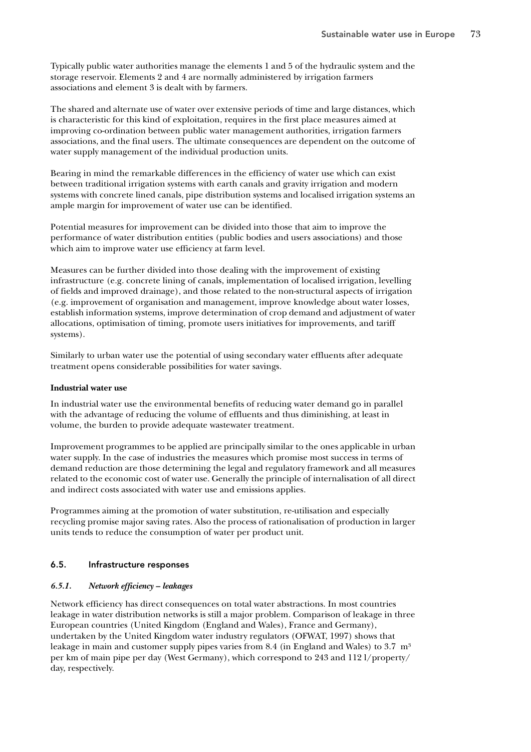Typically public water authorities manage the elements 1 and 5 of the hydraulic system and the storage reservoir. Elements 2 and 4 are normally administered by irrigation farmers associations and element 3 is dealt with by farmers.

The shared and alternate use of water over extensive periods of time and large distances, which is characteristic for this kind of exploitation, requires in the first place measures aimed at improving co-ordination between public water management authorities, irrigation farmers associations, and the final users. The ultimate consequences are dependent on the outcome of water supply management of the individual production units.

Bearing in mind the remarkable differences in the efficiency of water use which can exist between traditional irrigation systems with earth canals and gravity irrigation and modern systems with concrete lined canals, pipe distribution systems and localised irrigation systems an ample margin for improvement of water use can be identified.

Potential measures for improvement can be divided into those that aim to improve the performance of water distribution entities (public bodies and users associations) and those which aim to improve water use efficiency at farm level.

Measures can be further divided into those dealing with the improvement of existing infrastructure (e.g. concrete lining of canals, implementation of localised irrigation, levelling of fields and improved drainage), and those related to the non-structural aspects of irrigation (e.g. improvement of organisation and management, improve knowledge about water losses, establish information systems, improve determination of crop demand and adjustment of water allocations, optimisation of timing, promote users initiatives for improvements, and tariff systems).

Similarly to urban water use the potential of using secondary water effluents after adequate treatment opens considerable possibilities for water savings.

## **Industrial water use**

In industrial water use the environmental benefits of reducing water demand go in parallel with the advantage of reducing the volume of effluents and thus diminishing, at least in volume, the burden to provide adequate wastewater treatment.

Improvement programmes to be applied are principally similar to the ones applicable in urban water supply. In the case of industries the measures which promise most success in terms of demand reduction are those determining the legal and regulatory framework and all measures related to the economic cost of water use. Generally the principle of internalisation of all direct and indirect costs associated with water use and emissions applies.

Programmes aiming at the promotion of water substitution, re-utilisation and especially recycling promise major saving rates. Also the process of rationalisation of production in larger units tends to reduce the consumption of water per product unit.

## 6.5. Infrastructure responses

## *6.5.1. Network efficiency – leakages*

Network efficiency has direct consequences on total water abstractions. In most countries leakage in water distribution networks is still a major problem. Comparison of leakage in three European countries (United Kingdom (England and Wales), France and Germany), undertaken by the United Kingdom water industry regulators (OFWAT, 1997) shows that leakage in main and customer supply pipes varies from 8.4 (in England and Wales) to 3.7  $m<sup>3</sup>$ per km of main pipe per day (West Germany), which correspond to 243 and 112 l/property/ day, respectively.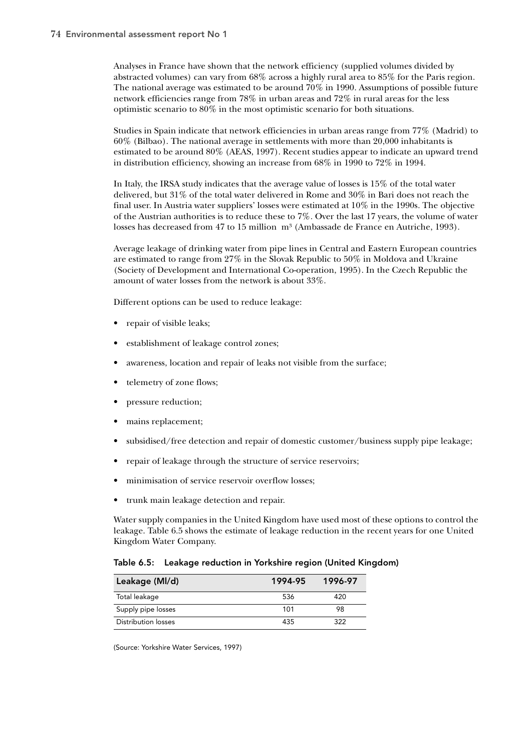Analyses in France have shown that the network efficiency (supplied volumes divided by abstracted volumes) can vary from 68% across a highly rural area to 85% for the Paris region. The national average was estimated to be around 70% in 1990. Assumptions of possible future network efficiencies range from 78% in urban areas and 72% in rural areas for the less optimistic scenario to 80% in the most optimistic scenario for both situations.

Studies in Spain indicate that network efficiencies in urban areas range from 77% (Madrid) to 60% (Bilbao). The national average in settlements with more than 20,000 inhabitants is estimated to be around 80% (AEAS, 1997). Recent studies appear to indicate an upward trend in distribution efficiency, showing an increase from 68% in 1990 to 72% in 1994.

In Italy, the IRSA study indicates that the average value of losses is 15% of the total water delivered, but 31% of the total water delivered in Rome and 30% in Bari does not reach the final user. In Austria water suppliers' losses were estimated at 10% in the 1990s. The objective of the Austrian authorities is to reduce these to 7%*.* Over the last 17 years, the volume of water losses has decreased from 47 to 15 million m<sup>3</sup> (Ambassade de France en Autriche, 1993).

Average leakage of drinking water from pipe lines in Central and Eastern European countries are estimated to range from 27% in the Slovak Republic to 50% in Moldova and Ukraine (Society of Development and International Co-operation, 1995). In the Czech Republic the amount of water losses from the network is about 33%.

Different options can be used to reduce leakage:

- repair of visible leaks;
- establishment of leakage control zones;
- awareness, location and repair of leaks not visible from the surface;
- telemetry of zone flows;
- pressure reduction;
- mains replacement;
- subsidised/free detection and repair of domestic customer/business supply pipe leakage;
- repair of leakage through the structure of service reservoirs;
- minimisation of service reservoir overflow losses;
- trunk main leakage detection and repair.

Water supply companies in the United Kingdom have used most of these options to control the leakage. Table 6.5 shows the estimate of leakage reduction in the recent years for one United Kingdom Water Company.

|  | Table 6.5: Leakage reduction in Yorkshire region (United Kingdom) |  |  |
|--|-------------------------------------------------------------------|--|--|
|--|-------------------------------------------------------------------|--|--|

| Leakage (MI/d)      | 1994-95 | 1996-97 |
|---------------------|---------|---------|
| Total leakage       | 536     | 420     |
| Supply pipe losses  | 101     | 98      |
| Distribution losses | 435     | 322     |

(Source: Yorkshire Water Services, 1997)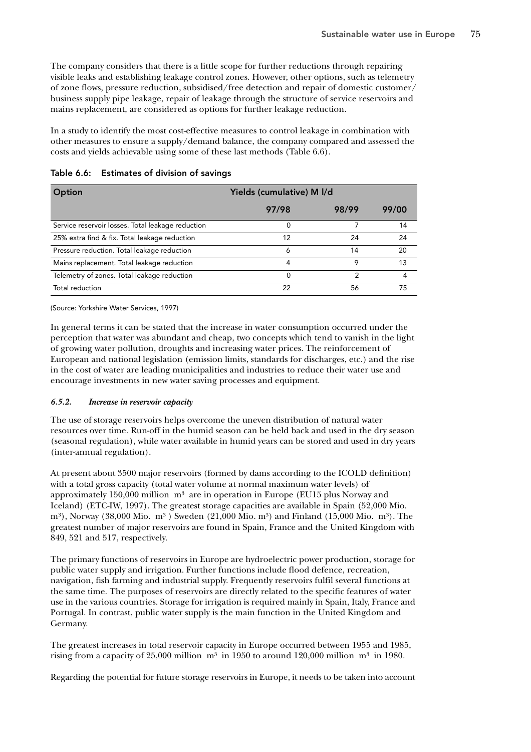The company considers that there is a little scope for further reductions through repairing visible leaks and establishing leakage control zones. However, other options, such as telemetry of zone flows, pressure reduction, subsidised/free detection and repair of domestic customer/ business supply pipe leakage, repair of leakage through the structure of service reservoirs and mains replacement, are considered as options for further leakage reduction.

In a study to identify the most cost-effective measures to control leakage in combination with other measures to ensure a supply/demand balance, the company compared and assessed the costs and yields achievable using some of these last methods (Table 6.6).

| Option                                            | Yields (cumulative) M I/d |       |       |  |  |
|---------------------------------------------------|---------------------------|-------|-------|--|--|
|                                                   | 97/98                     | 98/99 | 99/00 |  |  |
| Service reservoir losses. Total leakage reduction | 0                         |       | 14    |  |  |
| 25% extra find & fix. Total leakage reduction     | 12                        | 24    | 24    |  |  |
| Pressure reduction. Total leakage reduction       | 6                         | 14    | 20    |  |  |
| Mains replacement. Total leakage reduction        | 4                         | 9     | 13    |  |  |
| Telemetry of zones. Total leakage reduction       | 0                         |       | 4     |  |  |
| Total reduction                                   | 22                        | 56    | 75    |  |  |

Table 6.6: Estimates of division of savings

(Source: Yorkshire Water Services, 1997)

In general terms it can be stated that the increase in water consumption occurred under the perception that water was abundant and cheap, two concepts which tend to vanish in the light of growing water pollution, droughts and increasing water prices. The reinforcement of European and national legislation (emission limits, standards for discharges, etc.) and the rise in the cost of water are leading municipalities and industries to reduce their water use and encourage investments in new water saving processes and equipment.

# *6.5.2. Increase in reservoir capacity*

The use of storage reservoirs helps overcome the uneven distribution of natural water resources over time. Run-off in the humid season can be held back and used in the dry season (seasonal regulation), while water available in humid years can be stored and used in dry years (inter-annual regulation).

At present about 3500 major reservoirs (formed by dams according to the ICOLD definition) with a total gross capacity (total water volume at normal maximum water levels) of approximately  $150,000$  million  $m<sup>3</sup>$  are in operation in Europe (EU15 plus Norway and Iceland) (ETC-IW, 1997). The greatest storage capacities are available in Spain (52,000 Mio. m<sup>3</sup>), Norway (38,000 Mio. m<sup>3</sup>) Sweden (21,000 Mio. m<sup>3</sup>) and Finland (15,000 Mio. m<sup>3</sup>). The greatest number of major reservoirs are found in Spain, France and the United Kingdom with 849, 521 and 517, respectively.

The primary functions of reservoirs in Europe are hydroelectric power production, storage for public water supply and irrigation. Further functions include flood defence, recreation, navigation, fish farming and industrial supply. Frequently reservoirs fulfil several functions at the same time. The purposes of reservoirs are directly related to the specific features of water use in the various countries. Storage for irrigation is required mainly in Spain, Italy, France and Portugal. In contrast, public water supply is the main function in the United Kingdom and Germany.

The greatest increases in total reservoir capacity in Europe occurred between 1955 and 1985, rising from a capacity of 25,000 million  $m^3$  in 1950 to around 120,000 million  $m^3$  in 1980.

Regarding the potential for future storage reservoirs in Europe, it needs to be taken into account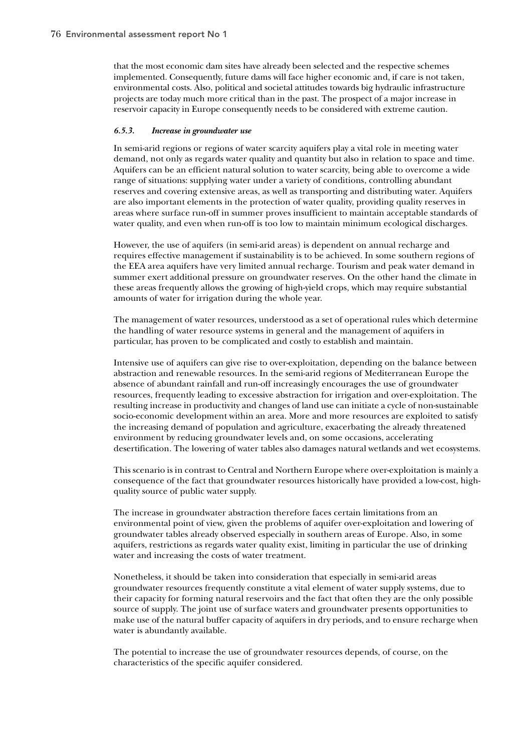that the most economic dam sites have already been selected and the respective schemes implemented. Consequently, future dams will face higher economic and, if care is not taken, environmental costs. Also, political and societal attitudes towards big hydraulic infrastructure projects are today much more critical than in the past. The prospect of a major increase in reservoir capacity in Europe consequently needs to be considered with extreme caution.

### *6.5.3. Increase in groundwater use*

In semi-arid regions or regions of water scarcity aquifers play a vital role in meeting water demand, not only as regards water quality and quantity but also in relation to space and time. Aquifers can be an efficient natural solution to water scarcity, being able to overcome a wide range of situations: supplying water under a variety of conditions, controlling abundant reserves and covering extensive areas, as well as transporting and distributing water. Aquifers are also important elements in the protection of water quality, providing quality reserves in areas where surface run-off in summer proves insufficient to maintain acceptable standards of water quality, and even when run-off is too low to maintain minimum ecological discharges.

However, the use of aquifers (in semi-arid areas) is dependent on annual recharge and requires effective management if sustainability is to be achieved. In some southern regions of the EEA area aquifers have very limited annual recharge. Tourism and peak water demand in summer exert additional pressure on groundwater reserves. On the other hand the climate in these areas frequently allows the growing of high-yield crops, which may require substantial amounts of water for irrigation during the whole year.

The management of water resources, understood as a set of operational rules which determine the handling of water resource systems in general and the management of aquifers in particular, has proven to be complicated and costly to establish and maintain.

Intensive use of aquifers can give rise to over-exploitation, depending on the balance between abstraction and renewable resources. In the semi-arid regions of Mediterranean Europe the absence of abundant rainfall and run-off increasingly encourages the use of groundwater resources, frequently leading to excessive abstraction for irrigation and over-exploitation. The resulting increase in productivity and changes of land use can initiate a cycle of non-sustainable socio-economic development within an area. More and more resources are exploited to satisfy the increasing demand of population and agriculture, exacerbating the already threatened environment by reducing groundwater levels and, on some occasions, accelerating desertification. The lowering of water tables also damages natural wetlands and wet ecosystems.

This scenario is in contrast to Central and Northern Europe where over-exploitation is mainly a consequence of the fact that groundwater resources historically have provided a low-cost, highquality source of public water supply.

The increase in groundwater abstraction therefore faces certain limitations from an environmental point of view, given the problems of aquifer over-exploitation and lowering of groundwater tables already observed especially in southern areas of Europe. Also, in some aquifers, restrictions as regards water quality exist, limiting in particular the use of drinking water and increasing the costs of water treatment.

Nonetheless, it should be taken into consideration that especially in semi-arid areas groundwater resources frequently constitute a vital element of water supply systems, due to their capacity for forming natural reservoirs and the fact that often they are the only possible source of supply. The joint use of surface waters and groundwater presents opportunities to make use of the natural buffer capacity of aquifers in dry periods, and to ensure recharge when water is abundantly available.

The potential to increase the use of groundwater resources depends, of course, on the characteristics of the specific aquifer considered.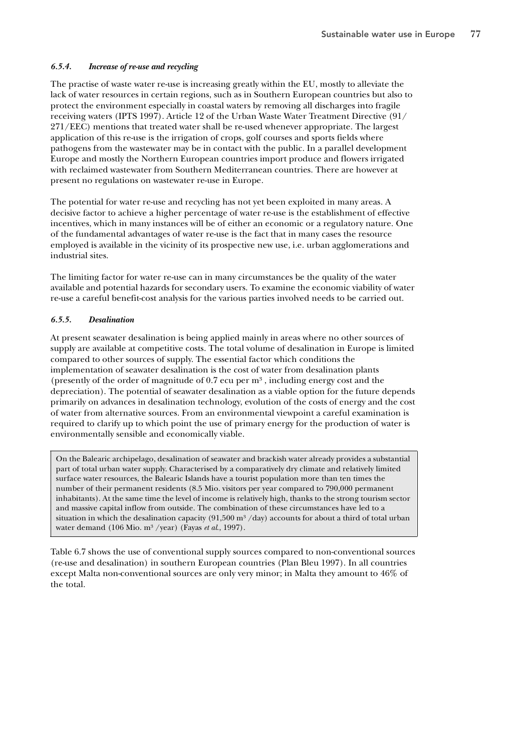# *6.5.4. Increase of re-use and recycling*

The practise of waste water re-use is increasing greatly within the EU, mostly to alleviate the lack of water resources in certain regions, such as in Southern European countries but also to protect the environment especially in coastal waters by removing all discharges into fragile receiving waters (IPTS 1997). Article 12 of the Urban Waste Water Treatment Directive (91/ 271/EEC) mentions that treated water shall be re-used whenever appropriate. The largest application of this re-use is the irrigation of crops, golf courses and sports fields where pathogens from the wastewater may be in contact with the public. In a parallel development Europe and mostly the Northern European countries import produce and flowers irrigated with reclaimed wastewater from Southern Mediterranean countries. There are however at present no regulations on wastewater re-use in Europe.

The potential for water re-use and recycling has not yet been exploited in many areas. A decisive factor to achieve a higher percentage of water re-use is the establishment of effective incentives, which in many instances will be of either an economic or a regulatory nature. One of the fundamental advantages of water re-use is the fact that in many cases the resource employed is available in the vicinity of its prospective new use, i.e. urban agglomerations and industrial sites.

The limiting factor for water re-use can in many circumstances be the quality of the water available and potential hazards for secondary users. To examine the economic viability of water re-use a careful benefit-cost analysis for the various parties involved needs to be carried out.

# *6.5.5. Desalination*

At present seawater desalination is being applied mainly in areas where no other sources of supply are available at competitive costs. The total volume of desalination in Europe is limited compared to other sources of supply. The essential factor which conditions the implementation of seawater desalination is the cost of water from desalination plants (presently of the order of magnitude of  $0.7$  ecu per  $m<sup>3</sup>$ , including energy cost and the depreciation). The potential of seawater desalination as a viable option for the future depends primarily on advances in desalination technology, evolution of the costs of energy and the cost of water from alternative sources. From an environmental viewpoint a careful examination is required to clarify up to which point the use of primary energy for the production of water is environmentally sensible and economically viable.

On the Balearic archipelago, desalination of seawater and brackish water already provides a substantial part of total urban water supply. Characterised by a comparatively dry climate and relatively limited surface water resources, the Balearic Islands have a tourist population more than ten times the number of their permanent residents (8.5 Mio. visitors per year compared to 790,000 permanent inhabitants). At the same time the level of income is relatively high, thanks to the strong tourism sector and massive capital inflow from outside. The combination of these circumstances have led to a situation in which the desalination capacity (91,500 m<sup>3</sup>/day) accounts for about a third of total urban water demand (106 Mio. m³ /year) (Fayas *et al*., 1997).

Table 6.7 shows the use of conventional supply sources compared to non-conventional sources (re-use and desalination) in southern European countries (Plan Bleu 1997). In all countries except Malta non-conventional sources are only very minor; in Malta they amount to 46% of the total.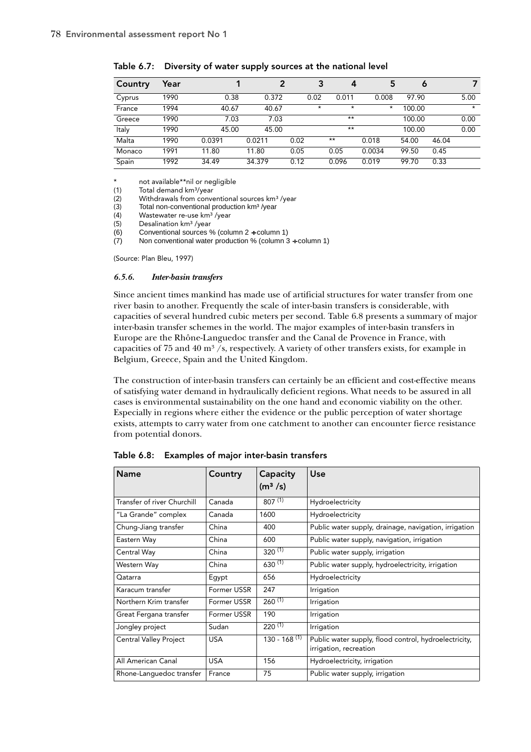| Country | Year |        | 2      | 3       | 4       | 5       | ٥      |       |         |
|---------|------|--------|--------|---------|---------|---------|--------|-------|---------|
| Cyprus  | 1990 | 0.38   | 0.372  | 0.02    | 0.011   | 0.008   | 97.90  |       | 5.00    |
| France  | 1994 | 40.67  | 40.67  | $\star$ | $\star$ | $\star$ | 100.00 |       | $\star$ |
| Greece  | 1990 | 7.03   | 7.03   |         | $***$   |         | 100.00 |       | 0.00    |
| Italy   | 1990 | 45.00  | 45.00  |         | $***$   |         | 100.00 |       | 0.00    |
| Malta   | 1990 | 0.0391 | 0.0211 | 0.02    | $***$   | 0.018   | 54.00  | 46.04 |         |
| Monaco  | 1991 | 11.80  | 11.80  | 0.05    | 0.05    | 0.0034  | 99.50  | 0.45  |         |
| Spain   | 1992 | 34.49  | 34.379 | 0.12    | 0.096   | 0.019   | 99.70  | 0.33  |         |

Table 6.7: Diversity of water supply sources at the national level

\* not available\*\*nil or negligible<br>(1) Total demand km<sup>3</sup>/year

Total demand km<sup>3</sup>/year

 $(2)$  Withdrawals from conventional sources km<sup>3</sup>/year

 $(3)$  Total non-conventional production km<sup>3</sup>/year

(4) Wastewater re-use  $km^3$  /year<br>(5) Desalination  $km^3$  /vear

Desalination km<sup>3</sup> /year

(6) Conventional sources % (column 2 ÷ column 1)

 $(7)$  Non conventional water production % (column 3 + column 1)

(Source: Plan Bleu, 1997)

### *6.5.6. Inter-basin transfers*

Since ancient times mankind has made use of artificial structures for water transfer from one river basin to another. Frequently the scale of inter-basin transfers is considerable, with capacities of several hundred cubic meters per second. Table 6.8 presents a summary of major inter-basin transfer schemes in the world. The major examples of inter-basin transfers in Europe are the Rhône-Languedoc transfer and the Canal de Provence in France, with capacities of 75 and 40  $\text{m}^3$  /s, respectively. A variety of other transfers exists, for example in Belgium, Greece, Spain and the United Kingdom.

The construction of inter-basin transfers can certainly be an efficient and cost-effective means of satisfying water demand in hydraulically deficient regions. What needs to be assured in all cases is environmental sustainability on the one hand and economic viability on the other. Especially in regions where either the evidence or the public perception of water shortage exists, attempts to carry water from one catchment to another can encounter fierce resistance from potential donors.

| <b>Name</b>                 | Country     | Capacity<br>(m <sup>3</sup> /s) | Use                                                                             |
|-----------------------------|-------------|---------------------------------|---------------------------------------------------------------------------------|
| Transfer of river Churchill | Canada      | $807^{(1)}$                     | Hydroelectricity                                                                |
| "La Grande" complex         | Canada      | 1600                            | Hydroelectricity                                                                |
| Chung-Jiang transfer        | China       | 400                             | Public water supply, drainage, navigation, irrigation                           |
| Eastern Way                 | China       | 600                             | Public water supply, navigation, irrigation                                     |
| Central Way                 | China       | $320^{(1)}$                     | Public water supply, irrigation                                                 |
| Western Way                 | China       | 630(1)                          | Public water supply, hydroelectricity, irrigation                               |
| Qatarra                     | Egypt       | 656                             | Hydroelectricity                                                                |
| Karacum transfer            | Former USSR | 247                             | Irrigation                                                                      |
| Northern Krim transfer      | Former USSR | $260^{(1)}$                     | Irrigation                                                                      |
| Great Fergana transfer      | Former USSR | 190                             | Irrigation                                                                      |
| Jongley project             | Sudan       | $220^{(1)}$                     | Irrigation                                                                      |
| Central Valley Project      | <b>USA</b>  | $130 - 168$ <sup>(1)</sup>      | Public water supply, flood control, hydroelectricity,<br>irrigation, recreation |
| All American Canal          | <b>USA</b>  | 156                             | Hydroelectricity, irrigation                                                    |
| Rhone-Languedoc transfer    | France      | 75                              | Public water supply, irrigation                                                 |

Table 6.8: Examples of major inter-basin transfers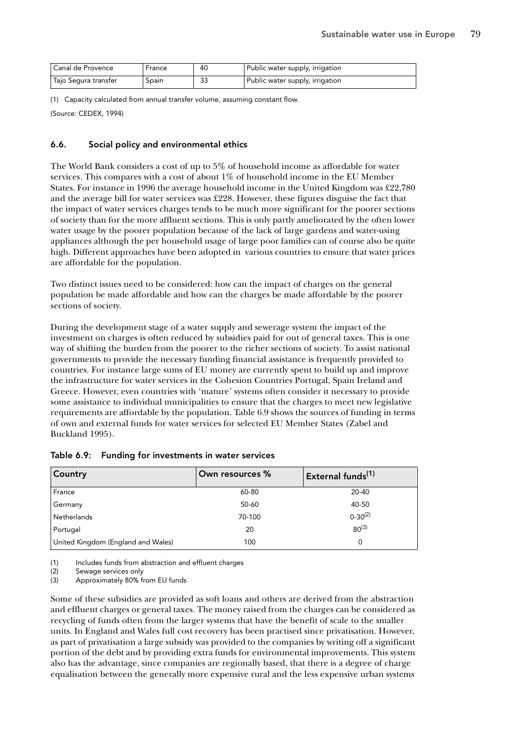| l Canal de Provence  | France | 40      | Public water supply, irrigation |
|----------------------|--------|---------|---------------------------------|
| Tajo Segura transfer | ppain  | n-<br>చ | Public water supply, irrigation |

(1) Capacity calculated from annual transfer volume, assuming constant flow.

(Source: CEDEX, 1994)

## 6.6. Social policy and environmental ethics

The World Bank considers a cost of up to 5% of household income as affordable for water services. This compares with a cost of about 1% of household income in the EU Member States. For instance in 1996 the average household income in the United Kingdom was £22,780 and the average bill for water services was £228. However, these figures disguise the fact that the impact of water services charges tends to be much more significant for the poorer sections of society than for the more affluent sections. This is only partly ameliorated by the often lower water usage by the poorer population because of the lack of large gardens and water-using appliances although the per household usage of large poor families can of course also be quite high. Different approaches have been adopted in various countries to ensure that water prices are affordable for the population.

Two distinct issues need to be considered: how can the impact of charges on the general population be made affordable and how can the charges be made affordable by the poorer sections of society.

During the development stage of a water supply and sewerage system the impact of the investment on charges is often reduced by subsidies paid for out of general taxes. This is one way of shifting the burden from the poorer to the richer sections of society. To assist national governments to provide the necessary funding financial assistance is frequently provided to countries. For instance large sums of EU money are currently spent to build up and improve the infrastructure for water services in the Cohesion Countries Portugal, Spain Ireland and Greece. However, even countries with 'mature' systems often consider it necessary to provide some assistance to individual municipalities to ensure that the charges to meet new legislative requirements are affordable by the population. Table 6.9 shows the sources of funding in terms of own and external funds for water services for selected EU Member States (Zabel and Buckland 1995).

| <b>Country</b>                     | Own resources % | External funds <sup>(1)</sup> |
|------------------------------------|-----------------|-------------------------------|
| France                             | 60-80           | 20-40                         |
| Germany                            | 50-60           | 40-50                         |
| Netherlands                        | 70-100          | $0 - 30^{(2)}$                |
| Portugal                           | 20              | $80^{(3)}$                    |
| United Kingdom (England and Wales) | 100             | 0                             |

|  | Table 6.9: Funding for investments in water services |  |
|--|------------------------------------------------------|--|
|  |                                                      |  |

(1) Includes funds from abstraction and effluent charges

(2) Sewage services only

(3) Approximately 80% from EU funds

Some of these subsidies are provided as soft loans and others are derived from the abstraction and effluent charges or general taxes. The money raised from the charges can be considered as recycling of funds often from the larger systems that have the benefit of scale to the smaller units. In England and Wales full cost recovery has been practised since privatisation. However, as part of privatisation a large subsidy was provided to the companies by writing off a significant portion of the debt and by providing extra funds for environmental improvements. This system also has the advantage, since companies are regionally based, that there is a degree of charge equalisation between the generally more expensive rural and the less expensive urban systems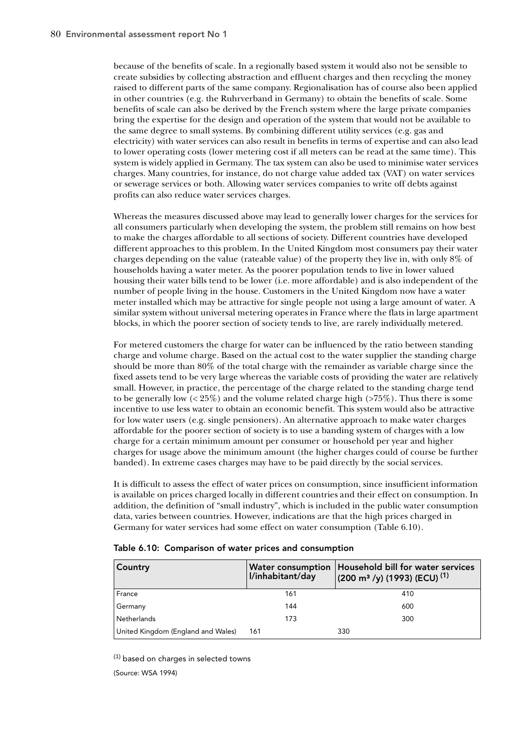because of the benefits of scale. In a regionally based system it would also not be sensible to create subsidies by collecting abstraction and effluent charges and then recycling the money raised to different parts of the same company. Regionalisation has of course also been applied in other countries (e.g. the Ruhrverband in Germany) to obtain the benefits of scale. Some benefits of scale can also be derived by the French system where the large private companies bring the expertise for the design and operation of the system that would not be available to the same degree to small systems. By combining different utility services (e.g. gas and electricity) with water services can also result in benefits in terms of expertise and can also lead to lower operating costs (lower metering cost if all meters can be read at the same time). This system is widely applied in Germany. The tax system can also be used to minimise water services charges. Many countries, for instance, do not charge value added tax (VAT) on water services or sewerage services or both. Allowing water services companies to write off debts against profits can also reduce water services charges.

Whereas the measures discussed above may lead to generally lower charges for the services for all consumers particularly when developing the system, the problem still remains on how best to make the charges affordable to all sections of society. Different countries have developed different approaches to this problem. In the United Kingdom most consumers pay their water charges depending on the value (rateable value) of the property they live in, with only 8% of households having a water meter. As the poorer population tends to live in lower valued housing their water bills tend to be lower (i.e. more affordable) and is also independent of the number of people living in the house. Customers in the United Kingdom now have a water meter installed which may be attractive for single people not using a large amount of water. A similar system without universal metering operates in France where the flats in large apartment blocks, in which the poorer section of society tends to live, are rarely individually metered.

For metered customers the charge for water can be influenced by the ratio between standing charge and volume charge. Based on the actual cost to the water supplier the standing charge should be more than 80% of the total charge with the remainder as variable charge since the fixed assets tend to be very large whereas the variable costs of providing the water are relatively small. However, in practice, the percentage of the charge related to the standing charge tend to be generally low  $\left( \frac{25\%}{20} \right)$  and the volume related charge high  $\left( \frac{275\%}{20} \right)$ . Thus there is some incentive to use less water to obtain an economic benefit. This system would also be attractive for low water users (e.g. single pensioners). An alternative approach to make water charges affordable for the poorer section of society is to use a banding system of charges with a low charge for a certain minimum amount per consumer or household per year and higher charges for usage above the minimum amount (the higher charges could of course be further banded). In extreme cases charges may have to be paid directly by the social services.

It is difficult to assess the effect of water prices on consumption, since insufficient information is available on prices charged locally in different countries and their effect on consumption. In addition, the definition of "small industry", which is included in the public water consumption data, varies between countries. However, indications are that the high prices charged in Germany for water services had some effect on water consumption (Table 6.10).

| Country                            | l/inhabitant/day | Water consumption   Household bill for water services<br>$(200 \text{ m}^3/\text{y})$ (1993) (ECU) <sup>(1)</sup> |
|------------------------------------|------------------|-------------------------------------------------------------------------------------------------------------------|
| France                             | 161              | 410                                                                                                               |
| Germany                            | 144              | 600                                                                                                               |
| Netherlands                        | 173              | 300                                                                                                               |
| United Kingdom (England and Wales) | 161              | 330                                                                                                               |

| Table 6.10: Comparison of water prices and consumption |  |  |  |  |  |
|--------------------------------------------------------|--|--|--|--|--|
|--------------------------------------------------------|--|--|--|--|--|

(1) based on charges in selected towns (Source: WSA 1994)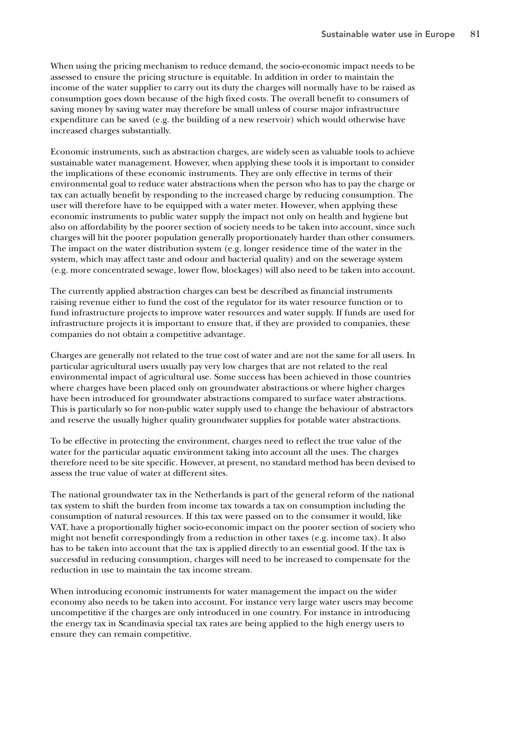When using the pricing mechanism to reduce demand, the socio-economic impact needs to be assessed to ensure the pricing structure is equitable. In addition in order to maintain the income of the water supplier to carry out its duty the charges will normally have to be raised as consumption goes down because of the high fixed costs. The overall benefit to consumers of saving money by saving water may therefore be small unless of course major infrastructure expenditure can be saved (e.g. the building of a new reservoir) which would otherwise have increased charges substantially.

Economic instruments, such as abstraction charges, are widely seen as valuable tools to achieve sustainable water management. However, when applying these tools it is important to consider the implications of these economic instruments. They are only effective in terms of their environmental goal to reduce water abstractions when the person who has to pay the charge or tax can actually benefit by responding to the increased charge by reducing consumption. The user will therefore have to be equipped with a water meter. However, when applying these economic instruments to public water supply the impact not only on health and hygiene but also on affordability by the poorer section of society needs to be taken into account, since such charges will hit the poorer population generally proportionately harder than other consumers. The impact on the water distribution system (e.g. longer residence time of the water in the system, which may affect taste and odour and bacterial quality) and on the sewerage system (e.g. more concentrated sewage, lower flow, blockages) will also need to be taken into account.

The currently applied abstraction charges can best be described as financial instruments raising revenue either to fund the cost of the regulator for its water resource function or to fund infrastructure projects to improve water resources and water supply. If funds are used for infrastructure projects it is important to ensure that, if they are provided to companies, these companies do not obtain a competitive advantage.

Charges are generally not related to the true cost of water and are not the same for all users. In particular agricultural users usually pay very low charges that are not related to the real environmental impact of agricultural use. Some success has been achieved in those countries where charges have been placed only on groundwater abstractions or where higher charges have been introduced for groundwater abstractions compared to surface water abstractions. This is particularly so for non-public water supply used to change the behaviour of abstractors and reserve the usually higher quality groundwater supplies for potable water abstractions.

To be effective in protecting the environment, charges need to reflect the true value of the water for the particular aquatic environment taking into account all the uses. The charges therefore need to be site specific. However, at present, no standard method has been devised to assess the true value of water at different sites.

The national groundwater tax in the Netherlands is part of the general reform of the national tax system to shift the burden from income tax towards a tax on consumption including the consumption of natural resources. If this tax were passed on to the consumer it would, like VAT, have a proportionally higher socio-economic impact on the poorer section of society who might not benefit correspondingly from a reduction in other taxes (e.g. income tax). It also has to be taken into account that the tax is applied directly to an essential good. If the tax is successful in reducing consumption, charges will need to be increased to compensate for the reduction in use to maintain the tax income stream.

When introducing economic instruments for water management the impact on the wider economy also needs to be taken into account. For instance very large water users may become uncompetitive if the charges are only introduced in one country. For instance in introducing the energy tax in Scandinavia special tax rates are being applied to the high energy users to ensure they can remain competitive.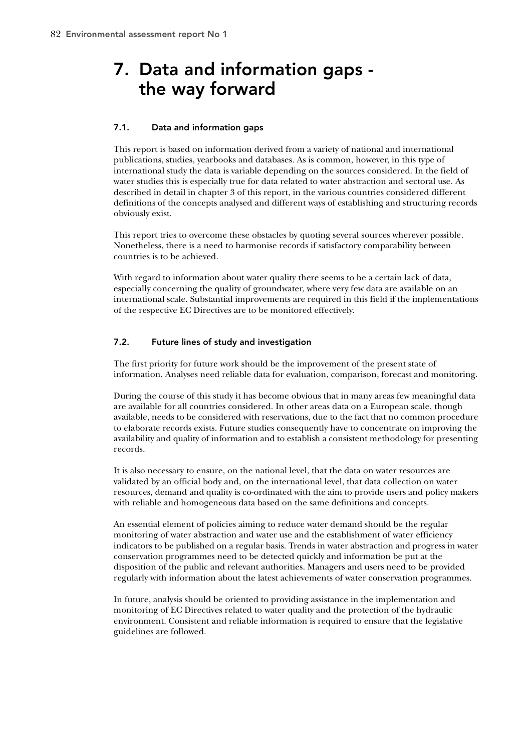# 7. Data and information gaps the way forward

# 7.1. Data and information gaps

This report is based on information derived from a variety of national and international publications, studies, yearbooks and databases. As is common, however, in this type of international study the data is variable depending on the sources considered. In the field of water studies this is especially true for data related to water abstraction and sectoral use. As described in detail in chapter 3 of this report, in the various countries considered different definitions of the concepts analysed and different ways of establishing and structuring records obviously exist.

This report tries to overcome these obstacles by quoting several sources wherever possible. Nonetheless, there is a need to harmonise records if satisfactory comparability between countries is to be achieved.

With regard to information about water quality there seems to be a certain lack of data, especially concerning the quality of groundwater, where very few data are available on an international scale. Substantial improvements are required in this field if the implementations of the respective EC Directives are to be monitored effectively.

# 7.2. Future lines of study and investigation

The first priority for future work should be the improvement of the present state of information. Analyses need reliable data for evaluation, comparison, forecast and monitoring.

During the course of this study it has become obvious that in many areas few meaningful data are available for all countries considered. In other areas data on a European scale, though available, needs to be considered with reservations, due to the fact that no common procedure to elaborate records exists. Future studies consequently have to concentrate on improving the availability and quality of information and to establish a consistent methodology for presenting records.

It is also necessary to ensure, on the national level, that the data on water resources are validated by an official body and, on the international level, that data collection on water resources, demand and quality is co-ordinated with the aim to provide users and policy makers with reliable and homogeneous data based on the same definitions and concepts.

An essential element of policies aiming to reduce water demand should be the regular monitoring of water abstraction and water use and the establishment of water efficiency indicators to be published on a regular basis. Trends in water abstraction and progress in water conservation programmes need to be detected quickly and information be put at the disposition of the public and relevant authorities. Managers and users need to be provided regularly with information about the latest achievements of water conservation programmes.

In future, analysis should be oriented to providing assistance in the implementation and monitoring of EC Directives related to water quality and the protection of the hydraulic environment. Consistent and reliable information is required to ensure that the legislative guidelines are followed.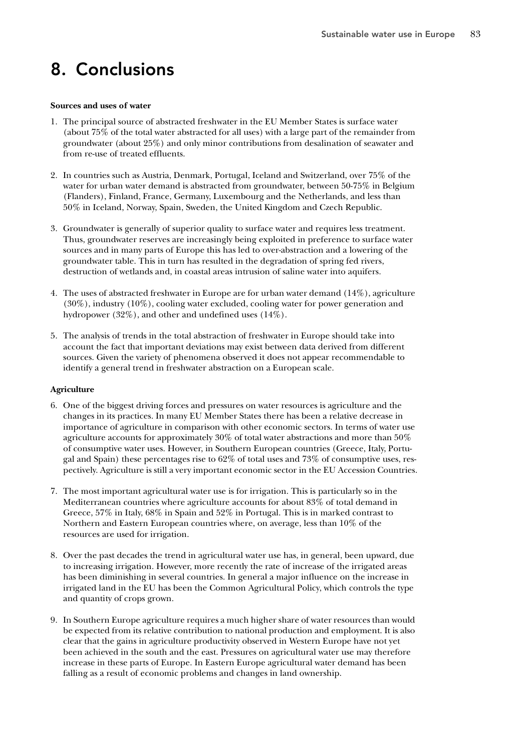# 8. Conclusions

## **Sources and uses of water**

- 1. The principal source of abstracted freshwater in the EU Member States is surface water (about 75% of the total water abstracted for all uses) with a large part of the remainder from groundwater (about 25%) and only minor contributions from desalination of seawater and from re-use of treated effluents.
- 2. In countries such as Austria, Denmark, Portugal, Iceland and Switzerland, over 75% of the water for urban water demand is abstracted from groundwater, between 50-75% in Belgium (Flanders), Finland, France, Germany, Luxembourg and the Netherlands, and less than 50% in Iceland, Norway, Spain, Sweden, the United Kingdom and Czech Republic.
- 3. Groundwater is generally of superior quality to surface water and requires less treatment. Thus, groundwater reserves are increasingly being exploited in preference to surface water sources and in many parts of Europe this has led to over-abstraction and a lowering of the groundwater table. This in turn has resulted in the degradation of spring fed rivers, destruction of wetlands and, in coastal areas intrusion of saline water into aquifers.
- 4. The uses of abstracted freshwater in Europe are for urban water demand (14%), agriculture (30%), industry (10%), cooling water excluded, cooling water for power generation and hydropower (32%), and other and undefined uses (14%).
- 5. The analysis of trends in the total abstraction of freshwater in Europe should take into account the fact that important deviations may exist between data derived from different sources. Given the variety of phenomena observed it does not appear recommendable to identify a general trend in freshwater abstraction on a European scale.

# **Agriculture**

- 6. One of the biggest driving forces and pressures on water resources is agriculture and the changes in its practices. In many EU Member States there has been a relative decrease in importance of agriculture in comparison with other economic sectors. In terms of water use agriculture accounts for approximately 30% of total water abstractions and more than 50% of consumptive water uses. However, in Southern European countries (Greece, Italy, Portugal and Spain) these percentages rise to 62% of total uses and 73% of consumptive uses, respectively. Agriculture is still a very important economic sector in the EU Accession Countries.
- 7. The most important agricultural water use is for irrigation. This is particularly so in the Mediterranean countries where agriculture accounts for about 83% of total demand in Greece, 57% in Italy, 68% in Spain and 52% in Portugal. This is in marked contrast to Northern and Eastern European countries where, on average, less than 10% of the resources are used for irrigation.
- 8. Over the past decades the trend in agricultural water use has, in general, been upward, due to increasing irrigation. However, more recently the rate of increase of the irrigated areas has been diminishing in several countries. In general a major influence on the increase in irrigated land in the EU has been the Common Agricultural Policy, which controls the type and quantity of crops grown.
- 9. In Southern Europe agriculture requires a much higher share of water resources than would be expected from its relative contribution to national production and employment. It is also clear that the gains in agriculture productivity observed in Western Europe have not yet been achieved in the south and the east. Pressures on agricultural water use may therefore increase in these parts of Europe. In Eastern Europe agricultural water demand has been falling as a result of economic problems and changes in land ownership.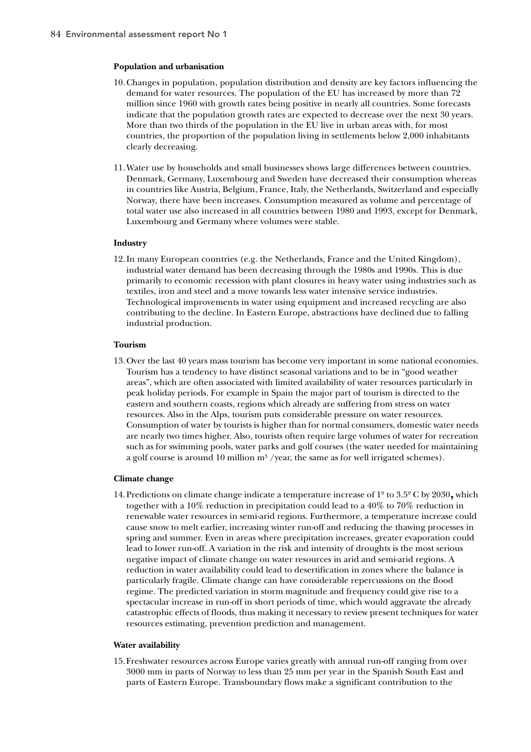## **Population and urbanisation**

- 10.Changes in population, population distribution and density are key factors influencing the demand for water resources. The population of the EU has increased by more than 72 million since 1960 with growth rates being positive in nearly all countries. Some forecasts indicate that the population growth rates are expected to decrease over the next 30 years. More than two thirds of the population in the EU live in urban areas with, for most countries, the proportion of the population living in settlements below 2,000 inhabitants clearly decreasing.
- 11.Water use by households and small businesses shows large differences between countries. Denmark, Germany, Luxembourg and Sweden have decreased their consumption whereas in countries like Austria, Belgium, France, Italy, the Netherlands, Switzerland and especially Norway, there have been increases. Consumption measured as volume and percentage of total water use also increased in all countries between 1980 and 1993, except for Denmark, Luxembourg and Germany where volumes were stable.

### **Industry**

12.In many European countries (e.g. the Netherlands, France and the United Kingdom), industrial water demand has been decreasing through the 1980s and 1990s. This is due primarily to economic recession with plant closures in heavy water using industries such as textiles, iron and steel and a move towards less water intensive service industries. Technological improvements in water using equipment and increased recycling are also contributing to the decline. In Eastern Europe, abstractions have declined due to falling industrial production.

#### **Tourism**

13. Over the last 40 years mass tourism has become very important in some national economies. Tourism has a tendency to have distinct seasonal variations and to be in "good weather areas", which are often associated with limited availability of water resources particularly in peak holiday periods. For example in Spain the major part of tourism is directed to the eastern and southern coasts, regions which already are suffering from stress on water resources. Also in the Alps, tourism puts considerable pressure on water resources. Consumption of water by tourists is higher than for normal consumers, domestic water needs are nearly two times higher. Also, tourists often require large volumes of water for recreation such as for swimming pools, water parks and golf courses (the water needed for maintaining a golf course is around 10 million  $m^3$  /year, the same as for well irrigated schemes).

## **Climate change**

14. Predictions on climate change indicate a temperature increase of 1º to 3.5º C by 2030**,** which together with a 10% reduction in precipitation could lead to a 40% to 70% reduction in renewable water resources in semi-arid regions. Furthermore, a temperature increase could cause snow to melt earlier, increasing winter run-off and reducing the thawing processes in spring and summer. Even in areas where precipitation increases, greater evaporation could lead to lower run-off. A variation in the risk and intensity of droughts is the most serious negative impact of climate change on water resources in arid and semi-arid regions. A reduction in water availability could lead to desertification in zones where the balance is particularly fragile. Climate change can have considerable repercussions on the flood regime. The predicted variation in storm magnitude and frequency could give rise to a spectacular increase in run-off in short periods of time, which would aggravate the already catastrophic effects of floods, thus making it necessary to review present techniques for water resources estimating, prevention prediction and management.

### **Water availability**

15.Freshwater resources across Europe varies greatly with annual run-off ranging from over 3000 mm in parts of Norway to less than 25 mm per year in the Spanish South East and parts of Eastern Europe. Transboundary flows make a significant contribution to the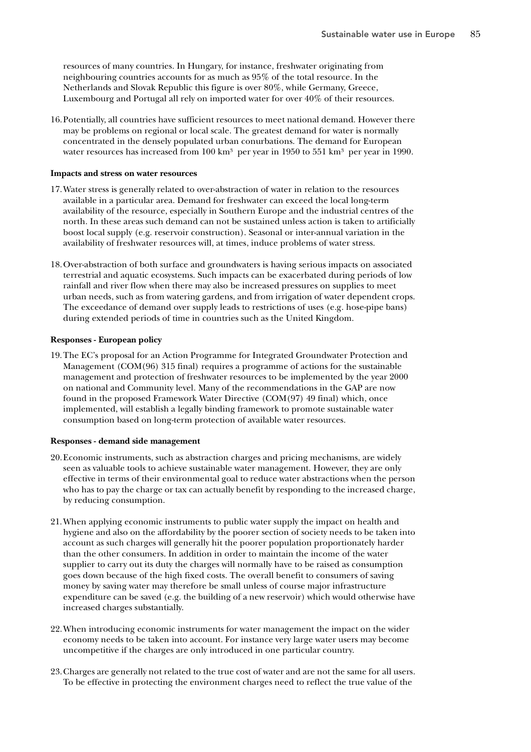resources of many countries. In Hungary, for instance, freshwater originating from neighbouring countries accounts for as much as 95% of the total resource. In the Netherlands and Slovak Republic this figure is over 80%, while Germany, Greece, Luxembourg and Portugal all rely on imported water for over 40% of their resources.

16.Potentially, all countries have sufficient resources to meet national demand. However there may be problems on regional or local scale. The greatest demand for water is normally concentrated in the densely populated urban conurbations. The demand for European water resources has increased from  $100 \text{ km}^3$  per year in 1950 to 551 km<sup>3</sup> per year in 1990.

## **Impacts and stress on water resources**

- 17.Water stress is generally related to over-abstraction of water in relation to the resources available in a particular area. Demand for freshwater can exceed the local long-term availability of the resource, especially in Southern Europe and the industrial centres of the north. In these areas such demand can not be sustained unless action is taken to artificially boost local supply (e.g. reservoir construction). Seasonal or inter-annual variation in the availability of freshwater resources will, at times, induce problems of water stress.
- 18.Over-abstraction of both surface and groundwaters is having serious impacts on associated terrestrial and aquatic ecosystems. Such impacts can be exacerbated during periods of low rainfall and river flow when there may also be increased pressures on supplies to meet urban needs, such as from watering gardens, and from irrigation of water dependent crops. The exceedance of demand over supply leads to restrictions of uses (e.g. hose-pipe bans) during extended periods of time in countries such as the United Kingdom.

### **Responses - European policy**

19.The EC's proposal for an Action Programme for Integrated Groundwater Protection and Management (COM(96) 315 final) requires a programme of actions for the sustainable management and protection of freshwater resources to be implemented by the year 2000 on national and Community level. Many of the recommendations in the GAP are now found in the proposed Framework Water Directive (COM(97) 49 final) which, once implemented, will establish a legally binding framework to promote sustainable water consumption based on long-term protection of available water resources.

#### **Responses - demand side management**

- 20.Economic instruments, such as abstraction charges and pricing mechanisms, are widely seen as valuable tools to achieve sustainable water management. However, they are only effective in terms of their environmental goal to reduce water abstractions when the person who has to pay the charge or tax can actually benefit by responding to the increased charge, by reducing consumption.
- 21.When applying economic instruments to public water supply the impact on health and hygiene and also on the affordability by the poorer section of society needs to be taken into account as such charges will generally hit the poorer population proportionately harder than the other consumers. In addition in order to maintain the income of the water supplier to carry out its duty the charges will normally have to be raised as consumption goes down because of the high fixed costs. The overall benefit to consumers of saving money by saving water may therefore be small unless of course major infrastructure expenditure can be saved (e.g. the building of a new reservoir) which would otherwise have increased charges substantially.
- 22.When introducing economic instruments for water management the impact on the wider economy needs to be taken into account. For instance very large water users may become uncompetitive if the charges are only introduced in one particular country.
- 23.Charges are generally not related to the true cost of water and are not the same for all users. To be effective in protecting the environment charges need to reflect the true value of the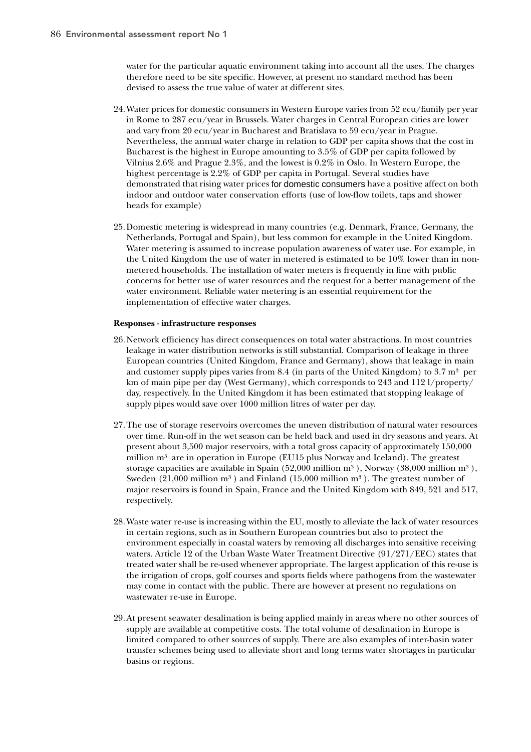water for the particular aquatic environment taking into account all the uses. The charges therefore need to be site specific. However, at present no standard method has been devised to assess the true value of water at different sites.

- 24.Water prices for domestic consumers in Western Europe varies from 52 ecu/family per year in Rome to 287 ecu/year in Brussels. Water charges in Central European cities are lower and vary from 20 ecu/year in Bucharest and Bratislava to 59 ecu/year in Prague. Nevertheless, the annual water charge in relation to GDP per capita shows that the cost in Bucharest is the highest in Europe amounting to 3.5% of GDP per capita followed by Vilnius 2.6% and Prague 2.3%, and the lowest is 0.2% in Oslo. In Western Europe, the highest percentage is 2.2% of GDP per capita in Portugal. Several studies have demonstrated that rising water prices for domestic consumers have a positive affect on both indoor and outdoor water conservation efforts (use of low-flow toilets, taps and shower heads for example)
- 25.Domestic metering is widespread in many countries (e.g. Denmark, France, Germany, the Netherlands, Portugal and Spain), but less common for example in the United Kingdom. Water metering is assumed to increase population awareness of water use. For example, in the United Kingdom the use of water in metered is estimated to be 10% lower than in nonmetered households. The installation of water meters is frequently in line with public concerns for better use of water resources and the request for a better management of the water environment. Reliable water metering is an essential requirement for the implementation of effective water charges.

## **Responses - infrastructure responses**

- 26.Network efficiency has direct consequences on total water abstractions. In most countries leakage in water distribution networks is still substantial. Comparison of leakage in three European countries (United Kingdom, France and Germany), shows that leakage in main and customer supply pipes varies from 8.4 (in parts of the United Kingdom) to 3.7  $m<sup>3</sup>$  per km of main pipe per day (West Germany), which corresponds to 243 and 112 l/property/ day, respectively. In the United Kingdom it has been estimated that stopping leakage of supply pipes would save over 1000 million litres of water per day.
- 27.The use of storage reservoirs overcomes the uneven distribution of natural water resources over time. Run-off in the wet season can be held back and used in dry seasons and years. At present about 3,500 major reservoirs, with a total gross capacity of approximately 150,000 million  $m<sup>3</sup>$  are in operation in Europe (EU15 plus Norway and Iceland). The greatest storage capacities are available in Spain  $(52,000 \text{ million m}^3)$ , Norway  $(38,000 \text{ million m}^3)$ , Sweden  $(21,000$  million m<sup>3</sup>) and Finland  $(15,000$  million m<sup>3</sup>). The greatest number of major reservoirs is found in Spain, France and the United Kingdom with 849, 521 and 517, respectively.
- 28.Waste water re-use is increasing within the EU, mostly to alleviate the lack of water resources in certain regions, such as in Southern European countries but also to protect the environment especially in coastal waters by removing all discharges into sensitive receiving waters. Article 12 of the Urban Waste Water Treatment Directive (91/271/EEC) states that treated water shall be re-used whenever appropriate. The largest application of this re-use is the irrigation of crops, golf courses and sports fields where pathogens from the wastewater may come in contact with the public. There are however at present no regulations on wastewater re-use in Europe.
- 29.At present seawater desalination is being applied mainly in areas where no other sources of supply are available at competitive costs. The total volume of desalination in Europe is limited compared to other sources of supply. There are also examples of inter-basin water transfer schemes being used to alleviate short and long terms water shortages in particular basins or regions.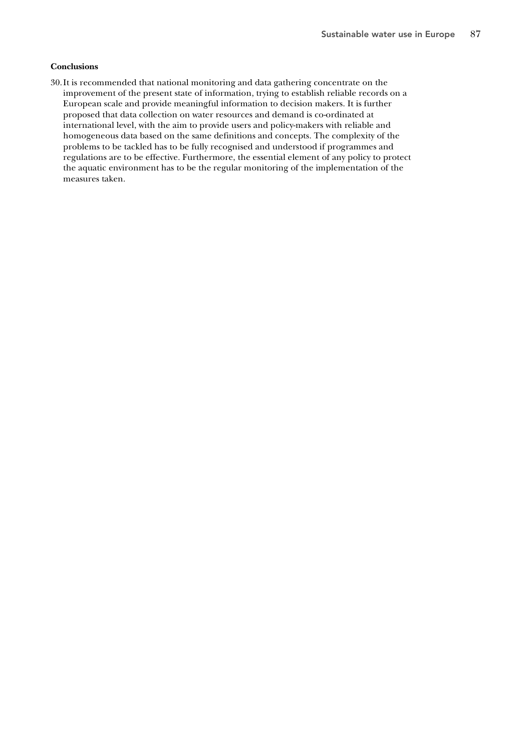# **Conclusions**

30.It is recommended that national monitoring and data gathering concentrate on the improvement of the present state of information, trying to establish reliable records on a European scale and provide meaningful information to decision makers. It is further proposed that data collection on water resources and demand is co-ordinated at international level, with the aim to provide users and policy-makers with reliable and homogeneous data based on the same definitions and concepts. The complexity of the problems to be tackled has to be fully recognised and understood if programmes and regulations are to be effective. Furthermore, the essential element of any policy to protect the aquatic environment has to be the regular monitoring of the implementation of the measures taken.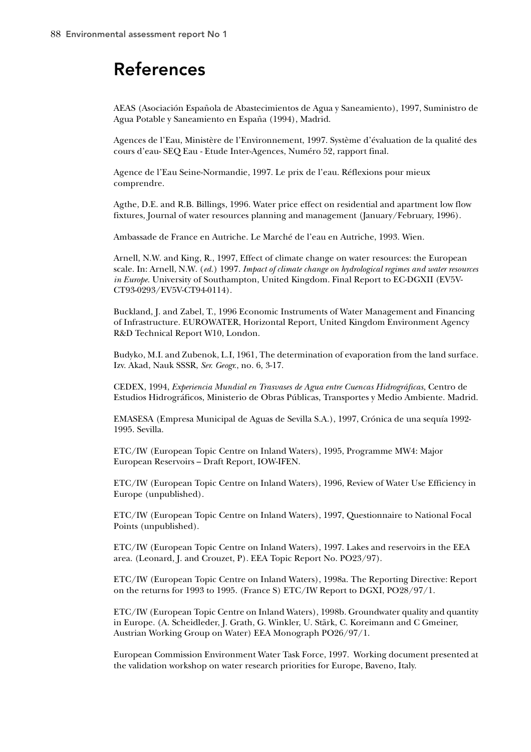# References

AEAS (Asociación Española de Abastecimientos de Agua y Saneamiento), 1997, Suministro de Agua Potable y Saneamiento en España (1994), Madrid.

Agences de l'Eau, Ministère de l'Environnement, 1997. Système d'évaluation de la qualité des cours d'eau- SEQ Eau - Etude Inter-Agences, Numéro 52, rapport final.

Agence de l'Eau Seine-Normandie, 1997. Le prix de l'eau. Réflexions pour mieux comprendre.

Agthe, D.E. and R.B. Billings, 1996. Water price effect on residential and apartment low flow fixtures, Journal of water resources planning and management (January/February, 1996).

Ambassade de France en Autriche. Le Marché de l'eau en Autriche, 1993. Wien.

Arnell, N.W. and King, R., 1997, Effect of climate change on water resources: the European scale. In: Arnell, N.W. (*ed.*) 1997. *Impact of climate change on hydrological regimes and water resources in Europe.* University of Southampton, United Kingdom. Final Report to EC-DGXII (EV5V-CT93-0293/EV5V-CT94-0114).

Buckland, J. and Zabel, T., 1996 Economic Instruments of Water Management and Financing of Infrastructure. EUROWATER, Horizontal Report, United Kingdom Environment Agency R&D Technical Report W10, London.

Budyko, M.I. and Zubenok, L.I, 1961, The determination of evaporation from the land surface. Izv. Akad, Nauk SSSR, *Ser. Geogr*., no. 6, 3-17.

CEDEX, 1994, *Experiencia Mundial en Trasvases de Agua entre Cuencas Hidrográficas*, Centro de Estudios Hidrográficos, Ministerio de Obras Públicas, Transportes y Medio Ambiente. Madrid.

EMASESA (Empresa Municipal de Aguas de Sevilla S.A.), 1997, Crónica de una sequía 1992- 1995. Sevilla.

ETC/IW (European Topic Centre on Inland Waters), 1995, Programme MW4: Major European Reservoirs – Draft Report, IOW-IFEN.

ETC/IW (European Topic Centre on Inland Waters), 1996, Review of Water Use Efficiency in Europe (unpublished).

ETC/IW (European Topic Centre on Inland Waters), 1997, Questionnaire to National Focal Points (unpublished).

ETC/IW (European Topic Centre on Inland Waters), 1997. Lakes and reservoirs in the EEA area. (Leonard, J. and Crouzet, P). EEA Topic Report No. PO23/97).

ETC/IW (European Topic Centre on Inland Waters), 1998a. The Reporting Directive: Report on the returns for 1993 to 1995. (France S) ETC/IW Report to DGXI, PO28/97/1.

ETC/IW (European Topic Centre on Inland Waters), 1998b. Groundwater quality and quantity in Europe. (A. Scheidleder, J. Grath, G. Winkler, U. Stärk, C. Koreimann and C Gmeiner, Austrian Working Group on Water) EEA Monograph PO26/97/1.

European Commission Environment Water Task Force, 1997. Working document presented at the validation workshop on water research priorities for Europe, Baveno, Italy.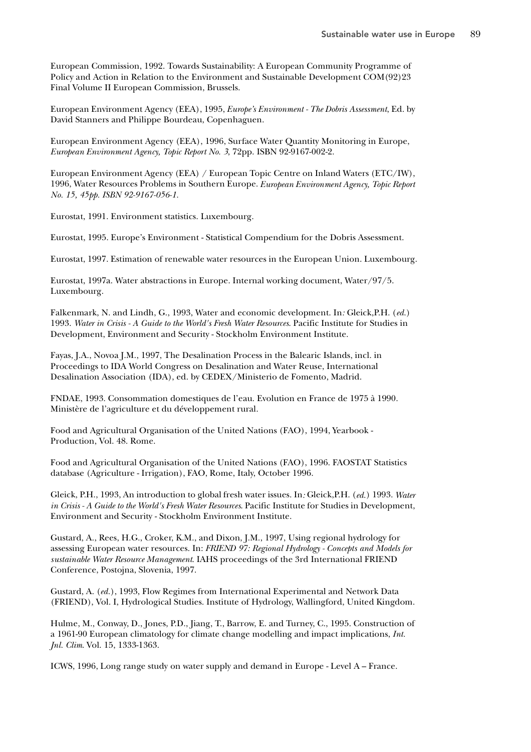European Commission, 1992. Towards Sustainability: A European Community Programme of Policy and Action in Relation to the Environment and Sustainable Development COM(92)23 Final Volume II European Commission, Brussels.

European Environment Agency (EEA), 1995, *Europe's Environment - The Dobris Assessment*, Ed. by David Stanners and Philippe Bourdeau, Copenhaguen.

European Environment Agency (EEA), 1996, Surface Water Quantity Monitoring in Europe, *European Environment Agency, Topic Report No. 3*, 72pp. ISBN 92-9167-002-2.

European Environment Agency (EEA) / European Topic Centre on Inland Waters (ETC/IW), 1996, Water Resources Problems in Southern Europe. *European Environment Agency, Topic Report No. 15, 45pp. ISBN 92-9167-056-1.*

Eurostat, 1991. Environment statistics. Luxembourg.

Eurostat, 1995. Europe's Environment - Statistical Compendium for the Dobris Assessment.

Eurostat, 1997. Estimation of renewable water resources in the European Union. Luxembourg.

Eurostat, 1997a. Water abstractions in Europe. Internal working document, Water/97/5. Luxembourg.

Falkenmark, N. and Lindh, G., 1993, Water and economic development. In*:* Gleick,P.H. (*ed.*) 1993. *Water in Crisis - A Guide to the World's Fresh Water Resources*. Pacific Institute for Studies in Development, Environment and Security - Stockholm Environment Institute.

Fayas, J.A., Novoa J.M., 1997, The Desalination Process in the Balearic Islands, incl. in Proceedings to IDA World Congress on Desalination and Water Reuse, International Desalination Association (IDA), ed. by CEDEX/Ministerio de Fomento, Madrid.

FNDAE, 1993. Consommation domestiques de l'eau. Evolution en France de 1975 à 1990. Ministère de l'agriculture et du développement rural.

Food and Agricultural Organisation of the United Nations (FAO), 1994, Yearbook - Production, Vol. 48. Rome.

Food and Agricultural Organisation of the United Nations (FAO), 1996. FAOSTAT Statistics database (Agriculture - Irrigation), FAO, Rome, Italy, October 1996.

Gleick, P.H., 1993, An introduction to global fresh water issues. In*:* Gleick,P.H. (*ed.*) 1993. *Water in Crisis - A Guide to the World's Fresh Water Resources*. Pacific Institute for Studies in Development, Environment and Security - Stockholm Environment Institute.

Gustard, A., Rees, H.G., Croker, K.M., and Dixon, J.M., 1997, Using regional hydrology for assessing European water resources. In: *FRIEND 97: Regional Hydrology - Concepts and Models for sustainable Water Resource Management*. IAHS proceedings of the 3rd International FRIEND Conference, Postojna, Slovenia, 1997.

Gustard, A. (*ed.*), 1993, Flow Regimes from International Experimental and Network Data (FRIEND), Vol. I, Hydrological Studies. Institute of Hydrology, Wallingford, United Kingdom.

Hulme, M., Conway, D., Jones, P.D., Jiang, T., Barrow, E. and Turney, C., 1995. Construction of a 1961-90 European climatology for climate change modelling and impact implications, *Int. Jnl. Clim*. Vol. 15, 1333-1363.

ICWS, 1996, Long range study on water supply and demand in Europe - Level A – France.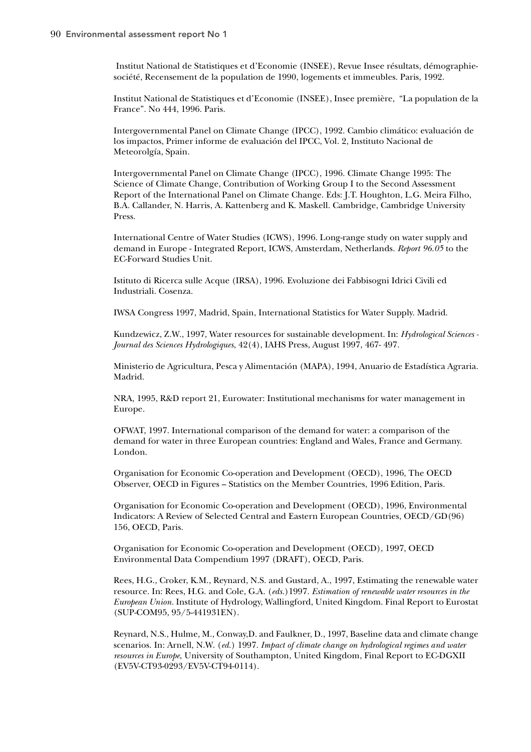Institut National de Statistiques et d'Economie (INSEE), Revue Insee résultats, démographiesociété, Recensement de la population de 1990, logements et immeubles. Paris, 1992.

Institut National de Statistiques et d'Economie (INSEE), Insee première, "La population de la France". No 444, 1996. Paris.

Intergovernmental Panel on Climate Change (IPCC), 1992. Cambio climático: evaluación de los impactos, Primer informe de evaluación del IPCC, Vol. 2, Instituto Nacional de Meteorolgía, Spain.

Intergovernmental Panel on Climate Change (IPCC), 1996. Climate Change 1995: The Science of Climate Change, Contribution of Working Group I to the Second Assessment Report of the International Panel on Climate Change. Eds: J.T. Houghton, L.G. Meira Filho, B.A. Callander, N. Harris, A. Kattenberg and K. Maskell. Cambridge, Cambridge University Press.

International Centre of Water Studies (ICWS), 1996. Long-range study on water supply and demand in Europe - Integrated Report, ICWS, Amsterdam, Netherlands. *Report 96.05* to the EC-Forward Studies Unit.

Istituto di Ricerca sulle Acque (IRSA), 1996. Evoluzione dei Fabbisogni Idrici Civili ed Industriali. Cosenza.

IWSA Congress 1997, Madrid, Spain, International Statistics for Water Supply. Madrid.

Kundzewicz, Z.W., 1997, Water resources for sustainable development. In: *Hydrological Sciences - Journal des Sciences Hydrologiques*, 42(4), IAHS Press, August 1997, 467- 497.

Ministerio de Agricultura, Pesca y Alimentación (MAPA), 1994, Anuario de Estadística Agraria. Madrid.

NRA, 1995, R&D report 21, Eurowater: Institutional mechanisms for water management in Europe.

OFWAT, 1997. International comparison of the demand for water: a comparison of the demand for water in three European countries: England and Wales, France and Germany. London.

Organisation for Economic Co-operation and Development (OECD), 1996, The OECD Observer, OECD in Figures – Statistics on the Member Countries, 1996 Edition, Paris.

Organisation for Economic Co-operation and Development (OECD), 1996, Environmental Indicators: A Review of Selected Central and Eastern European Countries, OECD/GD(96) 156, OECD, Paris.

Organisation for Economic Co-operation and Development (OECD), 1997, OECD Environmental Data Compendium 1997 (DRAFT), OECD, Paris.

Rees, H.G., Croker, K.M., Reynard, N.S. and Gustard, A., 1997, Estimating the renewable water resource. In: Rees, H.G. and Cole, G.A. (*eds.*)1997. *Estimation of renewable water resources in the European Union.* Institute of Hydrology, Wallingford, United Kingdom. Final Report to Eurostat (SUP-COM95, 95/5-441931EN).

Reynard, N.S., Hulme, M., Conway,D. and Faulkner, D., 1997, Baseline data and climate change scenarios. In: Arnell, N.W. (*ed.*) 1997. *Impact of climate change on hydrological regimes and water resources in Europe*, University of Southampton, United Kingdom, Final Report to EC-DGXII (EV5V-CT93-0293/EV5V-CT94-0114).